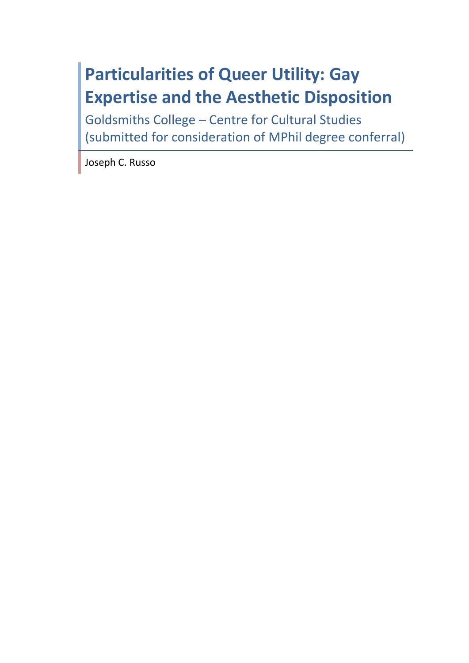# **Particularities of Queer Utility: Gay Expertise and the Aesthetic Disposition**

Goldsmiths College – Centre for Cultural Studies (submitted for consideration of MPhil degree conferral)

Joseph C. Russo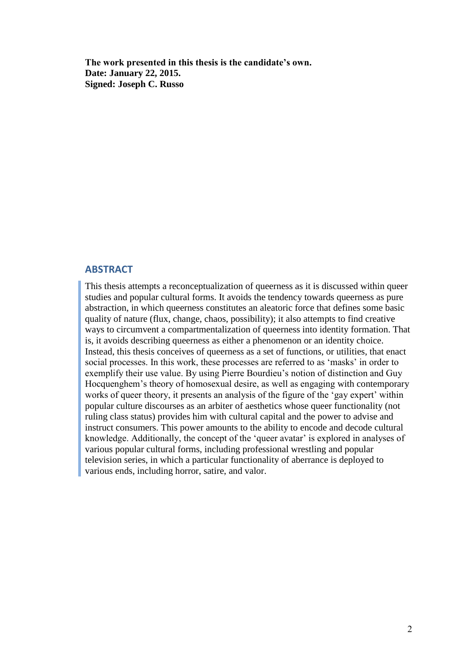**The work presented in this thesis is the candidate's own. Date: January 22, 2015. Signed: Joseph C. Russo**

### **ABSTRACT**

This thesis attempts a reconceptualization of queerness as it is discussed within queer studies and popular cultural forms. It avoids the tendency towards queerness as pure abstraction, in which queerness constitutes an aleatoric force that defines some basic quality of nature (flux, change, chaos, possibility); it also attempts to find creative ways to circumvent a compartmentalization of queerness into identity formation. That is, it avoids describing queerness as either a phenomenon or an identity choice. Instead, this thesis conceives of queerness as a set of functions, or utilities, that enact social processes. In this work, these processes are referred to as 'masks' in order to exemplify their use value. By using Pierre Bourdieu's notion of distinction and Guy Hocquenghem's theory of homosexual desire, as well as engaging with contemporary works of queer theory, it presents an analysis of the figure of the 'gay expert' within popular culture discourses as an arbiter of aesthetics whose queer functionality (not ruling class status) provides him with cultural capital and the power to advise and instruct consumers. This power amounts to the ability to encode and decode cultural knowledge. Additionally, the concept of the 'queer avatar' is explored in analyses of various popular cultural forms, including professional wrestling and popular television series, in which a particular functionality of aberrance is deployed to various ends, including horror, satire, and valor.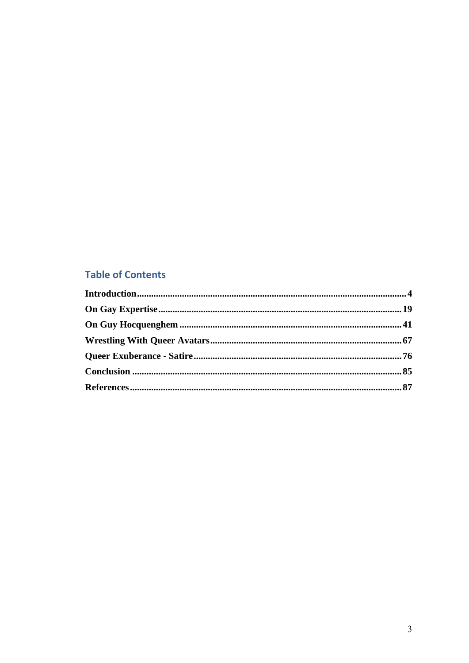## **Table of Contents**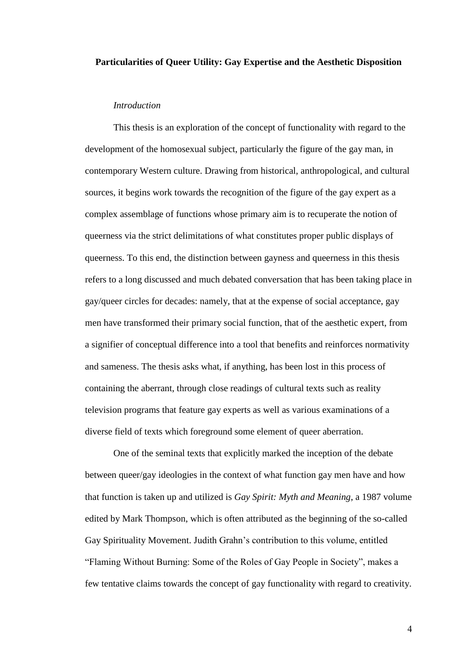### **Particularities of Queer Utility: Gay Expertise and the Aesthetic Disposition**

#### *Introduction*

This thesis is an exploration of the concept of functionality with regard to the development of the homosexual subject, particularly the figure of the gay man, in contemporary Western culture. Drawing from historical, anthropological, and cultural sources, it begins work towards the recognition of the figure of the gay expert as a complex assemblage of functions whose primary aim is to recuperate the notion of queerness via the strict delimitations of what constitutes proper public displays of queerness. To this end, the distinction between gayness and queerness in this thesis refers to a long discussed and much debated conversation that has been taking place in gay/queer circles for decades: namely, that at the expense of social acceptance, gay men have transformed their primary social function, that of the aesthetic expert, from a signifier of conceptual difference into a tool that benefits and reinforces normativity and sameness. The thesis asks what, if anything, has been lost in this process of containing the aberrant, through close readings of cultural texts such as reality television programs that feature gay experts as well as various examinations of a diverse field of texts which foreground some element of queer aberration.

One of the seminal texts that explicitly marked the inception of the debate between queer/gay ideologies in the context of what function gay men have and how that function is taken up and utilized is *Gay Spirit: Myth and Meaning*, a 1987 volume edited by Mark Thompson, which is often attributed as the beginning of the so-called Gay Spirituality Movement. Judith Grahn's contribution to this volume, entitled "Flaming Without Burning: Some of the Roles of Gay People in Society", makes a few tentative claims towards the concept of gay functionality with regard to creativity.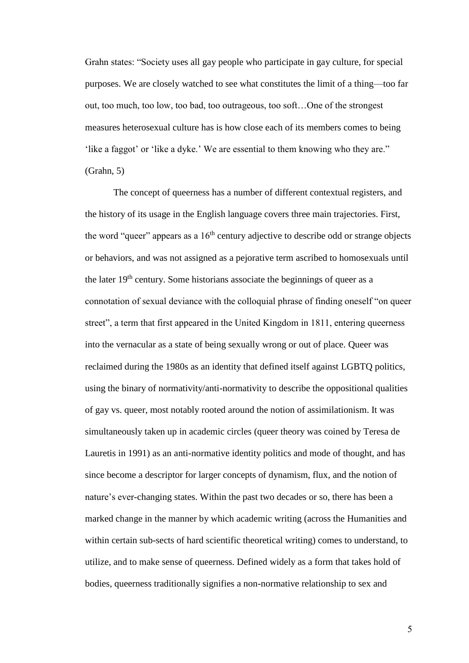Grahn states: "Society uses all gay people who participate in gay culture, for special purposes. We are closely watched to see what constitutes the limit of a thing—too far out, too much, too low, too bad, too outrageous, too soft…One of the strongest measures heterosexual culture has is how close each of its members comes to being 'like a faggot' or 'like a dyke.' We are essential to them knowing who they are." (Grahn, 5)

The concept of queerness has a number of different contextual registers, and the history of its usage in the English language covers three main trajectories. First, the word "queer" appears as a  $16<sup>th</sup>$  century adjective to describe odd or strange objects or behaviors, and was not assigned as a pejorative term ascribed to homosexuals until the later 19<sup>th</sup> century. Some historians associate the beginnings of queer as a connotation of sexual deviance with the colloquial phrase of finding oneself "on queer street", a term that first appeared in the United Kingdom in 1811, entering queerness into the vernacular as a state of being sexually wrong or out of place. Queer was reclaimed during the 1980s as an identity that defined itself against LGBTQ politics, using the binary of normativity/anti-normativity to describe the oppositional qualities of gay vs. queer, most notably rooted around the notion of assimilationism. It was simultaneously taken up in academic circles (queer theory was coined by Teresa de Lauretis in 1991) as an anti-normative identity politics and mode of thought, and has since become a descriptor for larger concepts of dynamism, flux, and the notion of nature's ever-changing states. Within the past two decades or so, there has been a marked change in the manner by which academic writing (across the Humanities and within certain sub-sects of hard scientific theoretical writing) comes to understand, to utilize, and to make sense of queerness. Defined widely as a form that takes hold of bodies, queerness traditionally signifies a non-normative relationship to sex and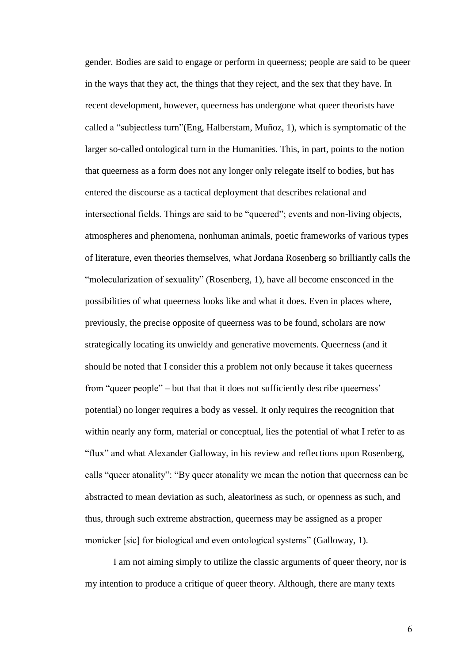gender. Bodies are said to engage or perform in queerness; people are said to be queer in the ways that they act, the things that they reject, and the sex that they have. In recent development, however, queerness has undergone what queer theorists have called a "subjectless turn"(Eng, Halberstam, Muñoz, 1), which is symptomatic of the larger so-called ontological turn in the Humanities. This, in part, points to the notion that queerness as a form does not any longer only relegate itself to bodies, but has entered the discourse as a tactical deployment that describes relational and intersectional fields. Things are said to be "queered"; events and non-living objects, atmospheres and phenomena, nonhuman animals, poetic frameworks of various types of literature, even theories themselves, what Jordana Rosenberg so brilliantly calls the "molecularization of sexuality" (Rosenberg, 1), have all become ensconced in the possibilities of what queerness looks like and what it does. Even in places where, previously, the precise opposite of queerness was to be found, scholars are now strategically locating its unwieldy and generative movements. Queerness (and it should be noted that I consider this a problem not only because it takes queerness from "queer people" – but that that it does not sufficiently describe queerness' potential) no longer requires a body as vessel. It only requires the recognition that within nearly any form, material or conceptual, lies the potential of what I refer to as "flux" and what Alexander Galloway, in his review and reflections upon Rosenberg, calls "queer atonality": "By queer atonality we mean the notion that queerness can be abstracted to mean deviation as such, aleatoriness as such, or openness as such, and thus, through such extreme abstraction, queerness may be assigned as a proper monicker [sic] for biological and even ontological systems" (Galloway, 1).

I am not aiming simply to utilize the classic arguments of queer theory, nor is my intention to produce a critique of queer theory. Although, there are many texts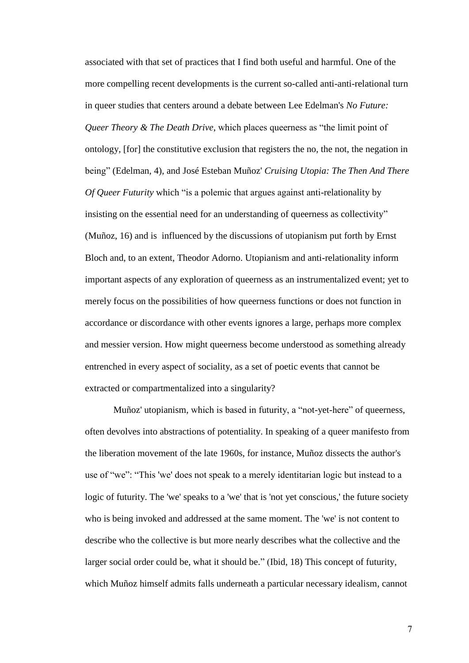associated with that set of practices that I find both useful and harmful. One of the more compelling recent developments is the current so-called anti-anti-relational turn in queer studies that centers around a debate between Lee Edelman's *No Future: Queer Theory & The Death Drive*, which places queerness as "the limit point of ontology, [for] the constitutive exclusion that registers the no, the not, the negation in being" (Edelman, 4), and José Esteban Muñoz' *Cruising Utopia: The Then And There Of Queer Futurity* which "is a polemic that argues against anti-relationality by insisting on the essential need for an understanding of queerness as collectivity" (Muñoz, 16) and is influenced by the discussions of utopianism put forth by Ernst Bloch and, to an extent, Theodor Adorno. Utopianism and anti-relationality inform important aspects of any exploration of queerness as an instrumentalized event; yet to merely focus on the possibilities of how queerness functions or does not function in accordance or discordance with other events ignores a large, perhaps more complex and messier version. How might queerness become understood as something already entrenched in every aspect of sociality, as a set of poetic events that cannot be extracted or compartmentalized into a singularity?

Muñoz' utopianism, which is based in futurity, a "not-yet-here" of queerness, often devolves into abstractions of potentiality. In speaking of a queer manifesto from the liberation movement of the late 1960s, for instance, Muñoz dissects the author's use of "we": "This 'we' does not speak to a merely identitarian logic but instead to a logic of futurity. The 'we' speaks to a 'we' that is 'not yet conscious,' the future society who is being invoked and addressed at the same moment. The 'we' is not content to describe who the collective is but more nearly describes what the collective and the larger social order could be, what it should be." (Ibid, 18) This concept of futurity, which Muñoz himself admits falls underneath a particular necessary idealism, cannot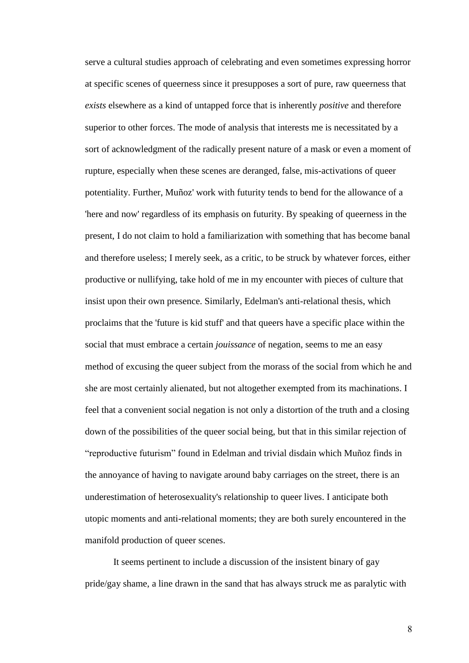serve a cultural studies approach of celebrating and even sometimes expressing horror at specific scenes of queerness since it presupposes a sort of pure, raw queerness that *exists* elsewhere as a kind of untapped force that is inherently *positive* and therefore superior to other forces. The mode of analysis that interests me is necessitated by a sort of acknowledgment of the radically present nature of a mask or even a moment of rupture, especially when these scenes are deranged, false, mis-activations of queer potentiality. Further, Muñoz' work with futurity tends to bend for the allowance of a 'here and now' regardless of its emphasis on futurity. By speaking of queerness in the present, I do not claim to hold a familiarization with something that has become banal and therefore useless; I merely seek, as a critic, to be struck by whatever forces, either productive or nullifying, take hold of me in my encounter with pieces of culture that insist upon their own presence. Similarly, Edelman's anti-relational thesis, which proclaims that the 'future is kid stuff' and that queers have a specific place within the social that must embrace a certain *jouissance* of negation, seems to me an easy method of excusing the queer subject from the morass of the social from which he and she are most certainly alienated, but not altogether exempted from its machinations. I feel that a convenient social negation is not only a distortion of the truth and a closing down of the possibilities of the queer social being, but that in this similar rejection of "reproductive futurism" found in Edelman and trivial disdain which Muñoz finds in the annoyance of having to navigate around baby carriages on the street, there is an underestimation of heterosexuality's relationship to queer lives. I anticipate both utopic moments and anti-relational moments; they are both surely encountered in the manifold production of queer scenes.

It seems pertinent to include a discussion of the insistent binary of gay pride/gay shame, a line drawn in the sand that has always struck me as paralytic with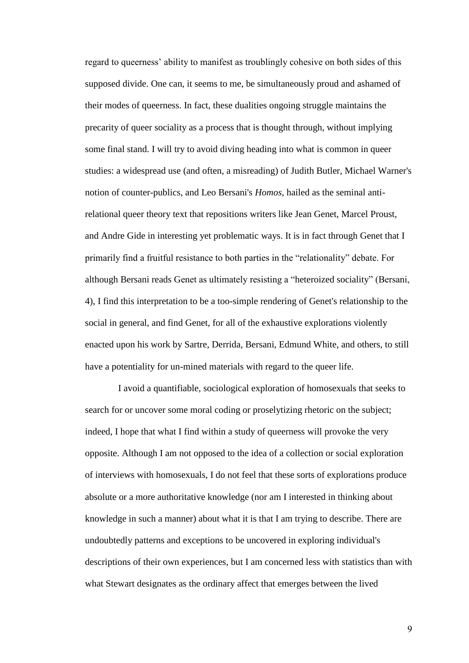regard to queerness' ability to manifest as troublingly cohesive on both sides of this supposed divide. One can, it seems to me, be simultaneously proud and ashamed of their modes of queerness. In fact, these dualities ongoing struggle maintains the precarity of queer sociality as a process that is thought through, without implying some final stand. I will try to avoid diving heading into what is common in queer studies: a widespread use (and often, a misreading) of Judith Butler, Michael Warner's notion of counter-publics, and Leo Bersani's *Homos*, hailed as the seminal antirelational queer theory text that repositions writers like Jean Genet, Marcel Proust, and Andre Gide in interesting yet problematic ways. It is in fact through Genet that I primarily find a fruitful resistance to both parties in the "relationality" debate. For although Bersani reads Genet as ultimately resisting a "heteroized sociality" (Bersani, 4), I find this interpretation to be a too-simple rendering of Genet's relationship to the social in general, and find Genet, for all of the exhaustive explorations violently enacted upon his work by Sartre, Derrida, Bersani, Edmund White, and others, to still have a potentiality for un-mined materials with regard to the queer life.

 I avoid a quantifiable, sociological exploration of homosexuals that seeks to search for or uncover some moral coding or proselytizing rhetoric on the subject; indeed, I hope that what I find within a study of queerness will provoke the very opposite. Although I am not opposed to the idea of a collection or social exploration of interviews with homosexuals, I do not feel that these sorts of explorations produce absolute or a more authoritative knowledge (nor am I interested in thinking about knowledge in such a manner) about what it is that I am trying to describe. There are undoubtedly patterns and exceptions to be uncovered in exploring individual's descriptions of their own experiences, but I am concerned less with statistics than with what Stewart designates as the ordinary affect that emerges between the lived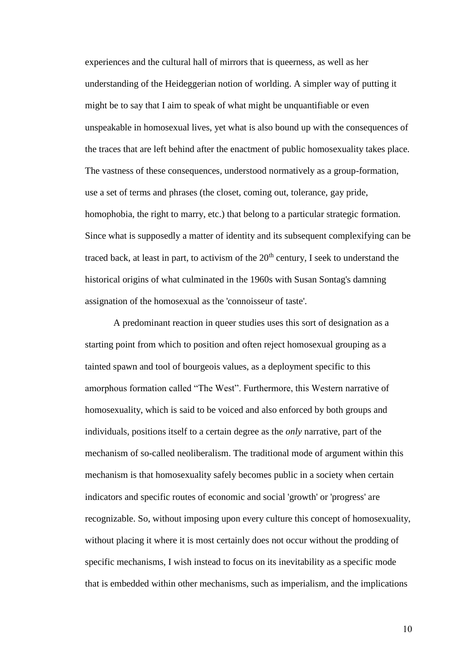experiences and the cultural hall of mirrors that is queerness, as well as her understanding of the Heideggerian notion of worlding. A simpler way of putting it might be to say that I aim to speak of what might be unquantifiable or even unspeakable in homosexual lives, yet what is also bound up with the consequences of the traces that are left behind after the enactment of public homosexuality takes place. The vastness of these consequences, understood normatively as a group-formation, use a set of terms and phrases (the closet, coming out, tolerance, gay pride, homophobia, the right to marry, etc.) that belong to a particular strategic formation. Since what is supposedly a matter of identity and its subsequent complexifying can be traced back, at least in part, to activism of the  $20<sup>th</sup>$  century, I seek to understand the historical origins of what culminated in the 1960s with Susan Sontag's damning assignation of the homosexual as the 'connoisseur of taste'.

A predominant reaction in queer studies uses this sort of designation as a starting point from which to position and often reject homosexual grouping as a tainted spawn and tool of bourgeois values, as a deployment specific to this amorphous formation called "The West". Furthermore, this Western narrative of homosexuality, which is said to be voiced and also enforced by both groups and individuals, positions itself to a certain degree as the *only* narrative, part of the mechanism of so-called neoliberalism. The traditional mode of argument within this mechanism is that homosexuality safely becomes public in a society when certain indicators and specific routes of economic and social 'growth' or 'progress' are recognizable. So, without imposing upon every culture this concept of homosexuality, without placing it where it is most certainly does not occur without the prodding of specific mechanisms, I wish instead to focus on its inevitability as a specific mode that is embedded within other mechanisms, such as imperialism, and the implications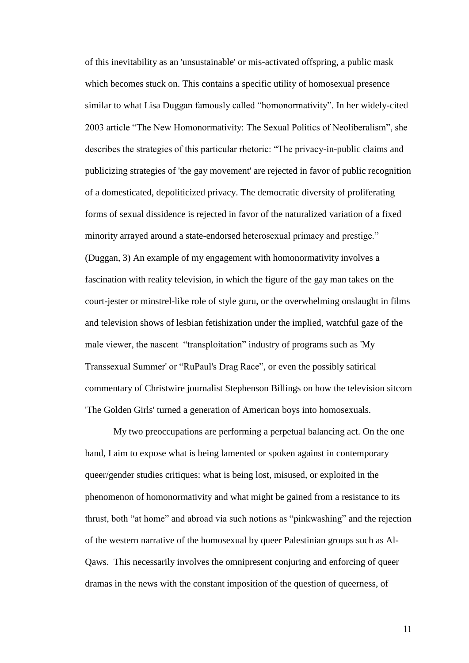of this inevitability as an 'unsustainable' or mis-activated offspring, a public mask which becomes stuck on. This contains a specific utility of homosexual presence similar to what Lisa Duggan famously called "homonormativity". In her widely-cited 2003 article "The New Homonormativity: The Sexual Politics of Neoliberalism", she describes the strategies of this particular rhetoric: "The privacy-in-public claims and publicizing strategies of 'the gay movement' are rejected in favor of public recognition of a domesticated, depoliticized privacy. The democratic diversity of proliferating forms of sexual dissidence is rejected in favor of the naturalized variation of a fixed minority arrayed around a state-endorsed heterosexual primacy and prestige." (Duggan, 3) An example of my engagement with homonormativity involves a fascination with reality television, in which the figure of the gay man takes on the court-jester or minstrel-like role of style guru, or the overwhelming onslaught in films and television shows of lesbian fetishization under the implied, watchful gaze of the male viewer, the nascent "transploitation" industry of programs such as 'My Transsexual Summer' or "RuPaul's Drag Race", or even the possibly satirical commentary of Christwire journalist Stephenson Billings on how the television sitcom 'The Golden Girls' turned a generation of American boys into homosexuals.

My two preoccupations are performing a perpetual balancing act. On the one hand, I aim to expose what is being lamented or spoken against in contemporary queer/gender studies critiques: what is being lost, misused, or exploited in the phenomenon of homonormativity and what might be gained from a resistance to its thrust, both "at home" and abroad via such notions as "pinkwashing" and the rejection of the western narrative of the homosexual by queer Palestinian groups such as Al-Qaws. This necessarily involves the omnipresent conjuring and enforcing of queer dramas in the news with the constant imposition of the question of queerness, of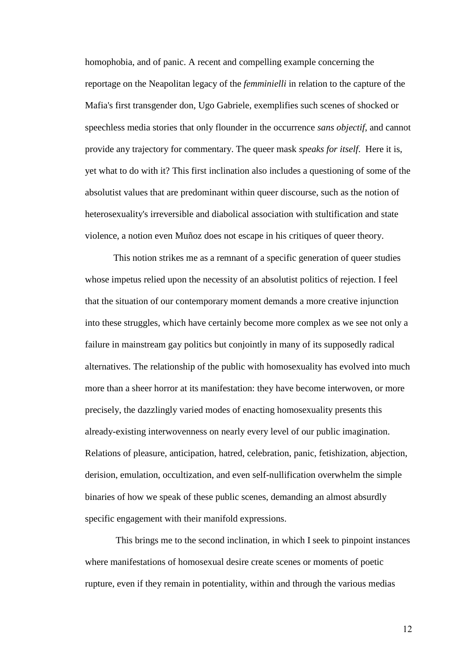homophobia, and of panic. A recent and compelling example concerning the reportage on the Neapolitan legacy of the *femminielli* in relation to the capture of the Mafia's first transgender don, Ugo Gabriele, exemplifies such scenes of shocked or speechless media stories that only flounder in the occurrence *sans objectif*, and cannot provide any trajectory for commentary. The queer mask *speaks for itself*. Here it is, yet what to do with it? This first inclination also includes a questioning of some of the absolutist values that are predominant within queer discourse, such as the notion of heterosexuality's irreversible and diabolical association with stultification and state violence, a notion even Muñoz does not escape in his critiques of queer theory.

This notion strikes me as a remnant of a specific generation of queer studies whose impetus relied upon the necessity of an absolutist politics of rejection. I feel that the situation of our contemporary moment demands a more creative injunction into these struggles, which have certainly become more complex as we see not only a failure in mainstream gay politics but conjointly in many of its supposedly radical alternatives. The relationship of the public with homosexuality has evolved into much more than a sheer horror at its manifestation: they have become interwoven, or more precisely, the dazzlingly varied modes of enacting homosexuality presents this already-existing interwovenness on nearly every level of our public imagination. Relations of pleasure, anticipation, hatred, celebration, panic, fetishization, abjection, derision, emulation, occultization, and even self-nullification overwhelm the simple binaries of how we speak of these public scenes, demanding an almost absurdly specific engagement with their manifold expressions.

This brings me to the second inclination, in which I seek to pinpoint instances where manifestations of homosexual desire create scenes or moments of poetic rupture, even if they remain in potentiality, within and through the various medias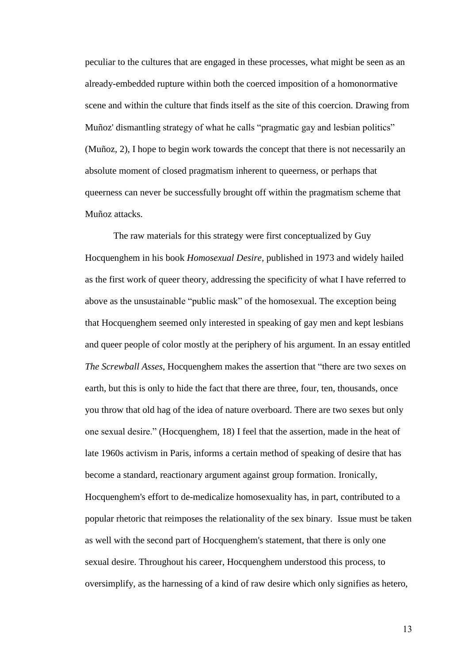peculiar to the cultures that are engaged in these processes, what might be seen as an already-embedded rupture within both the coerced imposition of a homonormative scene and within the culture that finds itself as the site of this coercion. Drawing from Muñoz' dismantling strategy of what he calls "pragmatic gay and lesbian politics" (Muñoz, 2), I hope to begin work towards the concept that there is not necessarily an absolute moment of closed pragmatism inherent to queerness, or perhaps that queerness can never be successfully brought off within the pragmatism scheme that Muñoz attacks.

The raw materials for this strategy were first conceptualized by Guy Hocquenghem in his book *Homosexual Desire,* published in 1973 and widely hailed as the first work of queer theory, addressing the specificity of what I have referred to above as the unsustainable "public mask" of the homosexual. The exception being that Hocquenghem seemed only interested in speaking of gay men and kept lesbians and queer people of color mostly at the periphery of his argument. In an essay entitled *The Screwball Asses*, Hocquenghem makes the assertion that "there are two sexes on earth, but this is only to hide the fact that there are three, four, ten, thousands, once you throw that old hag of the idea of nature overboard. There are two sexes but only one sexual desire." (Hocquenghem, 18) I feel that the assertion, made in the heat of late 1960s activism in Paris, informs a certain method of speaking of desire that has become a standard, reactionary argument against group formation. Ironically, Hocquenghem's effort to de-medicalize homosexuality has, in part, contributed to a popular rhetoric that reimposes the relationality of the sex binary. Issue must be taken as well with the second part of Hocquenghem's statement, that there is only one sexual desire. Throughout his career, Hocquenghem understood this process, to oversimplify, as the harnessing of a kind of raw desire which only signifies as hetero,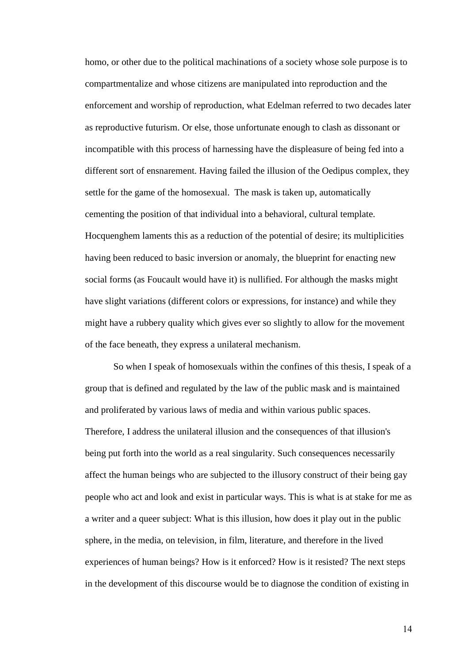homo, or other due to the political machinations of a society whose sole purpose is to compartmentalize and whose citizens are manipulated into reproduction and the enforcement and worship of reproduction, what Edelman referred to two decades later as reproductive futurism. Or else, those unfortunate enough to clash as dissonant or incompatible with this process of harnessing have the displeasure of being fed into a different sort of ensnarement. Having failed the illusion of the Oedipus complex, they settle for the game of the homosexual. The mask is taken up, automatically cementing the position of that individual into a behavioral, cultural template. Hocquenghem laments this as a reduction of the potential of desire; its multiplicities having been reduced to basic inversion or anomaly, the blueprint for enacting new social forms (as Foucault would have it) is nullified. For although the masks might have slight variations (different colors or expressions, for instance) and while they might have a rubbery quality which gives ever so slightly to allow for the movement of the face beneath, they express a unilateral mechanism.

So when I speak of homosexuals within the confines of this thesis, I speak of a group that is defined and regulated by the law of the public mask and is maintained and proliferated by various laws of media and within various public spaces. Therefore, I address the unilateral illusion and the consequences of that illusion's being put forth into the world as a real singularity. Such consequences necessarily affect the human beings who are subjected to the illusory construct of their being gay people who act and look and exist in particular ways. This is what is at stake for me as a writer and a queer subject: What is this illusion, how does it play out in the public sphere, in the media, on television, in film, literature, and therefore in the lived experiences of human beings? How is it enforced? How is it resisted? The next steps in the development of this discourse would be to diagnose the condition of existing in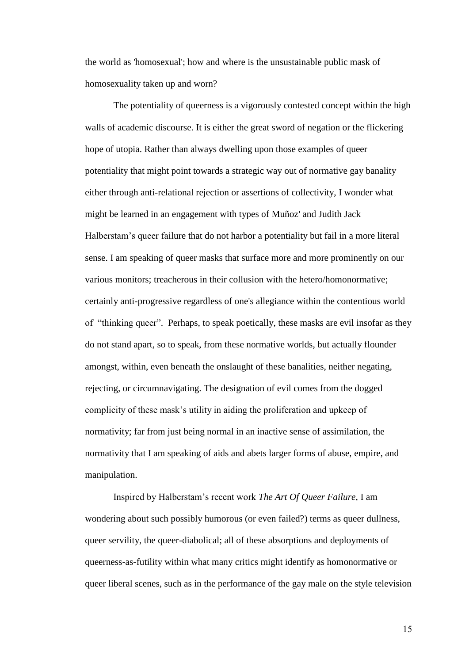the world as 'homosexual'; how and where is the unsustainable public mask of homosexuality taken up and worn?

The potentiality of queerness is a vigorously contested concept within the high walls of academic discourse. It is either the great sword of negation or the flickering hope of utopia. Rather than always dwelling upon those examples of queer potentiality that might point towards a strategic way out of normative gay banality either through anti-relational rejection or assertions of collectivity, I wonder what might be learned in an engagement with types of Muñoz' and Judith Jack Halberstam's queer failure that do not harbor a potentiality but fail in a more literal sense. I am speaking of queer masks that surface more and more prominently on our various monitors; treacherous in their collusion with the hetero/homonormative; certainly anti-progressive regardless of one's allegiance within the contentious world of "thinking queer". Perhaps, to speak poetically, these masks are evil insofar as they do not stand apart, so to speak, from these normative worlds, but actually flounder amongst, within, even beneath the onslaught of these banalities, neither negating, rejecting, or circumnavigating. The designation of evil comes from the dogged complicity of these mask's utility in aiding the proliferation and upkeep of normativity; far from just being normal in an inactive sense of assimilation, the normativity that I am speaking of aids and abets larger forms of abuse, empire, and manipulation.

Inspired by Halberstam's recent work *The Art Of Queer Failure*, I am wondering about such possibly humorous (or even failed?) terms as queer dullness, queer servility, the queer-diabolical; all of these absorptions and deployments of queerness-as-futility within what many critics might identify as homonormative or queer liberal scenes, such as in the performance of the gay male on the style television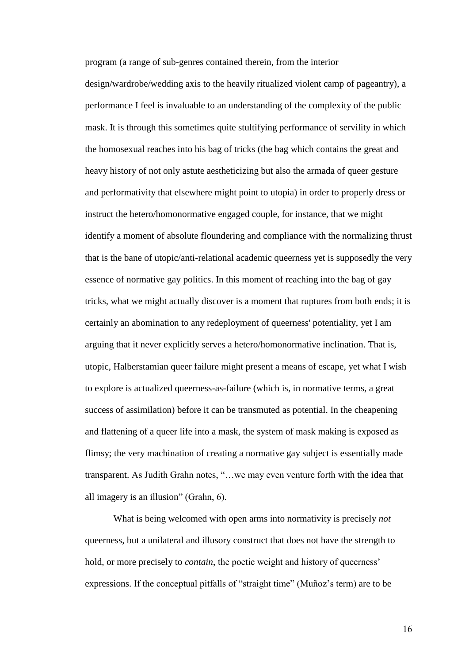program (a range of sub-genres contained therein, from the interior

design/wardrobe/wedding axis to the heavily ritualized violent camp of pageantry), a performance I feel is invaluable to an understanding of the complexity of the public mask. It is through this sometimes quite stultifying performance of servility in which the homosexual reaches into his bag of tricks (the bag which contains the great and heavy history of not only astute aestheticizing but also the armada of queer gesture and performativity that elsewhere might point to utopia) in order to properly dress or instruct the hetero/homonormative engaged couple, for instance, that we might identify a moment of absolute floundering and compliance with the normalizing thrust that is the bane of utopic/anti-relational academic queerness yet is supposedly the very essence of normative gay politics. In this moment of reaching into the bag of gay tricks, what we might actually discover is a moment that ruptures from both ends; it is certainly an abomination to any redeployment of queerness' potentiality, yet I am arguing that it never explicitly serves a hetero/homonormative inclination. That is, utopic, Halberstamian queer failure might present a means of escape, yet what I wish to explore is actualized queerness-as-failure (which is, in normative terms, a great success of assimilation) before it can be transmuted as potential. In the cheapening and flattening of a queer life into a mask, the system of mask making is exposed as flimsy; the very machination of creating a normative gay subject is essentially made transparent. As Judith Grahn notes, "…we may even venture forth with the idea that all imagery is an illusion" (Grahn, 6).

What is being welcomed with open arms into normativity is precisely *not*  queerness, but a unilateral and illusory construct that does not have the strength to hold, or more precisely to *contain*, the poetic weight and history of queerness' expressions. If the conceptual pitfalls of "straight time" (Muñoz's term) are to be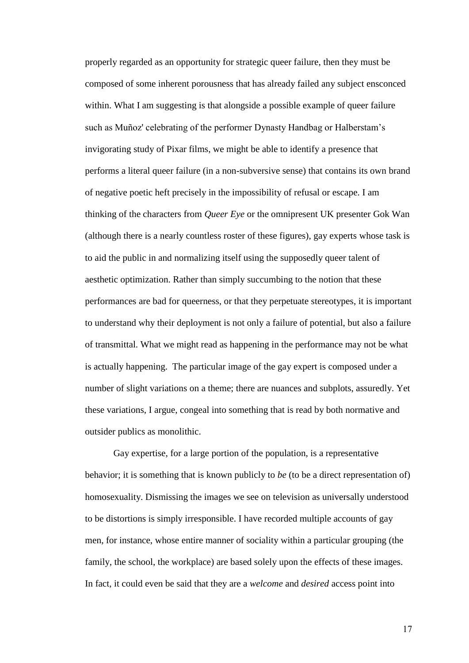properly regarded as an opportunity for strategic queer failure, then they must be composed of some inherent porousness that has already failed any subject ensconced within. What I am suggesting is that alongside a possible example of queer failure such as Muñoz' celebrating of the performer Dynasty Handbag or Halberstam's invigorating study of Pixar films, we might be able to identify a presence that performs a literal queer failure (in a non-subversive sense) that contains its own brand of negative poetic heft precisely in the impossibility of refusal or escape. I am thinking of the characters from *Queer Eye* or the omnipresent UK presenter Gok Wan (although there is a nearly countless roster of these figures), gay experts whose task is to aid the public in and normalizing itself using the supposedly queer talent of aesthetic optimization. Rather than simply succumbing to the notion that these performances are bad for queerness, or that they perpetuate stereotypes, it is important to understand why their deployment is not only a failure of potential, but also a failure of transmittal. What we might read as happening in the performance may not be what is actually happening. The particular image of the gay expert is composed under a number of slight variations on a theme; there are nuances and subplots, assuredly. Yet these variations, I argue, congeal into something that is read by both normative and outsider publics as monolithic.

Gay expertise, for a large portion of the population, is a representative behavior; it is something that is known publicly to *be* (to be a direct representation of) homosexuality. Dismissing the images we see on television as universally understood to be distortions is simply irresponsible. I have recorded multiple accounts of gay men, for instance, whose entire manner of sociality within a particular grouping (the family, the school, the workplace) are based solely upon the effects of these images. In fact, it could even be said that they are a *welcome* and *desired* access point into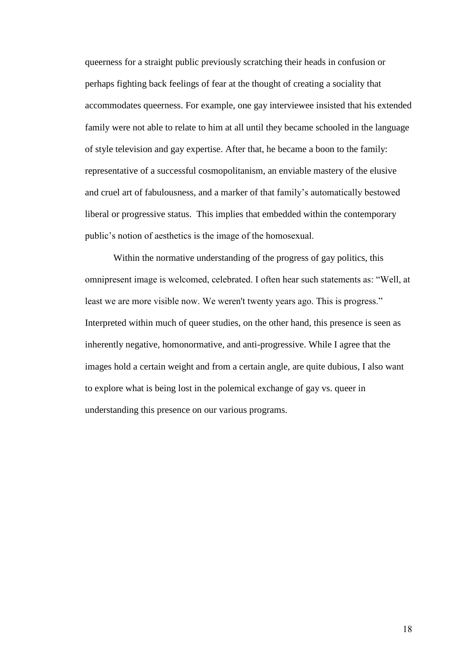queerness for a straight public previously scratching their heads in confusion or perhaps fighting back feelings of fear at the thought of creating a sociality that accommodates queerness. For example, one gay interviewee insisted that his extended family were not able to relate to him at all until they became schooled in the language of style television and gay expertise. After that, he became a boon to the family: representative of a successful cosmopolitanism, an enviable mastery of the elusive and cruel art of fabulousness, and a marker of that family's automatically bestowed liberal or progressive status. This implies that embedded within the contemporary public's notion of aesthetics is the image of the homosexual.

Within the normative understanding of the progress of gay politics, this omnipresent image is welcomed, celebrated. I often hear such statements as: "Well, at least we are more visible now. We weren't twenty years ago. This is progress." Interpreted within much of queer studies, on the other hand, this presence is seen as inherently negative, homonormative, and anti-progressive. While I agree that the images hold a certain weight and from a certain angle, are quite dubious, I also want to explore what is being lost in the polemical exchange of gay vs. queer in understanding this presence on our various programs.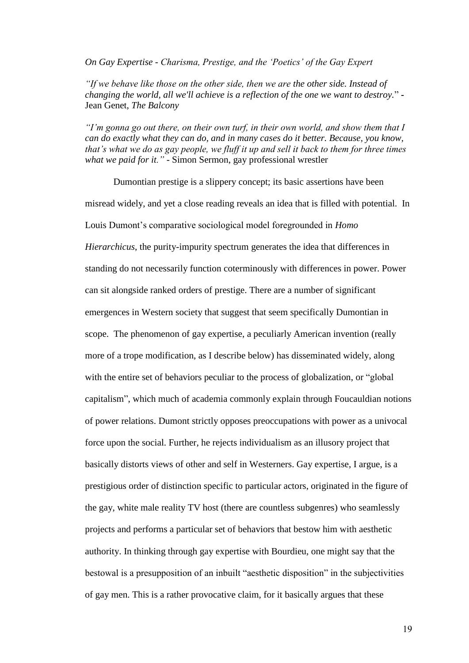*On Gay Expertise - Charisma, Prestige, and the 'Poetics' of the Gay Expert*

*"If we behave like those on the other side, then we are the other side. Instead of changing the world, all we'll achieve is a reflection of the one we want to destroy.*" **-** Jean Genet, *The Balcony*

*"I'm gonna go out there, on their own turf, in their own world, and show them that I can do exactly what they can do, and in many cases do it better. Because, you know, that's what we do as gay people, we fluff it up and sell it back to them for three times what we paid for it." -* Simon Sermon, gay professional wrestler

Dumontian prestige is a slippery concept; its basic assertions have been misread widely, and yet a close reading reveals an idea that is filled with potential. In Louis Dumont's comparative sociological model foregrounded in *Homo Hierarchicus*, the purity-impurity spectrum generates the idea that differences in standing do not necessarily function coterminously with differences in power. Power can sit alongside ranked orders of prestige. There are a number of significant emergences in Western society that suggest that seem specifically Dumontian in scope. The phenomenon of gay expertise, a peculiarly American invention (really more of a trope modification, as I describe below) has disseminated widely, along with the entire set of behaviors peculiar to the process of globalization, or "global capitalism", which much of academia commonly explain through Foucauldian notions of power relations. Dumont strictly opposes preoccupations with power as a univocal force upon the social. Further, he rejects individualism as an illusory project that basically distorts views of other and self in Westerners. Gay expertise, I argue, is a prestigious order of distinction specific to particular actors, originated in the figure of the gay, white male reality TV host (there are countless subgenres) who seamlessly projects and performs a particular set of behaviors that bestow him with aesthetic authority. In thinking through gay expertise with Bourdieu, one might say that the bestowal is a presupposition of an inbuilt "aesthetic disposition" in the subjectivities of gay men. This is a rather provocative claim, for it basically argues that these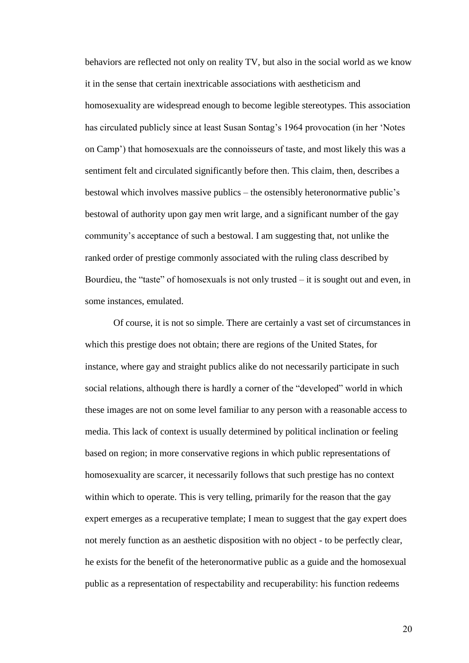behaviors are reflected not only on reality TV, but also in the social world as we know it in the sense that certain inextricable associations with aestheticism and homosexuality are widespread enough to become legible stereotypes. This association has circulated publicly since at least Susan Sontag's 1964 provocation (in her 'Notes on Camp') that homosexuals are the connoisseurs of taste, and most likely this was a sentiment felt and circulated significantly before then. This claim, then, describes a bestowal which involves massive publics – the ostensibly heteronormative public's bestowal of authority upon gay men writ large, and a significant number of the gay community's acceptance of such a bestowal. I am suggesting that, not unlike the ranked order of prestige commonly associated with the ruling class described by Bourdieu, the "taste" of homosexuals is not only trusted – it is sought out and even, in some instances, emulated.

Of course, it is not so simple. There are certainly a vast set of circumstances in which this prestige does not obtain; there are regions of the United States, for instance, where gay and straight publics alike do not necessarily participate in such social relations, although there is hardly a corner of the "developed" world in which these images are not on some level familiar to any person with a reasonable access to media. This lack of context is usually determined by political inclination or feeling based on region; in more conservative regions in which public representations of homosexuality are scarcer, it necessarily follows that such prestige has no context within which to operate. This is very telling, primarily for the reason that the gay expert emerges as a recuperative template; I mean to suggest that the gay expert does not merely function as an aesthetic disposition with no object - to be perfectly clear, he exists for the benefit of the heteronormative public as a guide and the homosexual public as a representation of respectability and recuperability: his function redeems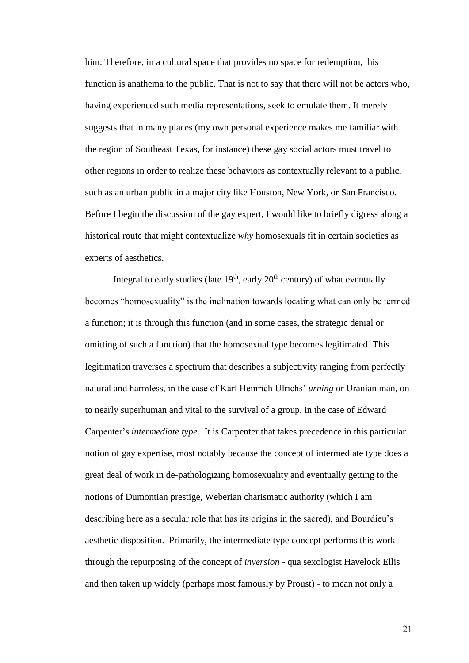him. Therefore, in a cultural space that provides no space for redemption, this function is anathema to the public. That is not to say that there will not be actors who, having experienced such media representations, seek to emulate them. It merely suggests that in many places (my own personal experience makes me familiar with the region of Southeast Texas, for instance) these gay social actors must travel to other regions in order to realize these behaviors as contextually relevant to a public, such as an urban public in a major city like Houston, New York, or San Francisco. Before I begin the discussion of the gay expert, I would like to briefly digress along a historical route that might contextualize *why* homosexuals fit in certain societies as experts of aesthetics.

Integral to early studies (late  $19<sup>th</sup>$ , early  $20<sup>th</sup>$  century) of what eventually becomes "homosexuality" is the inclination towards locating what can only be termed a function; it is through this function (and in some cases, the strategic denial or omitting of such a function) that the homosexual type becomes legitimated. This legitimation traverses a spectrum that describes a subjectivity ranging from perfectly natural and harmless, in the case of Karl Heinrich Ulrichs' *urning* or Uranian man, on to nearly superhuman and vital to the survival of a group, in the case of Edward Carpenter's *intermediate type*. It is Carpenter that takes precedence in this particular notion of gay expertise, most notably because the concept of intermediate type does a great deal of work in de-pathologizing homosexuality and eventually getting to the notions of Dumontian prestige, Weberian charismatic authority (which I am describing here as a secular role that has its origins in the sacred), and Bourdieu's aesthetic disposition. Primarily, the intermediate type concept performs this work through the repurposing of the concept of *inversion* - qua sexologist Havelock Ellis and then taken up widely (perhaps most famously by Proust) - to mean not only a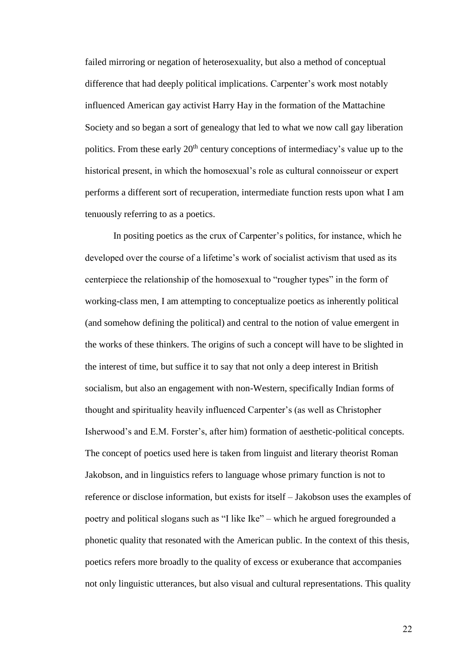failed mirroring or negation of heterosexuality, but also a method of conceptual difference that had deeply political implications. Carpenter's work most notably influenced American gay activist Harry Hay in the formation of the Mattachine Society and so began a sort of genealogy that led to what we now call gay liberation politics. From these early  $20<sup>th</sup>$  century conceptions of intermediacy's value up to the historical present, in which the homosexual's role as cultural connoisseur or expert performs a different sort of recuperation, intermediate function rests upon what I am tenuously referring to as a poetics.

In positing poetics as the crux of Carpenter's politics, for instance, which he developed over the course of a lifetime's work of socialist activism that used as its centerpiece the relationship of the homosexual to "rougher types" in the form of working-class men, I am attempting to conceptualize poetics as inherently political (and somehow defining the political) and central to the notion of value emergent in the works of these thinkers. The origins of such a concept will have to be slighted in the interest of time, but suffice it to say that not only a deep interest in British socialism, but also an engagement with non-Western, specifically Indian forms of thought and spirituality heavily influenced Carpenter's (as well as Christopher Isherwood's and E.M. Forster's, after him) formation of aesthetic-political concepts. The concept of poetics used here is taken from linguist and literary theorist Roman Jakobson, and in linguistics refers to language whose primary function is not to reference or disclose information, but exists for itself – Jakobson uses the examples of poetry and political slogans such as "I like Ike" – which he argued foregrounded a phonetic quality that resonated with the American public. In the context of this thesis, poetics refers more broadly to the quality of excess or exuberance that accompanies not only linguistic utterances, but also visual and cultural representations. This quality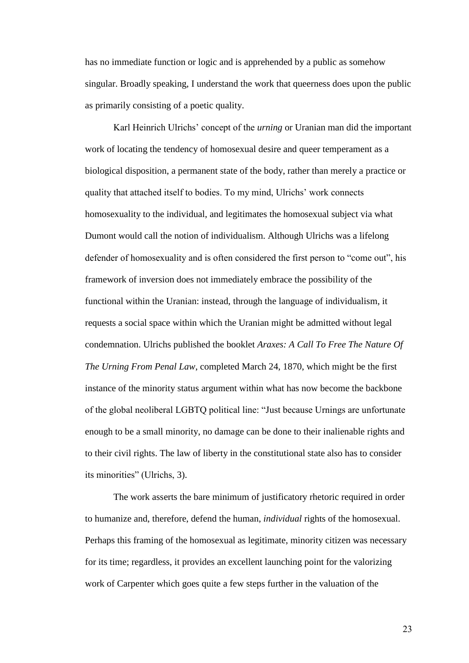has no immediate function or logic and is apprehended by a public as somehow singular. Broadly speaking, I understand the work that queerness does upon the public as primarily consisting of a poetic quality.

Karl Heinrich Ulrichs' concept of the *urning* or Uranian man did the important work of locating the tendency of homosexual desire and queer temperament as a biological disposition, a permanent state of the body, rather than merely a practice or quality that attached itself to bodies. To my mind, Ulrichs' work connects homosexuality to the individual, and legitimates the homosexual subject via what Dumont would call the notion of individualism. Although Ulrichs was a lifelong defender of homosexuality and is often considered the first person to "come out", his framework of inversion does not immediately embrace the possibility of the functional within the Uranian: instead, through the language of individualism, it requests a social space within which the Uranian might be admitted without legal condemnation. Ulrichs published the booklet *Araxes: A Call To Free The Nature Of The Urning From Penal Law*, completed March 24, 1870, which might be the first instance of the minority status argument within what has now become the backbone of the global neoliberal LGBTQ political line: "Just because Urnings are unfortunate enough to be a small minority, no damage can be done to their inalienable rights and to their civil rights. The law of liberty in the constitutional state also has to consider its minorities" (Ulrichs, 3).

The work asserts the bare minimum of justificatory rhetoric required in order to humanize and, therefore, defend the human, *individual* rights of the homosexual. Perhaps this framing of the homosexual as legitimate, minority citizen was necessary for its time; regardless, it provides an excellent launching point for the valorizing work of Carpenter which goes quite a few steps further in the valuation of the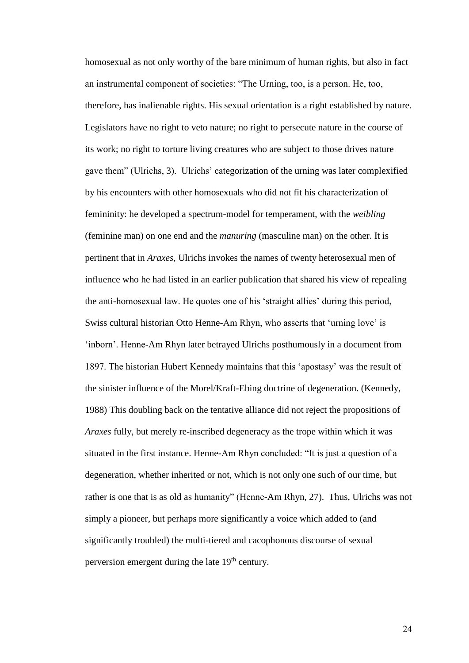homosexual as not only worthy of the bare minimum of human rights, but also in fact an instrumental component of societies: "The Urning, too, is a person. He, too, therefore, has inalienable rights. His sexual orientation is a right established by nature. Legislators have no right to veto nature; no right to persecute nature in the course of its work; no right to torture living creatures who are subject to those drives nature gave them" (Ulrichs, 3). Ulrichs' categorization of the urning was later complexified by his encounters with other homosexuals who did not fit his characterization of femininity: he developed a spectrum-model for temperament, with the *weibling*  (feminine man) on one end and the *manuring* (masculine man) on the other. It is pertinent that in *Araxes*, Ulrichs invokes the names of twenty heterosexual men of influence who he had listed in an earlier publication that shared his view of repealing the anti-homosexual law. He quotes one of his 'straight allies' during this period, Swiss cultural historian Otto Henne-Am Rhyn, who asserts that 'urning love' is 'inborn'. Henne-Am Rhyn later betrayed Ulrichs posthumously in a document from 1897. The historian Hubert Kennedy maintains that this 'apostasy' was the result of the sinister influence of the Morel/Kraft-Ebing doctrine of degeneration. (Kennedy, 1988) This doubling back on the tentative alliance did not reject the propositions of *Araxes* fully, but merely re-inscribed degeneracy as the trope within which it was situated in the first instance. Henne-Am Rhyn concluded: "It is just a question of a degeneration, whether inherited or not, which is not only one such of our time, but rather is one that is as old as humanity" (Henne-Am Rhyn, 27). Thus, Ulrichs was not simply a pioneer, but perhaps more significantly a voice which added to (and significantly troubled) the multi-tiered and cacophonous discourse of sexual perversion emergent during the late  $19<sup>th</sup>$  century.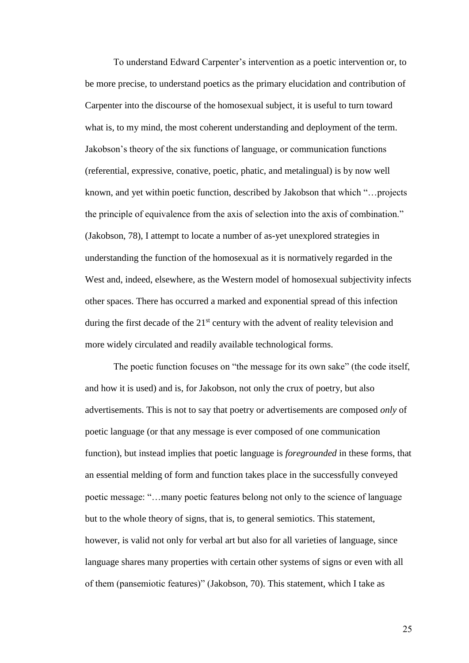To understand Edward Carpenter's intervention as a poetic intervention or, to be more precise, to understand poetics as the primary elucidation and contribution of Carpenter into the discourse of the homosexual subject, it is useful to turn toward what is, to my mind, the most coherent understanding and deployment of the term. Jakobson's theory of the six functions of language, or communication functions (referential, expressive, conative, poetic, phatic, and metalingual) is by now well known, and yet within poetic function, described by Jakobson that which "…projects the principle of equivalence from the axis of selection into the axis of combination." (Jakobson, 78), I attempt to locate a number of as-yet unexplored strategies in understanding the function of the homosexual as it is normatively regarded in the West and, indeed, elsewhere, as the Western model of homosexual subjectivity infects other spaces. There has occurred a marked and exponential spread of this infection during the first decade of the  $21<sup>st</sup>$  century with the advent of reality television and more widely circulated and readily available technological forms.

The poetic function focuses on "the message for its own sake" (the code itself, and how it is used) and is, for Jakobson, not only the crux of poetry, but also advertisements. This is not to say that poetry or advertisements are composed *only* of poetic language (or that any message is ever composed of one communication function), but instead implies that poetic language is *foregrounded* in these forms, that an essential melding of form and function takes place in the successfully conveyed poetic message: "…many poetic features belong not only to the science of language but to the whole theory of signs, that is, to general semiotics. This statement, however, is valid not only for verbal art but also for all varieties of language, since language shares many properties with certain other systems of signs or even with all of them (pansemiotic features)" (Jakobson, 70). This statement, which I take as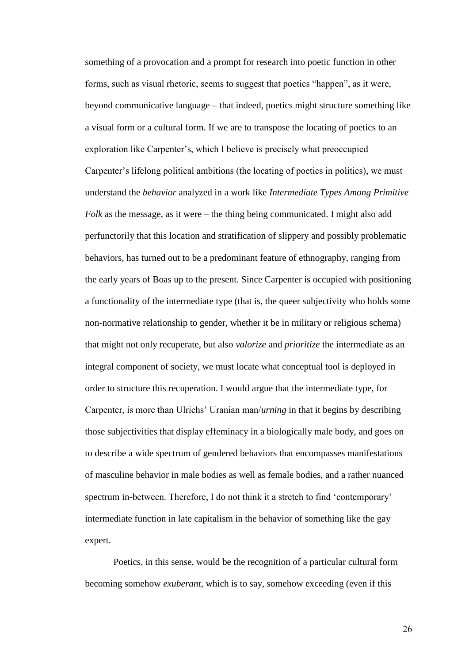something of a provocation and a prompt for research into poetic function in other forms, such as visual rhetoric, seems to suggest that poetics "happen", as it were, beyond communicative language – that indeed, poetics might structure something like a visual form or a cultural form. If we are to transpose the locating of poetics to an exploration like Carpenter's, which I believe is precisely what preoccupied Carpenter's lifelong political ambitions (the locating of poetics in politics), we must understand the *behavior* analyzed in a work like *Intermediate Types Among Primitive Folk* as the message, as it were – the thing being communicated. I might also add perfunctorily that this location and stratification of slippery and possibly problematic behaviors, has turned out to be a predominant feature of ethnography, ranging from the early years of Boas up to the present. Since Carpenter is occupied with positioning a functionality of the intermediate type (that is, the queer subjectivity who holds some non-normative relationship to gender, whether it be in military or religious schema) that might not only recuperate, but also *valorize* and *prioritize* the intermediate as an integral component of society, we must locate what conceptual tool is deployed in order to structure this recuperation. I would argue that the intermediate type, for Carpenter, is more than Ulrichs' Uranian man/*urning* in that it begins by describing those subjectivities that display effeminacy in a biologically male body, and goes on to describe a wide spectrum of gendered behaviors that encompasses manifestations of masculine behavior in male bodies as well as female bodies, and a rather nuanced spectrum in-between. Therefore, I do not think it a stretch to find 'contemporary' intermediate function in late capitalism in the behavior of something like the gay expert.

Poetics, in this sense, would be the recognition of a particular cultural form becoming somehow *exuberant*, which is to say, somehow exceeding (even if this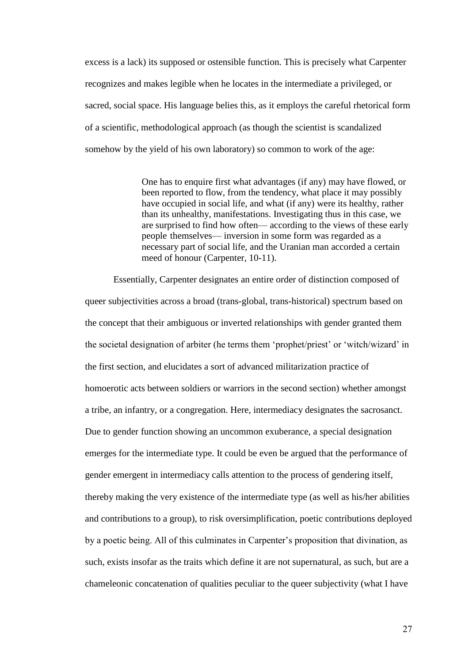excess is a lack) its supposed or ostensible function. This is precisely what Carpenter recognizes and makes legible when he locates in the intermediate a privileged, or sacred, social space. His language belies this, as it employs the careful rhetorical form of a scientific, methodological approach (as though the scientist is scandalized somehow by the yield of his own laboratory) so common to work of the age:

> One has to enquire first what advantages (if any) may have flowed, or been reported to flow, from the tendency, what place it may possibly have occupied in social life, and what (if any) were its healthy, rather than its unhealthy, manifestations. Investigating thus in this case, we are surprised to find how often— according to the views of these early people themselves— inversion in some form was regarded as a necessary part of social life, and the Uranian man accorded a certain meed of honour (Carpenter, 10-11).

Essentially, Carpenter designates an entire order of distinction composed of queer subjectivities across a broad (trans-global, trans-historical) spectrum based on the concept that their ambiguous or inverted relationships with gender granted them the societal designation of arbiter (he terms them 'prophet/priest' or 'witch/wizard' in the first section, and elucidates a sort of advanced militarization practice of homoerotic acts between soldiers or warriors in the second section) whether amongst a tribe, an infantry, or a congregation. Here, intermediacy designates the sacrosanct. Due to gender function showing an uncommon exuberance, a special designation emerges for the intermediate type. It could be even be argued that the performance of gender emergent in intermediacy calls attention to the process of gendering itself, thereby making the very existence of the intermediate type (as well as his/her abilities and contributions to a group), to risk oversimplification, poetic contributions deployed by a poetic being. All of this culminates in Carpenter's proposition that divination, as such, exists insofar as the traits which define it are not supernatural, as such, but are a chameleonic concatenation of qualities peculiar to the queer subjectivity (what I have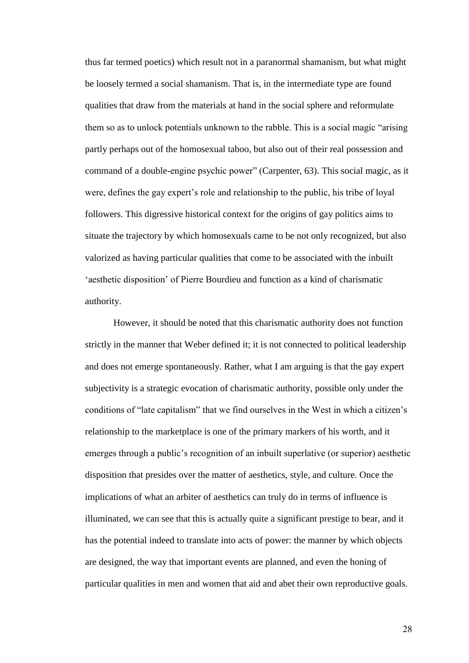thus far termed poetics) which result not in a paranormal shamanism, but what might be loosely termed a social shamanism. That is, in the intermediate type are found qualities that draw from the materials at hand in the social sphere and reformulate them so as to unlock potentials unknown to the rabble. This is a social magic "arising partly perhaps out of the homosexual taboo, but also out of their real possession and command of a double-engine psychic power" (Carpenter, 63). This social magic, as it were, defines the gay expert's role and relationship to the public, his tribe of loyal followers. This digressive historical context for the origins of gay politics aims to situate the trajectory by which homosexuals came to be not only recognized, but also valorized as having particular qualities that come to be associated with the inbuilt 'aesthetic disposition' of Pierre Bourdieu and function as a kind of charismatic authority.

However, it should be noted that this charismatic authority does not function strictly in the manner that Weber defined it; it is not connected to political leadership and does not emerge spontaneously. Rather, what I am arguing is that the gay expert subjectivity is a strategic evocation of charismatic authority, possible only under the conditions of "late capitalism" that we find ourselves in the West in which a citizen's relationship to the marketplace is one of the primary markers of his worth, and it emerges through a public's recognition of an inbuilt superlative (or superior) aesthetic disposition that presides over the matter of aesthetics, style, and culture. Once the implications of what an arbiter of aesthetics can truly do in terms of influence is illuminated, we can see that this is actually quite a significant prestige to bear, and it has the potential indeed to translate into acts of power: the manner by which objects are designed, the way that important events are planned, and even the honing of particular qualities in men and women that aid and abet their own reproductive goals.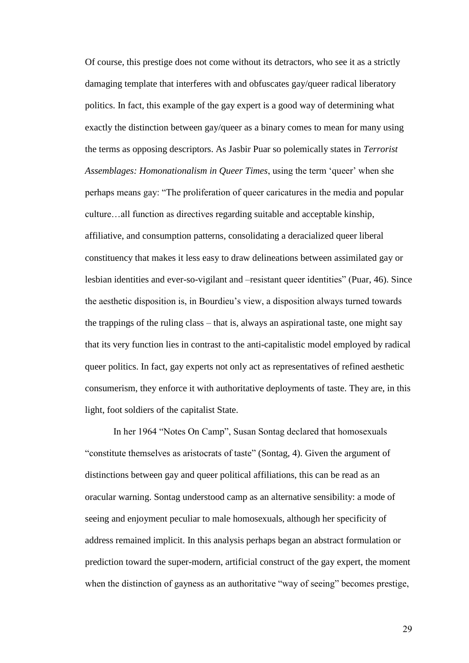Of course, this prestige does not come without its detractors, who see it as a strictly damaging template that interferes with and obfuscates gay/queer radical liberatory politics. In fact, this example of the gay expert is a good way of determining what exactly the distinction between gay/queer as a binary comes to mean for many using the terms as opposing descriptors. As Jasbir Puar so polemically states in *Terrorist Assemblages: Homonationalism in Queer Times*, using the term 'queer' when she perhaps means gay: "The proliferation of queer caricatures in the media and popular culture…all function as directives regarding suitable and acceptable kinship, affiliative, and consumption patterns, consolidating a deracialized queer liberal constituency that makes it less easy to draw delineations between assimilated gay or lesbian identities and ever-so-vigilant and –resistant queer identities" (Puar, 46). Since the aesthetic disposition is, in Bourdieu's view, a disposition always turned towards the trappings of the ruling class – that is, always an aspirational taste, one might say that its very function lies in contrast to the anti-capitalistic model employed by radical queer politics. In fact, gay experts not only act as representatives of refined aesthetic consumerism, they enforce it with authoritative deployments of taste. They are, in this light, foot soldiers of the capitalist State.

In her 1964 "Notes On Camp", Susan Sontag declared that homosexuals "constitute themselves as aristocrats of taste" (Sontag, 4). Given the argument of distinctions between gay and queer political affiliations, this can be read as an oracular warning. Sontag understood camp as an alternative sensibility: a mode of seeing and enjoyment peculiar to male homosexuals, although her specificity of address remained implicit. In this analysis perhaps began an abstract formulation or prediction toward the super-modern, artificial construct of the gay expert, the moment when the distinction of gayness as an authoritative "way of seeing" becomes prestige,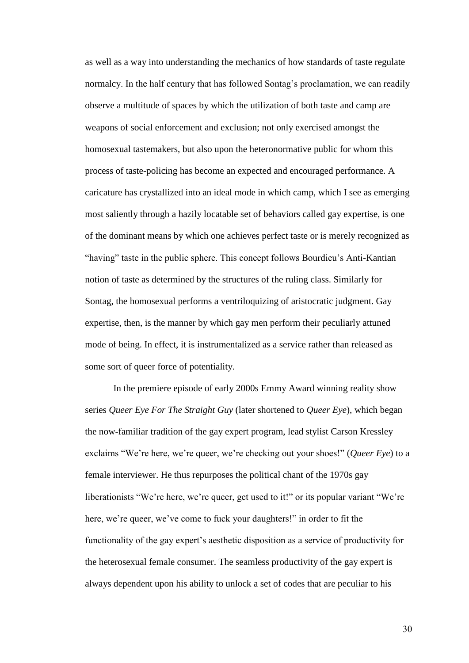as well as a way into understanding the mechanics of how standards of taste regulate normalcy. In the half century that has followed Sontag's proclamation, we can readily observe a multitude of spaces by which the utilization of both taste and camp are weapons of social enforcement and exclusion; not only exercised amongst the homosexual tastemakers, but also upon the heteronormative public for whom this process of taste-policing has become an expected and encouraged performance. A caricature has crystallized into an ideal mode in which camp, which I see as emerging most saliently through a hazily locatable set of behaviors called gay expertise, is one of the dominant means by which one achieves perfect taste or is merely recognized as "having" taste in the public sphere. This concept follows Bourdieu's Anti-Kantian notion of taste as determined by the structures of the ruling class. Similarly for Sontag, the homosexual performs a ventriloquizing of aristocratic judgment. Gay expertise, then, is the manner by which gay men perform their peculiarly attuned mode of being. In effect, it is instrumentalized as a service rather than released as some sort of queer force of potentiality.

In the premiere episode of early 2000s Emmy Award winning reality show series *Queer Eye For The Straight Guy* (later shortened to *Queer Eye*), which began the now-familiar tradition of the gay expert program, lead stylist Carson Kressley exclaims "We're here, we're queer, we're checking out your shoes!" (*Queer Eye*) to a female interviewer. He thus repurposes the political chant of the 1970s gay liberationists "We're here, we're queer, get used to it!" or its popular variant "We're here, we're queer, we've come to fuck your daughters!" in order to fit the functionality of the gay expert's aesthetic disposition as a service of productivity for the heterosexual female consumer. The seamless productivity of the gay expert is always dependent upon his ability to unlock a set of codes that are peculiar to his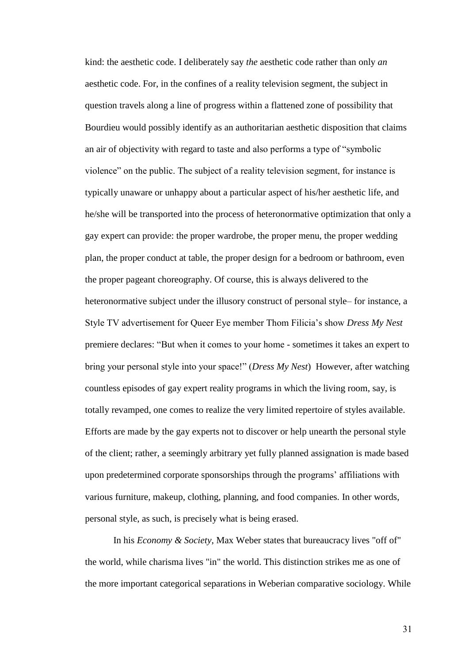kind: the aesthetic code. I deliberately say *the* aesthetic code rather than only *an*  aesthetic code. For, in the confines of a reality television segment, the subject in question travels along a line of progress within a flattened zone of possibility that Bourdieu would possibly identify as an authoritarian aesthetic disposition that claims an air of objectivity with regard to taste and also performs a type of "symbolic violence" on the public. The subject of a reality television segment, for instance is typically unaware or unhappy about a particular aspect of his/her aesthetic life, and he/she will be transported into the process of heteronormative optimization that only a gay expert can provide: the proper wardrobe, the proper menu, the proper wedding plan, the proper conduct at table, the proper design for a bedroom or bathroom, even the proper pageant choreography. Of course, this is always delivered to the heteronormative subject under the illusory construct of personal style– for instance, a Style TV advertisement for Queer Eye member Thom Filicia's show *Dress My Nest* premiere declares: "But when it comes to your home - sometimes it takes an expert to bring your personal style into your space!" (*Dress My Nest*) However, after watching countless episodes of gay expert reality programs in which the living room, say, is totally revamped, one comes to realize the very limited repertoire of styles available. Efforts are made by the gay experts not to discover or help unearth the personal style of the client; rather, a seemingly arbitrary yet fully planned assignation is made based upon predetermined corporate sponsorships through the programs' affiliations with various furniture, makeup, clothing, planning, and food companies. In other words, personal style, as such, is precisely what is being erased.

In his *Economy & Society*, Max Weber states that bureaucracy lives "off of" the world, while charisma lives "in" the world. This distinction strikes me as one of the more important categorical separations in Weberian comparative sociology. While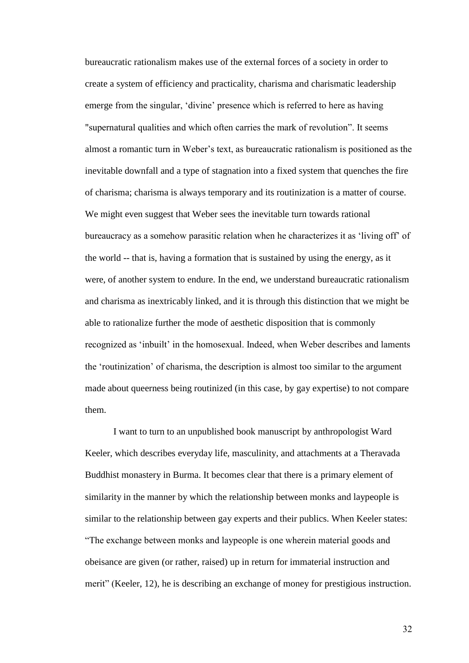bureaucratic rationalism makes use of the external forces of a society in order to create a system of efficiency and practicality, charisma and charismatic leadership emerge from the singular, 'divine' presence which is referred to here as having "supernatural qualities and which often carries the mark of revolution". It seems almost a romantic turn in Weber's text, as bureaucratic rationalism is positioned as the inevitable downfall and a type of stagnation into a fixed system that quenches the fire of charisma; charisma is always temporary and its routinization is a matter of course. We might even suggest that Weber sees the inevitable turn towards rational bureaucracy as a somehow parasitic relation when he characterizes it as 'living off' of the world -- that is, having a formation that is sustained by using the energy, as it were, of another system to endure. In the end, we understand bureaucratic rationalism and charisma as inextricably linked, and it is through this distinction that we might be able to rationalize further the mode of aesthetic disposition that is commonly recognized as 'inbuilt' in the homosexual. Indeed, when Weber describes and laments the 'routinization' of charisma, the description is almost too similar to the argument made about queerness being routinized (in this case, by gay expertise) to not compare them.

I want to turn to an unpublished book manuscript by anthropologist Ward Keeler, which describes everyday life, masculinity, and attachments at a Theravada Buddhist monastery in Burma. It becomes clear that there is a primary element of similarity in the manner by which the relationship between monks and laypeople is similar to the relationship between gay experts and their publics. When Keeler states: "The exchange between monks and laypeople is one wherein material goods and obeisance are given (or rather, raised) up in return for immaterial instruction and merit" (Keeler, 12), he is describing an exchange of money for prestigious instruction.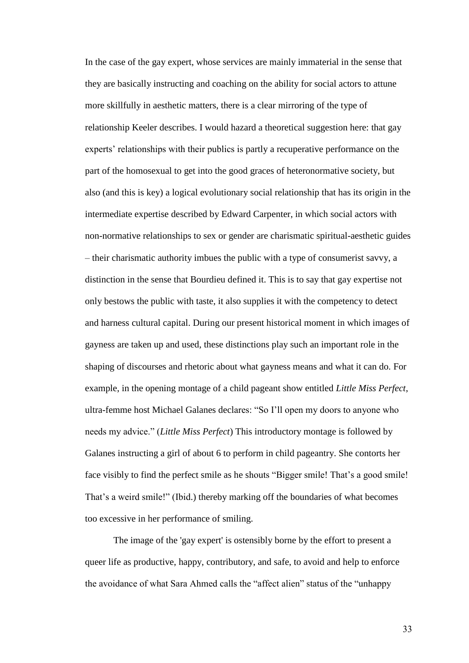In the case of the gay expert, whose services are mainly immaterial in the sense that they are basically instructing and coaching on the ability for social actors to attune more skillfully in aesthetic matters, there is a clear mirroring of the type of relationship Keeler describes. I would hazard a theoretical suggestion here: that gay experts' relationships with their publics is partly a recuperative performance on the part of the homosexual to get into the good graces of heteronormative society, but also (and this is key) a logical evolutionary social relationship that has its origin in the intermediate expertise described by Edward Carpenter, in which social actors with non-normative relationships to sex or gender are charismatic spiritual-aesthetic guides – their charismatic authority imbues the public with a type of consumerist savvy, a distinction in the sense that Bourdieu defined it. This is to say that gay expertise not only bestows the public with taste, it also supplies it with the competency to detect and harness cultural capital. During our present historical moment in which images of gayness are taken up and used, these distinctions play such an important role in the shaping of discourses and rhetoric about what gayness means and what it can do. For example, in the opening montage of a child pageant show entitled *Little Miss Perfect*, ultra-femme host Michael Galanes declares: "So I'll open my doors to anyone who needs my advice." (*Little Miss Perfect*) This introductory montage is followed by Galanes instructing a girl of about 6 to perform in child pageantry. She contorts her face visibly to find the perfect smile as he shouts "Bigger smile! That's a good smile! That's a weird smile!" (Ibid.) thereby marking off the boundaries of what becomes too excessive in her performance of smiling.

The image of the 'gay expert' is ostensibly borne by the effort to present a queer life as productive, happy, contributory, and safe, to avoid and help to enforce the avoidance of what Sara Ahmed calls the "affect alien" status of the "unhappy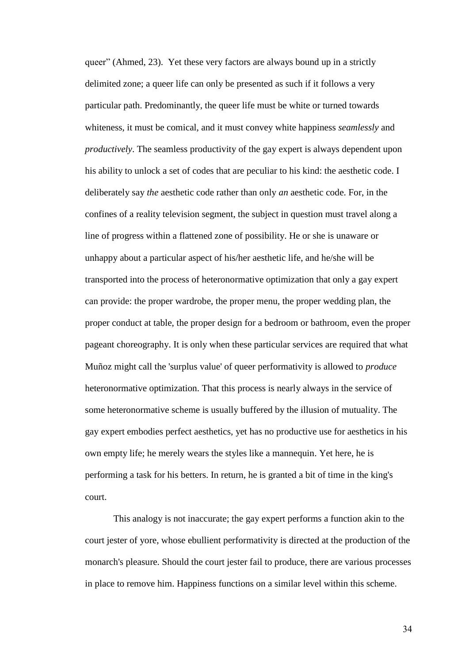queer" (Ahmed, 23). Yet these very factors are always bound up in a strictly delimited zone; a queer life can only be presented as such if it follows a very particular path. Predominantly, the queer life must be white or turned towards whiteness, it must be comical, and it must convey white happiness *seamlessly* and *productively*. The seamless productivity of the gay expert is always dependent upon his ability to unlock a set of codes that are peculiar to his kind: the aesthetic code. I deliberately say *the* aesthetic code rather than only *an* aesthetic code. For, in the confines of a reality television segment, the subject in question must travel along a line of progress within a flattened zone of possibility. He or she is unaware or unhappy about a particular aspect of his/her aesthetic life, and he/she will be transported into the process of heteronormative optimization that only a gay expert can provide: the proper wardrobe, the proper menu, the proper wedding plan, the proper conduct at table, the proper design for a bedroom or bathroom, even the proper pageant choreography. It is only when these particular services are required that what Muñoz might call the 'surplus value' of queer performativity is allowed to *produce*  heteronormative optimization. That this process is nearly always in the service of some heteronormative scheme is usually buffered by the illusion of mutuality. The gay expert embodies perfect aesthetics, yet has no productive use for aesthetics in his own empty life; he merely wears the styles like a mannequin. Yet here, he is performing a task for his betters. In return, he is granted a bit of time in the king's court.

This analogy is not inaccurate; the gay expert performs a function akin to the court jester of yore, whose ebullient performativity is directed at the production of the monarch's pleasure. Should the court jester fail to produce, there are various processes in place to remove him. Happiness functions on a similar level within this scheme.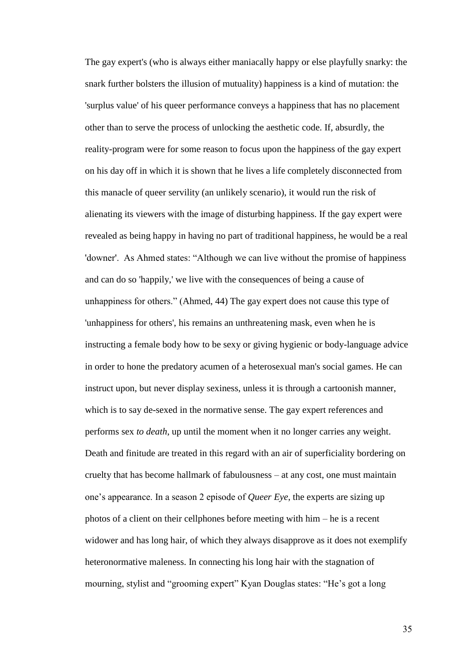The gay expert's (who is always either maniacally happy or else playfully snarky: the snark further bolsters the illusion of mutuality) happiness is a kind of mutation: the 'surplus value' of his queer performance conveys a happiness that has no placement other than to serve the process of unlocking the aesthetic code. If, absurdly, the reality-program were for some reason to focus upon the happiness of the gay expert on his day off in which it is shown that he lives a life completely disconnected from this manacle of queer servility (an unlikely scenario), it would run the risk of alienating its viewers with the image of disturbing happiness. If the gay expert were revealed as being happy in having no part of traditional happiness, he would be a real 'downer'. As Ahmed states: "Although we can live without the promise of happiness and can do so 'happily,' we live with the consequences of being a cause of unhappiness for others." (Ahmed, 44) The gay expert does not cause this type of 'unhappiness for others', his remains an unthreatening mask, even when he is instructing a female body how to be sexy or giving hygienic or body-language advice in order to hone the predatory acumen of a heterosexual man's social games. He can instruct upon, but never display sexiness, unless it is through a cartoonish manner, which is to say de-sexed in the normative sense. The gay expert references and performs sex *to death*, up until the moment when it no longer carries any weight. Death and finitude are treated in this regard with an air of superficiality bordering on cruelty that has become hallmark of fabulousness – at any cost, one must maintain one's appearance. In a season 2 episode of *Queer Eye*, the experts are sizing up photos of a client on their cellphones before meeting with him – he is a recent widower and has long hair, of which they always disapprove as it does not exemplify heteronormative maleness. In connecting his long hair with the stagnation of mourning, stylist and "grooming expert" Kyan Douglas states: "He's got a long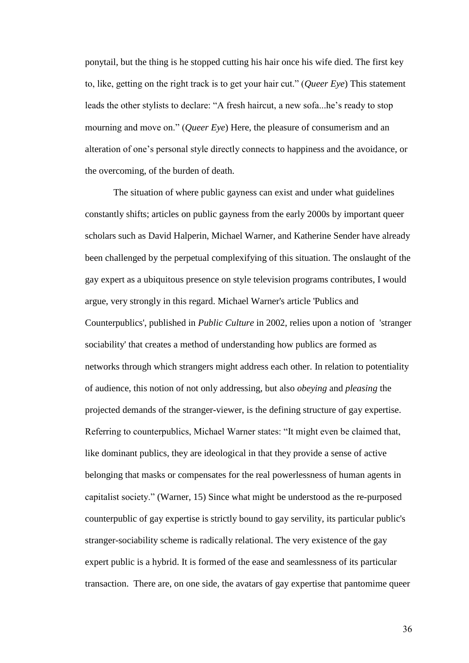ponytail, but the thing is he stopped cutting his hair once his wife died. The first key to, like, getting on the right track is to get your hair cut." (*Queer Eye*) This statement leads the other stylists to declare: "A fresh haircut, a new sofa...he's ready to stop mourning and move on." (*Queer Eye*) Here, the pleasure of consumerism and an alteration of one's personal style directly connects to happiness and the avoidance, or the overcoming, of the burden of death.

The situation of where public gayness can exist and under what guidelines constantly shifts; articles on public gayness from the early 2000s by important queer scholars such as David Halperin, Michael Warner, and Katherine Sender have already been challenged by the perpetual complexifying of this situation. The onslaught of the gay expert as a ubiquitous presence on style television programs contributes, I would argue, very strongly in this regard. Michael Warner's article 'Publics and Counterpublics', published in *Public Culture* in 2002, relies upon a notion of 'stranger sociability' that creates a method of understanding how publics are formed as networks through which strangers might address each other. In relation to potentiality of audience, this notion of not only addressing, but also *obeying* and *pleasing* the projected demands of the stranger-viewer, is the defining structure of gay expertise. Referring to counterpublics, Michael Warner states: "It might even be claimed that, like dominant publics, they are ideological in that they provide a sense of active belonging that masks or compensates for the real powerlessness of human agents in capitalist society." (Warner, 15) Since what might be understood as the re-purposed counterpublic of gay expertise is strictly bound to gay servility, its particular public's stranger-sociability scheme is radically relational. The very existence of the gay expert public is a hybrid. It is formed of the ease and seamlessness of its particular transaction. There are, on one side, the avatars of gay expertise that pantomime queer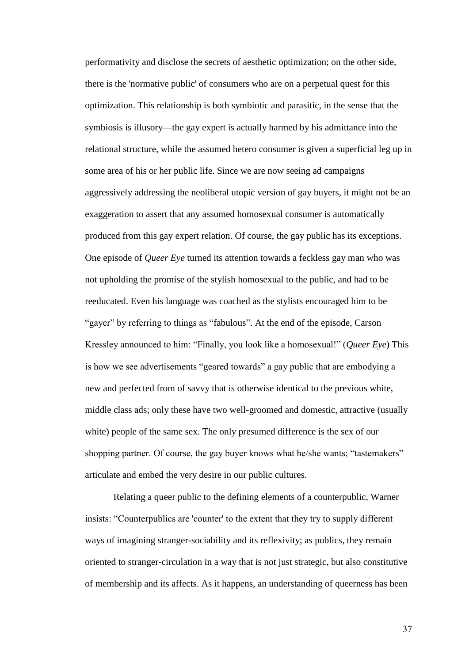performativity and disclose the secrets of aesthetic optimization; on the other side, there is the 'normative public' of consumers who are on a perpetual quest for this optimization. This relationship is both symbiotic and parasitic, in the sense that the symbiosis is illusory—the gay expert is actually harmed by his admittance into the relational structure, while the assumed hetero consumer is given a superficial leg up in some area of his or her public life. Since we are now seeing ad campaigns aggressively addressing the neoliberal utopic version of gay buyers, it might not be an exaggeration to assert that any assumed homosexual consumer is automatically produced from this gay expert relation. Of course, the gay public has its exceptions. One episode of *Queer Eye* turned its attention towards a feckless gay man who was not upholding the promise of the stylish homosexual to the public, and had to be reeducated. Even his language was coached as the stylists encouraged him to be "gayer" by referring to things as "fabulous". At the end of the episode, Carson Kressley announced to him: "Finally, you look like a homosexual!" (*Queer Eye*) This is how we see advertisements "geared towards" a gay public that are embodying a new and perfected from of savvy that is otherwise identical to the previous white, middle class ads; only these have two well-groomed and domestic, attractive (usually white) people of the same sex. The only presumed difference is the sex of our shopping partner. Of course, the gay buyer knows what he/she wants; "tastemakers" articulate and embed the very desire in our public cultures.

Relating a queer public to the defining elements of a counterpublic, Warner insists: "Counterpublics are 'counter' to the extent that they try to supply different ways of imagining stranger-sociability and its reflexivity; as publics, they remain oriented to stranger-circulation in a way that is not just strategic, but also constitutive of membership and its affects. As it happens, an understanding of queerness has been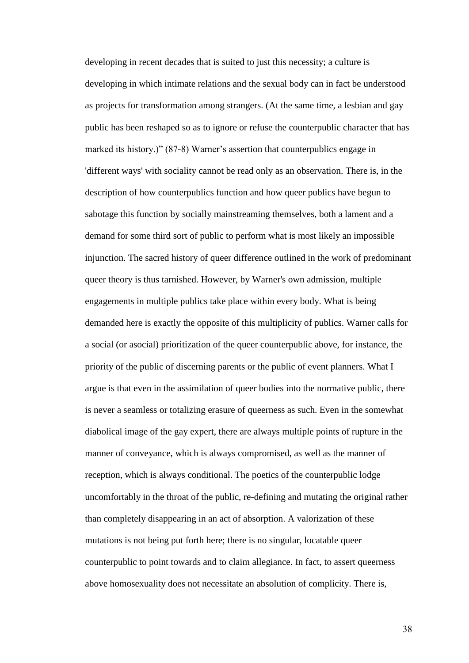developing in recent decades that is suited to just this necessity; a culture is developing in which intimate relations and the sexual body can in fact be understood as projects for transformation among strangers. (At the same time, a lesbian and gay public has been reshaped so as to ignore or refuse the counterpublic character that has marked its history.)" (87-8) Warner's assertion that counterpublics engage in 'different ways' with sociality cannot be read only as an observation. There is, in the description of how counterpublics function and how queer publics have begun to sabotage this function by socially mainstreaming themselves, both a lament and a demand for some third sort of public to perform what is most likely an impossible injunction. The sacred history of queer difference outlined in the work of predominant queer theory is thus tarnished. However, by Warner's own admission, multiple engagements in multiple publics take place within every body. What is being demanded here is exactly the opposite of this multiplicity of publics. Warner calls for a social (or asocial) prioritization of the queer counterpublic above, for instance, the priority of the public of discerning parents or the public of event planners. What I argue is that even in the assimilation of queer bodies into the normative public, there is never a seamless or totalizing erasure of queerness as such. Even in the somewhat diabolical image of the gay expert, there are always multiple points of rupture in the manner of conveyance, which is always compromised, as well as the manner of reception, which is always conditional. The poetics of the counterpublic lodge uncomfortably in the throat of the public, re-defining and mutating the original rather than completely disappearing in an act of absorption. A valorization of these mutations is not being put forth here; there is no singular, locatable queer counterpublic to point towards and to claim allegiance. In fact, to assert queerness above homosexuality does not necessitate an absolution of complicity. There is,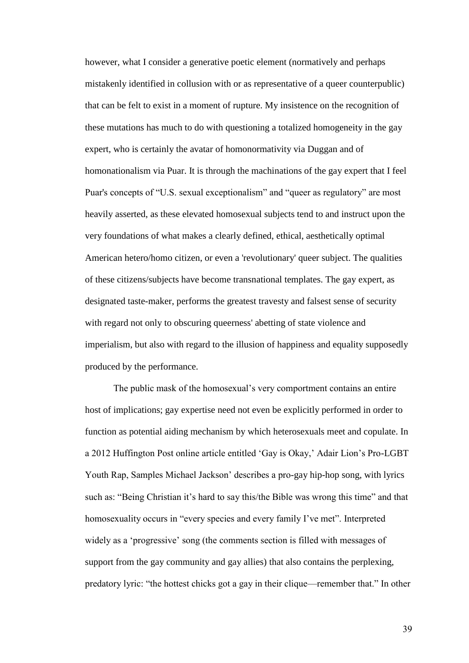however, what I consider a generative poetic element (normatively and perhaps mistakenly identified in collusion with or as representative of a queer counterpublic) that can be felt to exist in a moment of rupture. My insistence on the recognition of these mutations has much to do with questioning a totalized homogeneity in the gay expert, who is certainly the avatar of homonormativity via Duggan and of homonationalism via Puar. It is through the machinations of the gay expert that I feel Puar's concepts of "U.S. sexual exceptionalism" and "queer as regulatory" are most heavily asserted, as these elevated homosexual subjects tend to and instruct upon the very foundations of what makes a clearly defined, ethical, aesthetically optimal American hetero/homo citizen, or even a 'revolutionary' queer subject. The qualities of these citizens/subjects have become transnational templates. The gay expert, as designated taste-maker, performs the greatest travesty and falsest sense of security with regard not only to obscuring queerness' abetting of state violence and imperialism, but also with regard to the illusion of happiness and equality supposedly produced by the performance.

The public mask of the homosexual's very comportment contains an entire host of implications; gay expertise need not even be explicitly performed in order to function as potential aiding mechanism by which heterosexuals meet and copulate. In a 2012 Huffington Post online article entitled 'Gay is Okay,' Adair Lion's Pro-LGBT Youth Rap, Samples Michael Jackson' describes a pro-gay hip-hop song, with lyrics such as: "Being Christian it's hard to say this/the Bible was wrong this time" and that homosexuality occurs in "every species and every family I've met". Interpreted widely as a 'progressive' song (the comments section is filled with messages of support from the gay community and gay allies) that also contains the perplexing, predatory lyric: "the hottest chicks got a gay in their clique—remember that." In other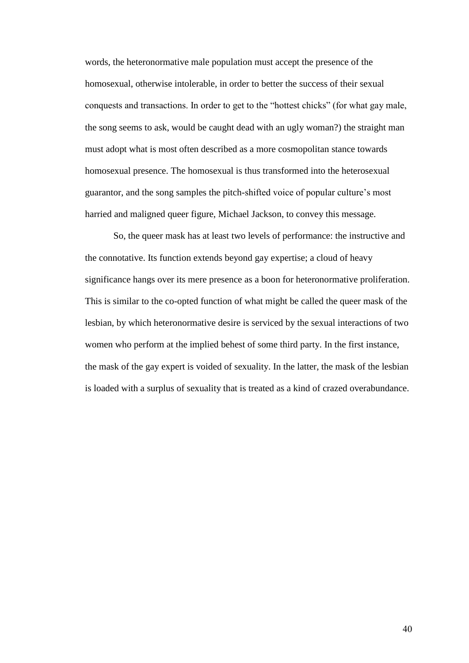words, the heteronormative male population must accept the presence of the homosexual, otherwise intolerable, in order to better the success of their sexual conquests and transactions. In order to get to the "hottest chicks" (for what gay male, the song seems to ask, would be caught dead with an ugly woman?) the straight man must adopt what is most often described as a more cosmopolitan stance towards homosexual presence. The homosexual is thus transformed into the heterosexual guarantor, and the song samples the pitch-shifted voice of popular culture's most harried and maligned queer figure, Michael Jackson, to convey this message.

So, the queer mask has at least two levels of performance: the instructive and the connotative. Its function extends beyond gay expertise; a cloud of heavy significance hangs over its mere presence as a boon for heteronormative proliferation. This is similar to the co-opted function of what might be called the queer mask of the lesbian, by which heteronormative desire is serviced by the sexual interactions of two women who perform at the implied behest of some third party. In the first instance, the mask of the gay expert is voided of sexuality. In the latter, the mask of the lesbian is loaded with a surplus of sexuality that is treated as a kind of crazed overabundance.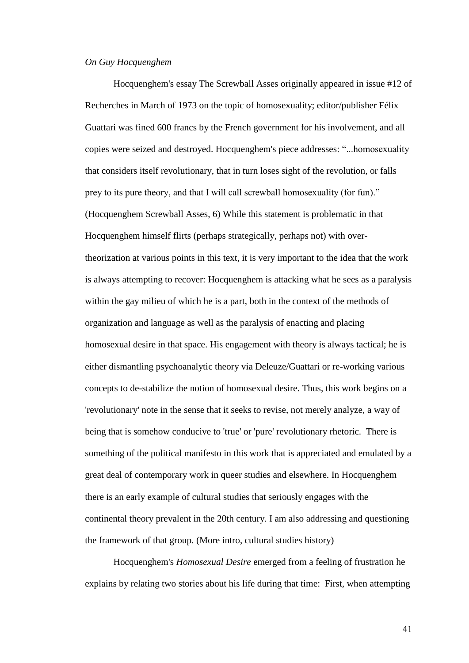## *On Guy Hocquenghem*

Hocquenghem's essay The Screwball Asses originally appeared in issue #12 of Recherches in March of 1973 on the topic of homosexuality; editor/publisher Félix Guattari was fined 600 francs by the French government for his involvement, and all copies were seized and destroyed. Hocquenghem's piece addresses: "...homosexuality that considers itself revolutionary, that in turn loses sight of the revolution, or falls prey to its pure theory, and that I will call screwball homosexuality (for fun)." (Hocquenghem Screwball Asses, 6) While this statement is problematic in that Hocquenghem himself flirts (perhaps strategically, perhaps not) with overtheorization at various points in this text, it is very important to the idea that the work is always attempting to recover: Hocquenghem is attacking what he sees as a paralysis within the gay milieu of which he is a part, both in the context of the methods of organization and language as well as the paralysis of enacting and placing homosexual desire in that space. His engagement with theory is always tactical; he is either dismantling psychoanalytic theory via Deleuze/Guattari or re-working various concepts to de-stabilize the notion of homosexual desire. Thus, this work begins on a 'revolutionary' note in the sense that it seeks to revise, not merely analyze, a way of being that is somehow conducive to 'true' or 'pure' revolutionary rhetoric. There is something of the political manifesto in this work that is appreciated and emulated by a great deal of contemporary work in queer studies and elsewhere. In Hocquenghem there is an early example of cultural studies that seriously engages with the continental theory prevalent in the 20th century. I am also addressing and questioning the framework of that group. (More intro, cultural studies history)

Hocquenghem's *Homosexual Desire* emerged from a feeling of frustration he explains by relating two stories about his life during that time: First, when attempting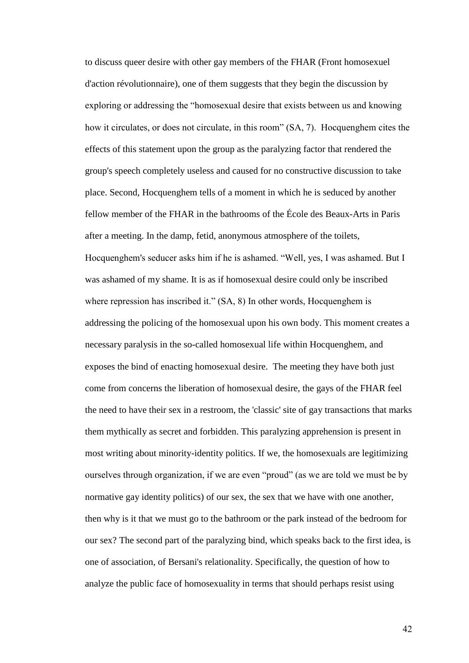to discuss queer desire with other gay members of the FHAR (Front homosexuel d'action révolutionnaire), one of them suggests that they begin the discussion by exploring or addressing the "homosexual desire that exists between us and knowing how it circulates, or does not circulate, in this room" (SA, 7). Hocquenghem cites the effects of this statement upon the group as the paralyzing factor that rendered the group's speech completely useless and caused for no constructive discussion to take place. Second, Hocquenghem tells of a moment in which he is seduced by another fellow member of the FHAR in the bathrooms of the École des Beaux-Arts in Paris after a meeting. In the damp, fetid, anonymous atmosphere of the toilets, Hocquenghem's seducer asks him if he is ashamed. "Well, yes, I was ashamed. But I was ashamed of my shame. It is as if homosexual desire could only be inscribed where repression has inscribed it." (SA, 8) In other words, Hocquenghem is addressing the policing of the homosexual upon his own body. This moment creates a necessary paralysis in the so-called homosexual life within Hocquenghem, and exposes the bind of enacting homosexual desire. The meeting they have both just come from concerns the liberation of homosexual desire, the gays of the FHAR feel the need to have their sex in a restroom, the 'classic' site of gay transactions that marks them mythically as secret and forbidden. This paralyzing apprehension is present in most writing about minority-identity politics. If we, the homosexuals are legitimizing ourselves through organization, if we are even "proud" (as we are told we must be by normative gay identity politics) of our sex, the sex that we have with one another, then why is it that we must go to the bathroom or the park instead of the bedroom for our sex? The second part of the paralyzing bind, which speaks back to the first idea, is one of association, of Bersani's relationality. Specifically, the question of how to analyze the public face of homosexuality in terms that should perhaps resist using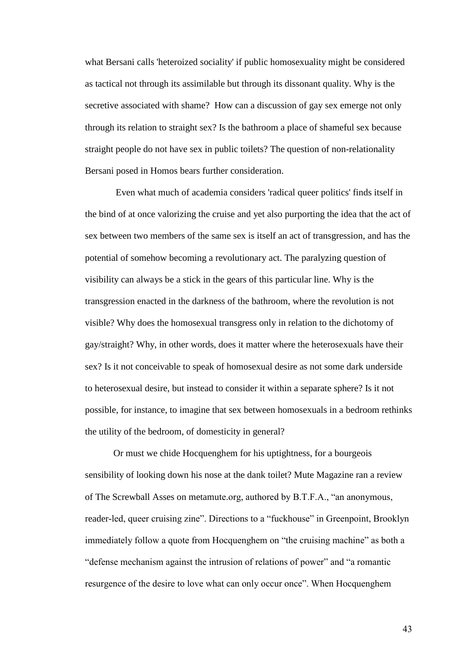what Bersani calls 'heteroized sociality' if public homosexuality might be considered as tactical not through its assimilable but through its dissonant quality. Why is the secretive associated with shame? How can a discussion of gay sex emerge not only through its relation to straight sex? Is the bathroom a place of shameful sex because straight people do not have sex in public toilets? The question of non-relationality Bersani posed in Homos bears further consideration.

Even what much of academia considers 'radical queer politics' finds itself in the bind of at once valorizing the cruise and yet also purporting the idea that the act of sex between two members of the same sex is itself an act of transgression, and has the potential of somehow becoming a revolutionary act. The paralyzing question of visibility can always be a stick in the gears of this particular line. Why is the transgression enacted in the darkness of the bathroom, where the revolution is not visible? Why does the homosexual transgress only in relation to the dichotomy of gay/straight? Why, in other words, does it matter where the heterosexuals have their sex? Is it not conceivable to speak of homosexual desire as not some dark underside to heterosexual desire, but instead to consider it within a separate sphere? Is it not possible, for instance, to imagine that sex between homosexuals in a bedroom rethinks the utility of the bedroom, of domesticity in general?

Or must we chide Hocquenghem for his uptightness, for a bourgeois sensibility of looking down his nose at the dank toilet? Mute Magazine ran a review of The Screwball Asses on metamute.org, authored by B.T.F.A., "an anonymous, reader-led, queer cruising zine". Directions to a "fuckhouse" in Greenpoint, Brooklyn immediately follow a quote from Hocquenghem on "the cruising machine" as both a "defense mechanism against the intrusion of relations of power" and "a romantic resurgence of the desire to love what can only occur once". When Hocquenghem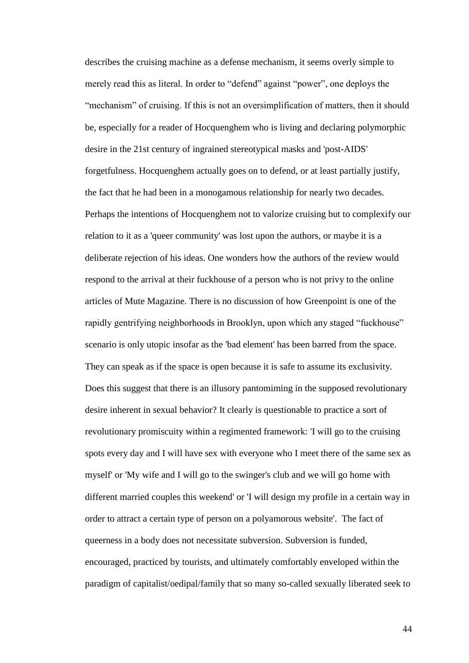describes the cruising machine as a defense mechanism, it seems overly simple to merely read this as literal. In order to "defend" against "power", one deploys the "mechanism" of cruising. If this is not an oversimplification of matters, then it should be, especially for a reader of Hocquenghem who is living and declaring polymorphic desire in the 21st century of ingrained stereotypical masks and 'post-AIDS' forgetfulness. Hocquenghem actually goes on to defend, or at least partially justify, the fact that he had been in a monogamous relationship for nearly two decades. Perhaps the intentions of Hocquenghem not to valorize cruising but to complexify our relation to it as a 'queer community' was lost upon the authors, or maybe it is a deliberate rejection of his ideas. One wonders how the authors of the review would respond to the arrival at their fuckhouse of a person who is not privy to the online articles of Mute Magazine. There is no discussion of how Greenpoint is one of the rapidly gentrifying neighborhoods in Brooklyn, upon which any staged "fuckhouse" scenario is only utopic insofar as the 'bad element' has been barred from the space. They can speak as if the space is open because it is safe to assume its exclusivity. Does this suggest that there is an illusory pantomiming in the supposed revolutionary desire inherent in sexual behavior? It clearly is questionable to practice a sort of revolutionary promiscuity within a regimented framework: 'I will go to the cruising spots every day and I will have sex with everyone who I meet there of the same sex as myself' or 'My wife and I will go to the swinger's club and we will go home with different married couples this weekend' or 'I will design my profile in a certain way in order to attract a certain type of person on a polyamorous website'. The fact of queerness in a body does not necessitate subversion. Subversion is funded, encouraged, practiced by tourists, and ultimately comfortably enveloped within the paradigm of capitalist/oedipal/family that so many so-called sexually liberated seek to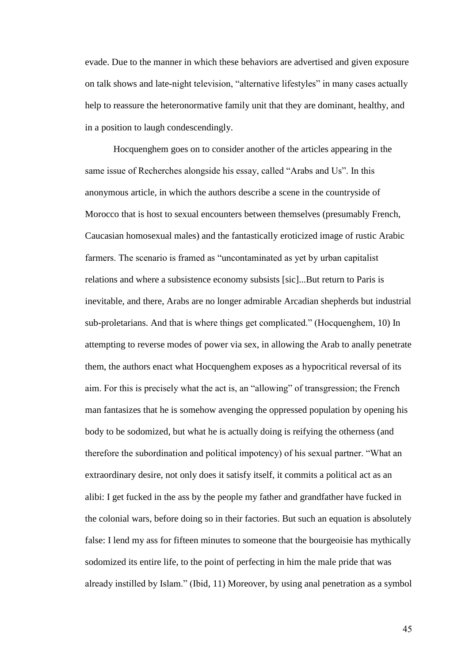evade. Due to the manner in which these behaviors are advertised and given exposure on talk shows and late-night television, "alternative lifestyles" in many cases actually help to reassure the heteronormative family unit that they are dominant, healthy, and in a position to laugh condescendingly.

Hocquenghem goes on to consider another of the articles appearing in the same issue of Recherches alongside his essay, called "Arabs and Us". In this anonymous article, in which the authors describe a scene in the countryside of Morocco that is host to sexual encounters between themselves (presumably French, Caucasian homosexual males) and the fantastically eroticized image of rustic Arabic farmers. The scenario is framed as "uncontaminated as yet by urban capitalist relations and where a subsistence economy subsists [sic]...But return to Paris is inevitable, and there, Arabs are no longer admirable Arcadian shepherds but industrial sub-proletarians. And that is where things get complicated." (Hocquenghem, 10) In attempting to reverse modes of power via sex, in allowing the Arab to anally penetrate them, the authors enact what Hocquenghem exposes as a hypocritical reversal of its aim. For this is precisely what the act is, an "allowing" of transgression; the French man fantasizes that he is somehow avenging the oppressed population by opening his body to be sodomized, but what he is actually doing is reifying the otherness (and therefore the subordination and political impotency) of his sexual partner. "What an extraordinary desire, not only does it satisfy itself, it commits a political act as an alibi: I get fucked in the ass by the people my father and grandfather have fucked in the colonial wars, before doing so in their factories. But such an equation is absolutely false: I lend my ass for fifteen minutes to someone that the bourgeoisie has mythically sodomized its entire life, to the point of perfecting in him the male pride that was already instilled by Islam." (Ibid, 11) Moreover, by using anal penetration as a symbol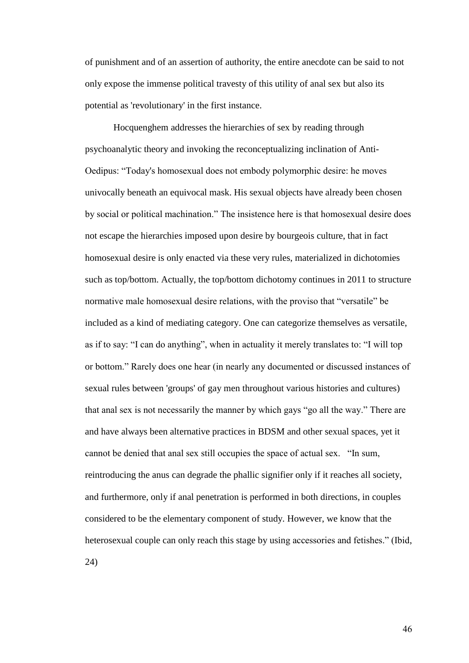of punishment and of an assertion of authority, the entire anecdote can be said to not only expose the immense political travesty of this utility of anal sex but also its potential as 'revolutionary' in the first instance.

Hocquenghem addresses the hierarchies of sex by reading through psychoanalytic theory and invoking the reconceptualizing inclination of Anti-Oedipus: "Today's homosexual does not embody polymorphic desire: he moves univocally beneath an equivocal mask. His sexual objects have already been chosen by social or political machination." The insistence here is that homosexual desire does not escape the hierarchies imposed upon desire by bourgeois culture, that in fact homosexual desire is only enacted via these very rules, materialized in dichotomies such as top/bottom. Actually, the top/bottom dichotomy continues in 2011 to structure normative male homosexual desire relations, with the proviso that "versatile" be included as a kind of mediating category. One can categorize themselves as versatile, as if to say: "I can do anything", when in actuality it merely translates to: "I will top or bottom." Rarely does one hear (in nearly any documented or discussed instances of sexual rules between 'groups' of gay men throughout various histories and cultures) that anal sex is not necessarily the manner by which gays "go all the way." There are and have always been alternative practices in BDSM and other sexual spaces, yet it cannot be denied that anal sex still occupies the space of actual sex. "In sum, reintroducing the anus can degrade the phallic signifier only if it reaches all society, and furthermore, only if anal penetration is performed in both directions, in couples considered to be the elementary component of study. However, we know that the heterosexual couple can only reach this stage by using accessories and fetishes." (Ibid, 24)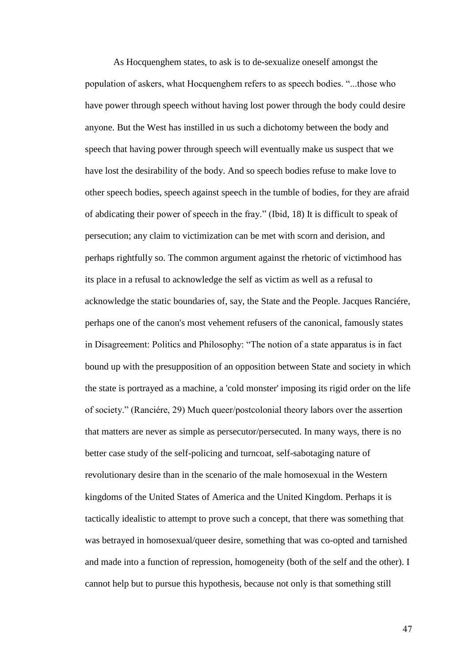As Hocquenghem states, to ask is to de-sexualize oneself amongst the population of askers, what Hocquenghem refers to as speech bodies. "...those who have power through speech without having lost power through the body could desire anyone. But the West has instilled in us such a dichotomy between the body and speech that having power through speech will eventually make us suspect that we have lost the desirability of the body. And so speech bodies refuse to make love to other speech bodies, speech against speech in the tumble of bodies, for they are afraid of abdicating their power of speech in the fray." (Ibid, 18) It is difficult to speak of persecution; any claim to victimization can be met with scorn and derision, and perhaps rightfully so. The common argument against the rhetoric of victimhood has its place in a refusal to acknowledge the self as victim as well as a refusal to acknowledge the static boundaries of, say, the State and the People. Jacques Ranciére, perhaps one of the canon's most vehement refusers of the canonical, famously states in Disagreement: Politics and Philosophy: "The notion of a state apparatus is in fact bound up with the presupposition of an opposition between State and society in which the state is portrayed as a machine, a 'cold monster' imposing its rigid order on the life of society." (Ranciére, 29) Much queer/postcolonial theory labors over the assertion that matters are never as simple as persecutor/persecuted. In many ways, there is no better case study of the self-policing and turncoat, self-sabotaging nature of revolutionary desire than in the scenario of the male homosexual in the Western kingdoms of the United States of America and the United Kingdom. Perhaps it is tactically idealistic to attempt to prove such a concept, that there was something that was betrayed in homosexual/queer desire, something that was co-opted and tarnished and made into a function of repression, homogeneity (both of the self and the other). I cannot help but to pursue this hypothesis, because not only is that something still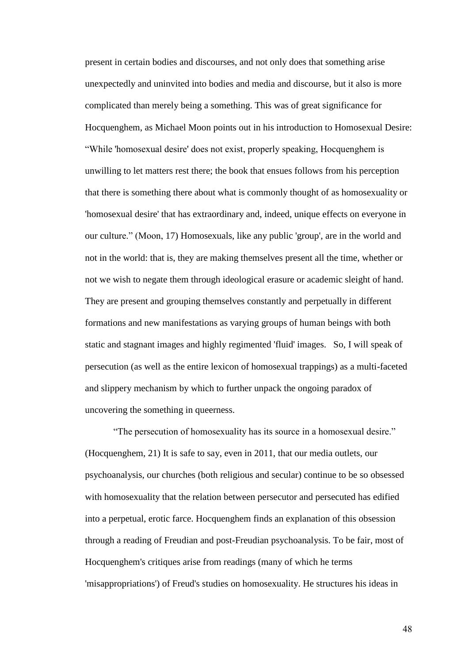present in certain bodies and discourses, and not only does that something arise unexpectedly and uninvited into bodies and media and discourse, but it also is more complicated than merely being a something. This was of great significance for Hocquenghem, as Michael Moon points out in his introduction to Homosexual Desire: "While 'homosexual desire' does not exist, properly speaking, Hocquenghem is unwilling to let matters rest there; the book that ensues follows from his perception that there is something there about what is commonly thought of as homosexuality or 'homosexual desire' that has extraordinary and, indeed, unique effects on everyone in our culture." (Moon, 17) Homosexuals, like any public 'group', are in the world and not in the world: that is, they are making themselves present all the time, whether or not we wish to negate them through ideological erasure or academic sleight of hand. They are present and grouping themselves constantly and perpetually in different formations and new manifestations as varying groups of human beings with both static and stagnant images and highly regimented 'fluid' images. So, I will speak of persecution (as well as the entire lexicon of homosexual trappings) as a multi-faceted and slippery mechanism by which to further unpack the ongoing paradox of uncovering the something in queerness.

"The persecution of homosexuality has its source in a homosexual desire." (Hocquenghem, 21) It is safe to say, even in 2011, that our media outlets, our psychoanalysis, our churches (both religious and secular) continue to be so obsessed with homosexuality that the relation between persecutor and persecuted has edified into a perpetual, erotic farce. Hocquenghem finds an explanation of this obsession through a reading of Freudian and post-Freudian psychoanalysis. To be fair, most of Hocquenghem's critiques arise from readings (many of which he terms 'misappropriations') of Freud's studies on homosexuality. He structures his ideas in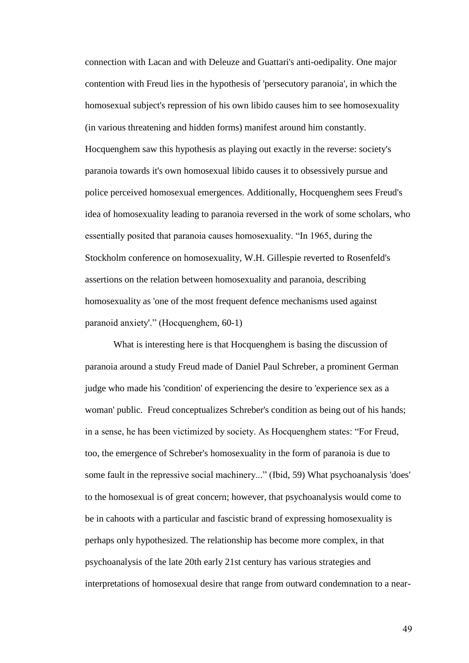connection with Lacan and with Deleuze and Guattari's anti-oedipality. One major contention with Freud lies in the hypothesis of 'persecutory paranoia', in which the homosexual subject's repression of his own libido causes him to see homosexuality (in various threatening and hidden forms) manifest around him constantly. Hocquenghem saw this hypothesis as playing out exactly in the reverse: society's paranoia towards it's own homosexual libido causes it to obsessively pursue and police perceived homosexual emergences. Additionally, Hocquenghem sees Freud's idea of homosexuality leading to paranoia reversed in the work of some scholars, who essentially posited that paranoia causes homosexuality. "In 1965, during the Stockholm conference on homosexuality, W.H. Gillespie reverted to Rosenfeld's assertions on the relation between homosexuality and paranoia, describing homosexuality as 'one of the most frequent defence mechanisms used against paranoid anxiety'." (Hocquenghem, 60-1)

What is interesting here is that Hocquenghem is basing the discussion of paranoia around a study Freud made of Daniel Paul Schreber, a prominent German judge who made his 'condition' of experiencing the desire to 'experience sex as a woman' public. Freud conceptualizes Schreber's condition as being out of his hands; in a sense, he has been victimized by society. As Hocquenghem states: "For Freud, too, the emergence of Schreber's homosexuality in the form of paranoia is due to some fault in the repressive social machinery..." (Ibid, 59) What psychoanalysis 'does' to the homosexual is of great concern; however, that psychoanalysis would come to be in cahoots with a particular and fascistic brand of expressing homosexuality is perhaps only hypothesized. The relationship has become more complex, in that psychoanalysis of the late 20th early 21st century has various strategies and interpretations of homosexual desire that range from outward condemnation to a near-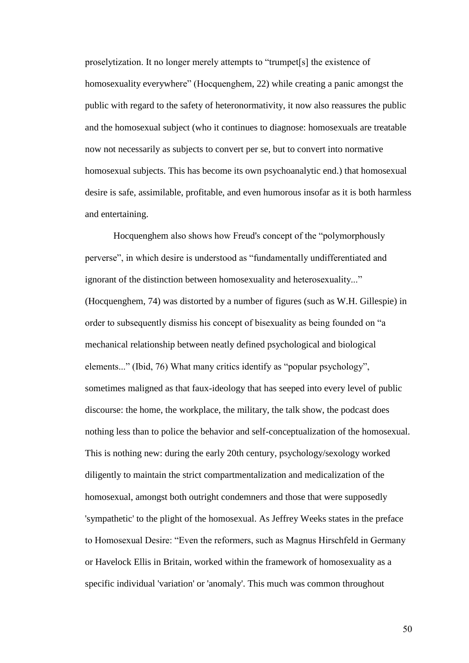proselytization. It no longer merely attempts to "trumpet[s] the existence of homosexuality everywhere" (Hocquenghem, 22) while creating a panic amongst the public with regard to the safety of heteronormativity, it now also reassures the public and the homosexual subject (who it continues to diagnose: homosexuals are treatable now not necessarily as subjects to convert per se, but to convert into normative homosexual subjects. This has become its own psychoanalytic end.) that homosexual desire is safe, assimilable, profitable, and even humorous insofar as it is both harmless and entertaining.

Hocquenghem also shows how Freud's concept of the "polymorphously perverse", in which desire is understood as "fundamentally undifferentiated and ignorant of the distinction between homosexuality and heterosexuality..." (Hocquenghem, 74) was distorted by a number of figures (such as W.H. Gillespie) in order to subsequently dismiss his concept of bisexuality as being founded on "a mechanical relationship between neatly defined psychological and biological elements..." (Ibid, 76) What many critics identify as "popular psychology", sometimes maligned as that faux-ideology that has seeped into every level of public discourse: the home, the workplace, the military, the talk show, the podcast does nothing less than to police the behavior and self-conceptualization of the homosexual. This is nothing new: during the early 20th century, psychology/sexology worked diligently to maintain the strict compartmentalization and medicalization of the homosexual, amongst both outright condemners and those that were supposedly 'sympathetic' to the plight of the homosexual. As Jeffrey Weeks states in the preface to Homosexual Desire: "Even the reformers, such as Magnus Hirschfeld in Germany or Havelock Ellis in Britain, worked within the framework of homosexuality as a specific individual 'variation' or 'anomaly'. This much was common throughout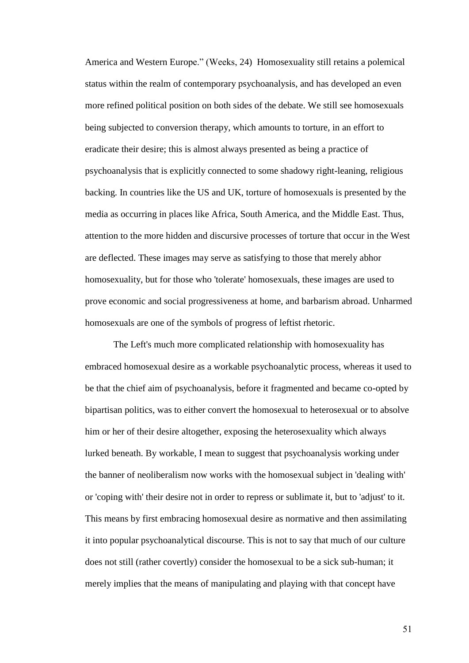America and Western Europe." (Weeks, 24) Homosexuality still retains a polemical status within the realm of contemporary psychoanalysis, and has developed an even more refined political position on both sides of the debate. We still see homosexuals being subjected to conversion therapy, which amounts to torture, in an effort to eradicate their desire; this is almost always presented as being a practice of psychoanalysis that is explicitly connected to some shadowy right-leaning, religious backing. In countries like the US and UK, torture of homosexuals is presented by the media as occurring in places like Africa, South America, and the Middle East. Thus, attention to the more hidden and discursive processes of torture that occur in the West are deflected. These images may serve as satisfying to those that merely abhor homosexuality, but for those who 'tolerate' homosexuals, these images are used to prove economic and social progressiveness at home, and barbarism abroad. Unharmed homosexuals are one of the symbols of progress of leftist rhetoric.

The Left's much more complicated relationship with homosexuality has embraced homosexual desire as a workable psychoanalytic process, whereas it used to be that the chief aim of psychoanalysis, before it fragmented and became co-opted by bipartisan politics, was to either convert the homosexual to heterosexual or to absolve him or her of their desire altogether, exposing the heterosexuality which always lurked beneath. By workable, I mean to suggest that psychoanalysis working under the banner of neoliberalism now works with the homosexual subject in 'dealing with' or 'coping with' their desire not in order to repress or sublimate it, but to 'adjust' to it. This means by first embracing homosexual desire as normative and then assimilating it into popular psychoanalytical discourse. This is not to say that much of our culture does not still (rather covertly) consider the homosexual to be a sick sub-human; it merely implies that the means of manipulating and playing with that concept have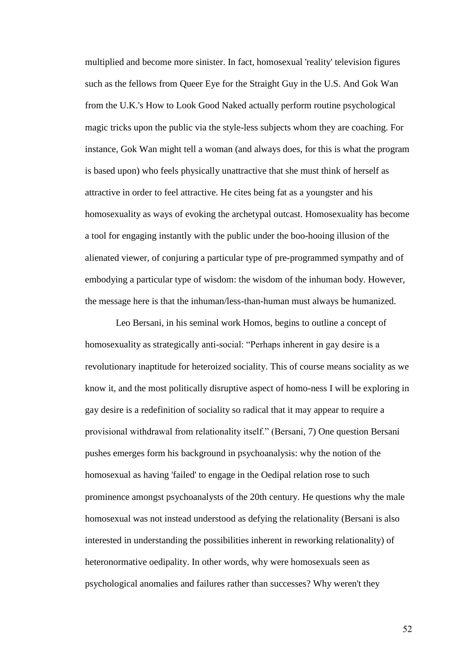multiplied and become more sinister. In fact, homosexual 'reality' television figures such as the fellows from Queer Eye for the Straight Guy in the U.S. And Gok Wan from the U.K.'s How to Look Good Naked actually perform routine psychological magic tricks upon the public via the style-less subjects whom they are coaching. For instance, Gok Wan might tell a woman (and always does, for this is what the program is based upon) who feels physically unattractive that she must think of herself as attractive in order to feel attractive. He cites being fat as a youngster and his homosexuality as ways of evoking the archetypal outcast. Homosexuality has become a tool for engaging instantly with the public under the boo-hooing illusion of the alienated viewer, of conjuring a particular type of pre-programmed sympathy and of embodying a particular type of wisdom: the wisdom of the inhuman body. However, the message here is that the inhuman/less-than-human must always be humanized.

Leo Bersani, in his seminal work Homos, begins to outline a concept of homosexuality as strategically anti-social: "Perhaps inherent in gay desire is a revolutionary inaptitude for heteroized sociality. This of course means sociality as we know it, and the most politically disruptive aspect of homo-ness I will be exploring in gay desire is a redefinition of sociality so radical that it may appear to require a provisional withdrawal from relationality itself." (Bersani, 7) One question Bersani pushes emerges form his background in psychoanalysis: why the notion of the homosexual as having 'failed' to engage in the Oedipal relation rose to such prominence amongst psychoanalysts of the 20th century. He questions why the male homosexual was not instead understood as defying the relationality (Bersani is also interested in understanding the possibilities inherent in reworking relationality) of heteronormative oedipality. In other words, why were homosexuals seen as psychological anomalies and failures rather than successes? Why weren't they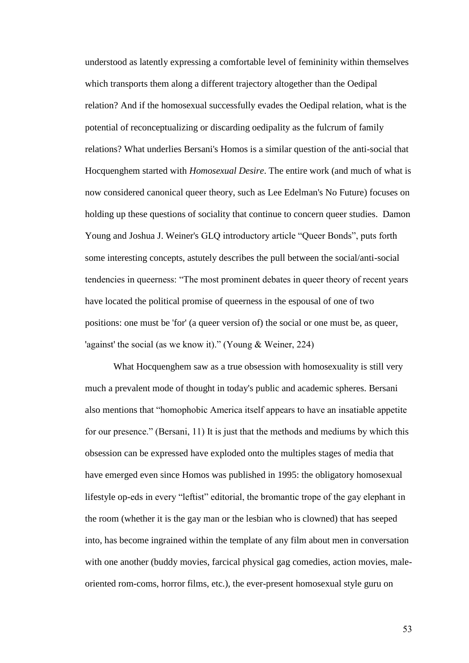understood as latently expressing a comfortable level of femininity within themselves which transports them along a different trajectory altogether than the Oedipal relation? And if the homosexual successfully evades the Oedipal relation, what is the potential of reconceptualizing or discarding oedipality as the fulcrum of family relations? What underlies Bersani's Homos is a similar question of the anti-social that Hocquenghem started with *Homosexual Desire*. The entire work (and much of what is now considered canonical queer theory, such as Lee Edelman's No Future) focuses on holding up these questions of sociality that continue to concern queer studies. Damon Young and Joshua J. Weiner's GLQ introductory article "Queer Bonds", puts forth some interesting concepts, astutely describes the pull between the social/anti-social tendencies in queerness: "The most prominent debates in queer theory of recent years have located the political promise of queerness in the espousal of one of two positions: one must be 'for' (a queer version of) the social or one must be, as queer, 'against' the social (as we know it)." (Young & Weiner, 224)

What Hocquenghem saw as a true obsession with homosexuality is still very much a prevalent mode of thought in today's public and academic spheres. Bersani also mentions that "homophobic America itself appears to have an insatiable appetite for our presence." (Bersani, 11) It is just that the methods and mediums by which this obsession can be expressed have exploded onto the multiples stages of media that have emerged even since Homos was published in 1995: the obligatory homosexual lifestyle op-eds in every "leftist" editorial, the bromantic trope of the gay elephant in the room (whether it is the gay man or the lesbian who is clowned) that has seeped into, has become ingrained within the template of any film about men in conversation with one another (buddy movies, farcical physical gag comedies, action movies, maleoriented rom-coms, horror films, etc.), the ever-present homosexual style guru on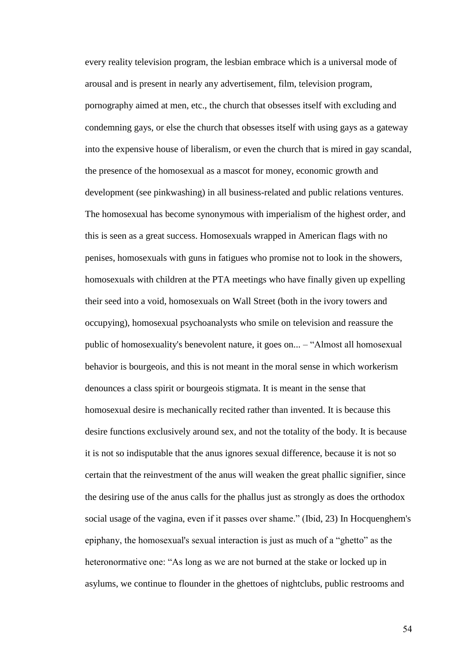every reality television program, the lesbian embrace which is a universal mode of arousal and is present in nearly any advertisement, film, television program, pornography aimed at men, etc., the church that obsesses itself with excluding and condemning gays, or else the church that obsesses itself with using gays as a gateway into the expensive house of liberalism, or even the church that is mired in gay scandal, the presence of the homosexual as a mascot for money, economic growth and development (see pinkwashing) in all business-related and public relations ventures. The homosexual has become synonymous with imperialism of the highest order, and this is seen as a great success. Homosexuals wrapped in American flags with no penises, homosexuals with guns in fatigues who promise not to look in the showers, homosexuals with children at the PTA meetings who have finally given up expelling their seed into a void, homosexuals on Wall Street (both in the ivory towers and occupying), homosexual psychoanalysts who smile on television and reassure the public of homosexuality's benevolent nature, it goes on... – "Almost all homosexual behavior is bourgeois, and this is not meant in the moral sense in which workerism denounces a class spirit or bourgeois stigmata. It is meant in the sense that homosexual desire is mechanically recited rather than invented. It is because this desire functions exclusively around sex, and not the totality of the body. It is because it is not so indisputable that the anus ignores sexual difference, because it is not so certain that the reinvestment of the anus will weaken the great phallic signifier, since the desiring use of the anus calls for the phallus just as strongly as does the orthodox social usage of the vagina, even if it passes over shame." (Ibid, 23) In Hocquenghem's epiphany, the homosexual's sexual interaction is just as much of a "ghetto" as the heteronormative one: "As long as we are not burned at the stake or locked up in asylums, we continue to flounder in the ghettoes of nightclubs, public restrooms and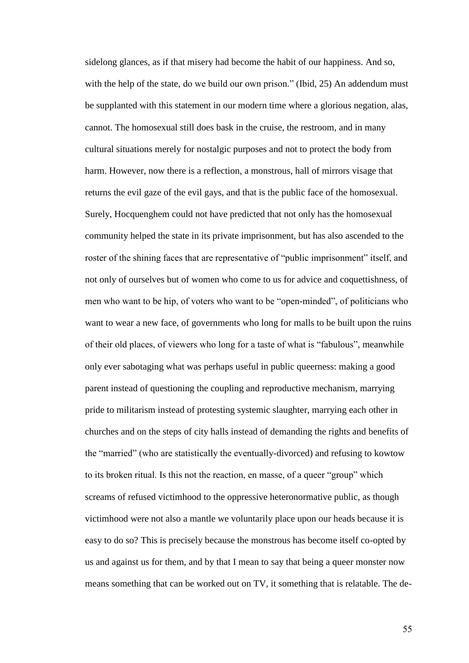sidelong glances, as if that misery had become the habit of our happiness. And so, with the help of the state, do we build our own prison." (Ibid, 25) An addendum must be supplanted with this statement in our modern time where a glorious negation, alas, cannot. The homosexual still does bask in the cruise, the restroom, and in many cultural situations merely for nostalgic purposes and not to protect the body from harm. However, now there is a reflection, a monstrous, hall of mirrors visage that returns the evil gaze of the evil gays, and that is the public face of the homosexual. Surely, Hocquenghem could not have predicted that not only has the homosexual community helped the state in its private imprisonment, but has also ascended to the roster of the shining faces that are representative of "public imprisonment" itself, and not only of ourselves but of women who come to us for advice and coquettishness, of men who want to be hip, of voters who want to be "open-minded", of politicians who want to wear a new face, of governments who long for malls to be built upon the ruins of their old places, of viewers who long for a taste of what is "fabulous", meanwhile only ever sabotaging what was perhaps useful in public queerness: making a good parent instead of questioning the coupling and reproductive mechanism, marrying pride to militarism instead of protesting systemic slaughter, marrying each other in churches and on the steps of city halls instead of demanding the rights and benefits of the "married" (who are statistically the eventually-divorced) and refusing to kowtow to its broken ritual. Is this not the reaction, en masse, of a queer "group" which screams of refused victimhood to the oppressive heteronormative public, as though victimhood were not also a mantle we voluntarily place upon our heads because it is easy to do so? This is precisely because the monstrous has become itself co-opted by us and against us for them, and by that I mean to say that being a queer monster now means something that can be worked out on TV, it something that is relatable. The de-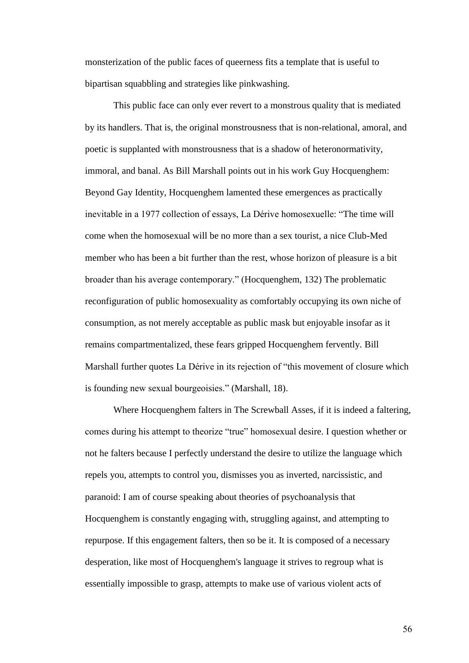monsterization of the public faces of queerness fits a template that is useful to bipartisan squabbling and strategies like pinkwashing.

This public face can only ever revert to a monstrous quality that is mediated by its handlers. That is, the original monstrousness that is non-relational, amoral, and poetic is supplanted with monstrousness that is a shadow of heteronormativity, immoral, and banal. As Bill Marshall points out in his work Guy Hocquenghem: Beyond Gay Identity, Hocquenghem lamented these emergences as practically inevitable in a 1977 collection of essays, La Dérive homosexuelle: "The time will come when the homosexual will be no more than a sex tourist, a nice Club-Med member who has been a bit further than the rest, whose horizon of pleasure is a bit broader than his average contemporary." (Hocquenghem, 132) The problematic reconfiguration of public homosexuality as comfortably occupying its own niche of consumption, as not merely acceptable as public mask but enjoyable insofar as it remains compartmentalized, these fears gripped Hocquenghem fervently. Bill Marshall further quotes La Dérive in its rejection of "this movement of closure which is founding new sexual bourgeoisies." (Marshall, 18).

Where Hocquenghem falters in The Screwball Asses, if it is indeed a faltering, comes during his attempt to theorize "true" homosexual desire. I question whether or not he falters because I perfectly understand the desire to utilize the language which repels you, attempts to control you, dismisses you as inverted, narcissistic, and paranoid: I am of course speaking about theories of psychoanalysis that Hocquenghem is constantly engaging with, struggling against, and attempting to repurpose. If this engagement falters, then so be it. It is composed of a necessary desperation, like most of Hocquenghem's language it strives to regroup what is essentially impossible to grasp, attempts to make use of various violent acts of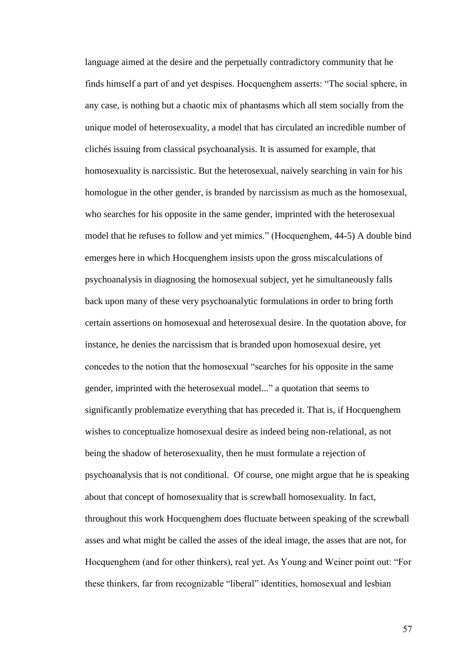language aimed at the desire and the perpetually contradictory community that he finds himself a part of and yet despises. Hocquenghem asserts: "The social sphere, in any case, is nothing but a chaotic mix of phantasms which all stem socially from the unique model of heterosexuality, a model that has circulated an incredible number of clichés issuing from classical psychoanalysis. It is assumed for example, that homosexuality is narcissistic. But the heterosexual, naively searching in vain for his homologue in the other gender, is branded by narcissism as much as the homosexual, who searches for his opposite in the same gender, imprinted with the heterosexual model that he refuses to follow and yet mimics." (Hocquenghem, 44-5) A double bind emerges here in which Hocquenghem insists upon the gross miscalculations of psychoanalysis in diagnosing the homosexual subject, yet he simultaneously falls back upon many of these very psychoanalytic formulations in order to bring forth certain assertions on homosexual and heterosexual desire. In the quotation above, for instance, he denies the narcissism that is branded upon homosexual desire, yet concedes to the notion that the homosexual "searches for his opposite in the same gender, imprinted with the heterosexual model..." a quotation that seems to significantly problematize everything that has preceded it. That is, if Hocquenghem wishes to conceptualize homosexual desire as indeed being non-relational, as not being the shadow of heterosexuality, then he must formulate a rejection of psychoanalysis that is not conditional. Of course, one might argue that he is speaking about that concept of homosexuality that is screwball homosexuality. In fact, throughout this work Hocquenghem does fluctuate between speaking of the screwball asses and what might be called the asses of the ideal image, the asses that are not, for Hocquenghem (and for other thinkers), real yet. As Young and Weiner point out: "For these thinkers, far from recognizable "liberal" identities, homosexual and lesbian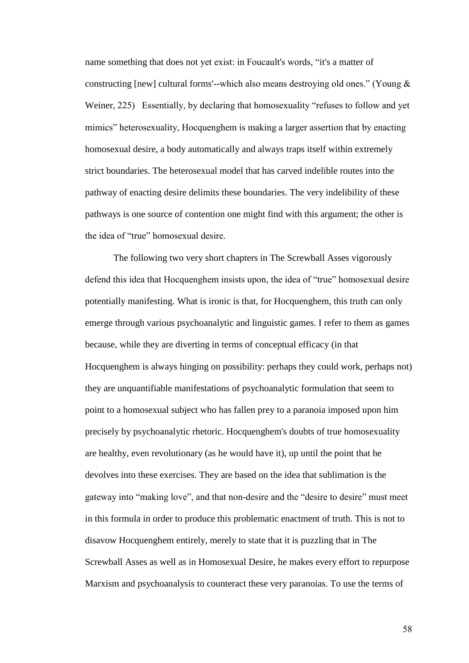name something that does not yet exist: in Foucault's words, "it's a matter of constructing [new] cultural forms'--which also means destroying old ones." (Young & Weiner, 225) Essentially, by declaring that homosexuality "refuses to follow and yet mimics" heterosexuality, Hocquenghem is making a larger assertion that by enacting homosexual desire, a body automatically and always traps itself within extremely strict boundaries. The heterosexual model that has carved indelible routes into the pathway of enacting desire delimits these boundaries. The very indelibility of these pathways is one source of contention one might find with this argument; the other is the idea of "true" homosexual desire.

The following two very short chapters in The Screwball Asses vigorously defend this idea that Hocquenghem insists upon, the idea of "true" homosexual desire potentially manifesting. What is ironic is that, for Hocquenghem, this truth can only emerge through various psychoanalytic and linguistic games. I refer to them as games because, while they are diverting in terms of conceptual efficacy (in that Hocquenghem is always hinging on possibility: perhaps they could work, perhaps not) they are unquantifiable manifestations of psychoanalytic formulation that seem to point to a homosexual subject who has fallen prey to a paranoia imposed upon him precisely by psychoanalytic rhetoric. Hocquenghem's doubts of true homosexuality are healthy, even revolutionary (as he would have it), up until the point that he devolves into these exercises. They are based on the idea that sublimation is the gateway into "making love", and that non-desire and the "desire to desire" must meet in this formula in order to produce this problematic enactment of truth. This is not to disavow Hocquenghem entirely, merely to state that it is puzzling that in The Screwball Asses as well as in Homosexual Desire, he makes every effort to repurpose Marxism and psychoanalysis to counteract these very paranoias. To use the terms of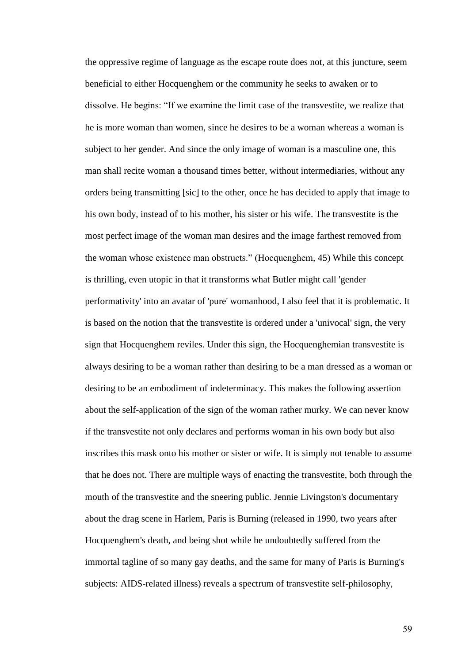the oppressive regime of language as the escape route does not, at this juncture, seem beneficial to either Hocquenghem or the community he seeks to awaken or to dissolve. He begins: "If we examine the limit case of the transvestite, we realize that he is more woman than women, since he desires to be a woman whereas a woman is subject to her gender. And since the only image of woman is a masculine one, this man shall recite woman a thousand times better, without intermediaries, without any orders being transmitting [sic] to the other, once he has decided to apply that image to his own body, instead of to his mother, his sister or his wife. The transvestite is the most perfect image of the woman man desires and the image farthest removed from the woman whose existence man obstructs." (Hocquenghem, 45) While this concept is thrilling, even utopic in that it transforms what Butler might call 'gender performativity' into an avatar of 'pure' womanhood, I also feel that it is problematic. It is based on the notion that the transvestite is ordered under a 'univocal' sign, the very sign that Hocquenghem reviles. Under this sign, the Hocquenghemian transvestite is always desiring to be a woman rather than desiring to be a man dressed as a woman or desiring to be an embodiment of indeterminacy. This makes the following assertion about the self-application of the sign of the woman rather murky. We can never know if the transvestite not only declares and performs woman in his own body but also inscribes this mask onto his mother or sister or wife. It is simply not tenable to assume that he does not. There are multiple ways of enacting the transvestite, both through the mouth of the transvestite and the sneering public. Jennie Livingston's documentary about the drag scene in Harlem, Paris is Burning (released in 1990, two years after Hocquenghem's death, and being shot while he undoubtedly suffered from the immortal tagline of so many gay deaths, and the same for many of Paris is Burning's subjects: AIDS-related illness) reveals a spectrum of transvestite self-philosophy,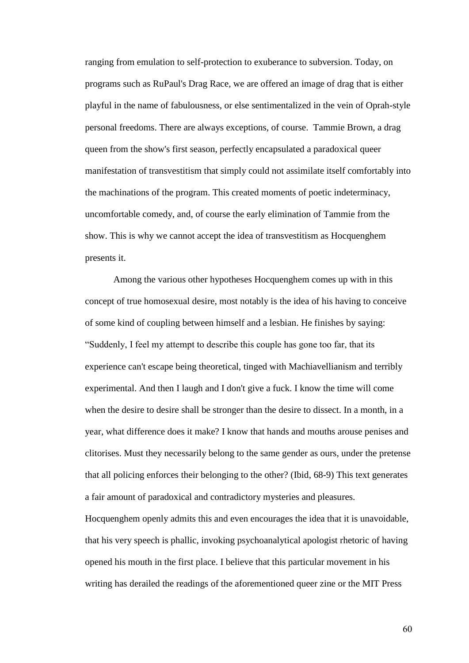ranging from emulation to self-protection to exuberance to subversion. Today, on programs such as RuPaul's Drag Race, we are offered an image of drag that is either playful in the name of fabulousness, or else sentimentalized in the vein of Oprah-style personal freedoms. There are always exceptions, of course. Tammie Brown, a drag queen from the show's first season, perfectly encapsulated a paradoxical queer manifestation of transvestitism that simply could not assimilate itself comfortably into the machinations of the program. This created moments of poetic indeterminacy, uncomfortable comedy, and, of course the early elimination of Tammie from the show. This is why we cannot accept the idea of transvestitism as Hocquenghem presents it.

Among the various other hypotheses Hocquenghem comes up with in this concept of true homosexual desire, most notably is the idea of his having to conceive of some kind of coupling between himself and a lesbian. He finishes by saying: "Suddenly, I feel my attempt to describe this couple has gone too far, that its experience can't escape being theoretical, tinged with Machiavellianism and terribly experimental. And then I laugh and I don't give a fuck. I know the time will come when the desire to desire shall be stronger than the desire to dissect. In a month, in a year, what difference does it make? I know that hands and mouths arouse penises and clitorises. Must they necessarily belong to the same gender as ours, under the pretense that all policing enforces their belonging to the other? (Ibid, 68-9) This text generates a fair amount of paradoxical and contradictory mysteries and pleasures.

Hocquenghem openly admits this and even encourages the idea that it is unavoidable, that his very speech is phallic, invoking psychoanalytical apologist rhetoric of having opened his mouth in the first place. I believe that this particular movement in his writing has derailed the readings of the aforementioned queer zine or the MIT Press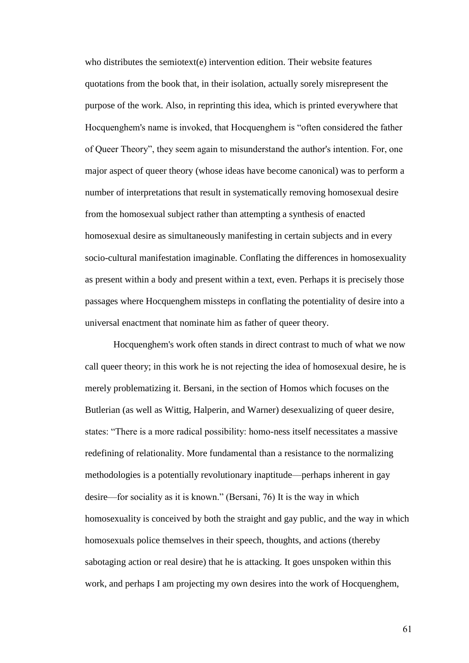who distributes the semiotext(e) intervention edition. Their website features quotations from the book that, in their isolation, actually sorely misrepresent the purpose of the work. Also, in reprinting this idea, which is printed everywhere that Hocquenghem's name is invoked, that Hocquenghem is "often considered the father of Queer Theory", they seem again to misunderstand the author's intention. For, one major aspect of queer theory (whose ideas have become canonical) was to perform a number of interpretations that result in systematically removing homosexual desire from the homosexual subject rather than attempting a synthesis of enacted homosexual desire as simultaneously manifesting in certain subjects and in every socio-cultural manifestation imaginable. Conflating the differences in homosexuality as present within a body and present within a text, even. Perhaps it is precisely those passages where Hocquenghem missteps in conflating the potentiality of desire into a universal enactment that nominate him as father of queer theory.

Hocquenghem's work often stands in direct contrast to much of what we now call queer theory; in this work he is not rejecting the idea of homosexual desire, he is merely problematizing it. Bersani, in the section of Homos which focuses on the Butlerian (as well as Wittig, Halperin, and Warner) desexualizing of queer desire, states: "There is a more radical possibility: homo-ness itself necessitates a massive redefining of relationality. More fundamental than a resistance to the normalizing methodologies is a potentially revolutionary inaptitude—perhaps inherent in gay desire—for sociality as it is known." (Bersani, 76) It is the way in which homosexuality is conceived by both the straight and gay public, and the way in which homosexuals police themselves in their speech, thoughts, and actions (thereby sabotaging action or real desire) that he is attacking. It goes unspoken within this work, and perhaps I am projecting my own desires into the work of Hocquenghem,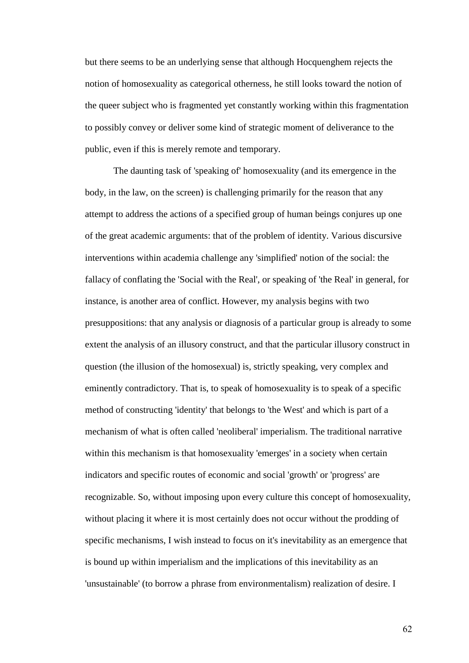but there seems to be an underlying sense that although Hocquenghem rejects the notion of homosexuality as categorical otherness, he still looks toward the notion of the queer subject who is fragmented yet constantly working within this fragmentation to possibly convey or deliver some kind of strategic moment of deliverance to the public, even if this is merely remote and temporary.

The daunting task of 'speaking of' homosexuality (and its emergence in the body, in the law, on the screen) is challenging primarily for the reason that any attempt to address the actions of a specified group of human beings conjures up one of the great academic arguments: that of the problem of identity. Various discursive interventions within academia challenge any 'simplified' notion of the social: the fallacy of conflating the 'Social with the Real', or speaking of 'the Real' in general, for instance, is another area of conflict. However, my analysis begins with two presuppositions: that any analysis or diagnosis of a particular group is already to some extent the analysis of an illusory construct, and that the particular illusory construct in question (the illusion of the homosexual) is, strictly speaking, very complex and eminently contradictory. That is, to speak of homosexuality is to speak of a specific method of constructing 'identity' that belongs to 'the West' and which is part of a mechanism of what is often called 'neoliberal' imperialism. The traditional narrative within this mechanism is that homosexuality 'emerges' in a society when certain indicators and specific routes of economic and social 'growth' or 'progress' are recognizable. So, without imposing upon every culture this concept of homosexuality, without placing it where it is most certainly does not occur without the prodding of specific mechanisms, I wish instead to focus on it's inevitability as an emergence that is bound up within imperialism and the implications of this inevitability as an 'unsustainable' (to borrow a phrase from environmentalism) realization of desire. I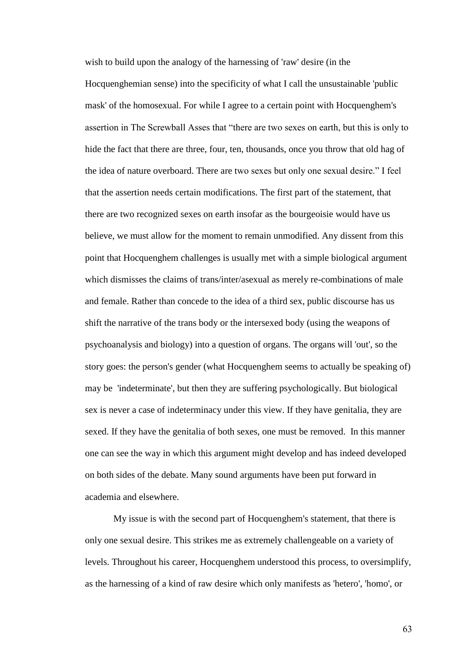wish to build upon the analogy of the harnessing of 'raw' desire (in the Hocquenghemian sense) into the specificity of what I call the unsustainable 'public mask' of the homosexual. For while I agree to a certain point with Hocquenghem's assertion in The Screwball Asses that "there are two sexes on earth, but this is only to hide the fact that there are three, four, ten, thousands, once you throw that old hag of the idea of nature overboard. There are two sexes but only one sexual desire." I feel that the assertion needs certain modifications. The first part of the statement, that there are two recognized sexes on earth insofar as the bourgeoisie would have us believe, we must allow for the moment to remain unmodified. Any dissent from this point that Hocquenghem challenges is usually met with a simple biological argument which dismisses the claims of trans/inter/asexual as merely re-combinations of male and female. Rather than concede to the idea of a third sex, public discourse has us shift the narrative of the trans body or the intersexed body (using the weapons of psychoanalysis and biology) into a question of organs. The organs will 'out', so the story goes: the person's gender (what Hocquenghem seems to actually be speaking of) may be 'indeterminate', but then they are suffering psychologically. But biological sex is never a case of indeterminacy under this view. If they have genitalia, they are sexed. If they have the genitalia of both sexes, one must be removed. In this manner one can see the way in which this argument might develop and has indeed developed on both sides of the debate. Many sound arguments have been put forward in academia and elsewhere.

My issue is with the second part of Hocquenghem's statement, that there is only one sexual desire. This strikes me as extremely challengeable on a variety of levels. Throughout his career, Hocquenghem understood this process, to oversimplify, as the harnessing of a kind of raw desire which only manifests as 'hetero', 'homo', or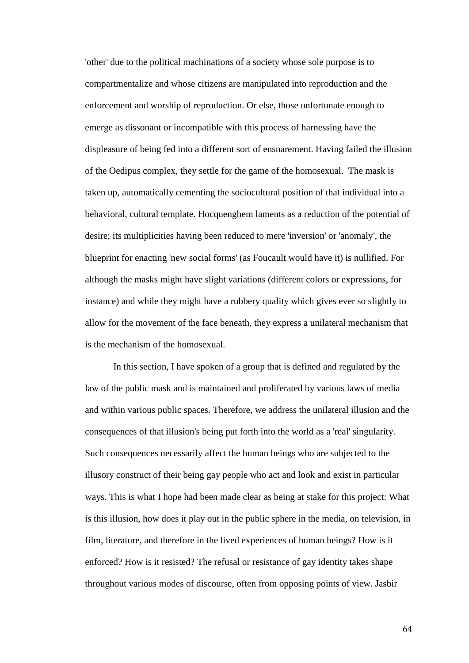'other' due to the political machinations of a society whose sole purpose is to compartmentalize and whose citizens are manipulated into reproduction and the enforcement and worship of reproduction. Or else, those unfortunate enough to emerge as dissonant or incompatible with this process of harnessing have the displeasure of being fed into a different sort of ensnarement. Having failed the illusion of the Oedipus complex, they settle for the game of the homosexual. The mask is taken up, automatically cementing the sociocultural position of that individual into a behavioral, cultural template. Hocquenghem laments as a reduction of the potential of desire; its multiplicities having been reduced to mere 'inversion' or 'anomaly', the blueprint for enacting 'new social forms' (as Foucault would have it) is nullified. For although the masks might have slight variations (different colors or expressions, for instance) and while they might have a rubbery quality which gives ever so slightly to allow for the movement of the face beneath, they express a unilateral mechanism that is the mechanism of the homosexual.

In this section, I have spoken of a group that is defined and regulated by the law of the public mask and is maintained and proliferated by various laws of media and within various public spaces. Therefore, we address the unilateral illusion and the consequences of that illusion's being put forth into the world as a 'real' singularity. Such consequences necessarily affect the human beings who are subjected to the illusory construct of their being gay people who act and look and exist in particular ways. This is what I hope had been made clear as being at stake for this project: What is this illusion, how does it play out in the public sphere in the media, on television, in film, literature, and therefore in the lived experiences of human beings? How is it enforced? How is it resisted? The refusal or resistance of gay identity takes shape throughout various modes of discourse, often from opposing points of view. Jasbir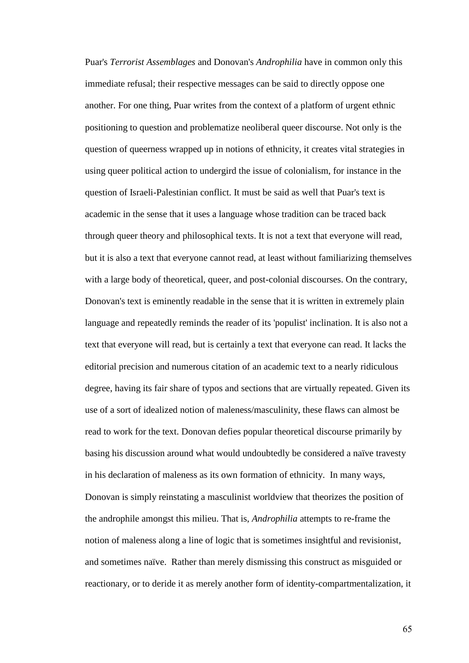Puar's *Terrorist Assemblages* and Donovan's *Androphilia* have in common only this immediate refusal; their respective messages can be said to directly oppose one another. For one thing, Puar writes from the context of a platform of urgent ethnic positioning to question and problematize neoliberal queer discourse. Not only is the question of queerness wrapped up in notions of ethnicity, it creates vital strategies in using queer political action to undergird the issue of colonialism, for instance in the question of Israeli-Palestinian conflict. It must be said as well that Puar's text is academic in the sense that it uses a language whose tradition can be traced back through queer theory and philosophical texts. It is not a text that everyone will read, but it is also a text that everyone cannot read, at least without familiarizing themselves with a large body of theoretical, queer, and post-colonial discourses. On the contrary, Donovan's text is eminently readable in the sense that it is written in extremely plain language and repeatedly reminds the reader of its 'populist' inclination. It is also not a text that everyone will read, but is certainly a text that everyone can read. It lacks the editorial precision and numerous citation of an academic text to a nearly ridiculous degree, having its fair share of typos and sections that are virtually repeated. Given its use of a sort of idealized notion of maleness/masculinity, these flaws can almost be read to work for the text. Donovan defies popular theoretical discourse primarily by basing his discussion around what would undoubtedly be considered a naïve travesty in his declaration of maleness as its own formation of ethnicity. In many ways, Donovan is simply reinstating a masculinist worldview that theorizes the position of the androphile amongst this milieu. That is, *Androphilia* attempts to re-frame the notion of maleness along a line of logic that is sometimes insightful and revisionist, and sometimes naïve. Rather than merely dismissing this construct as misguided or reactionary, or to deride it as merely another form of identity-compartmentalization, it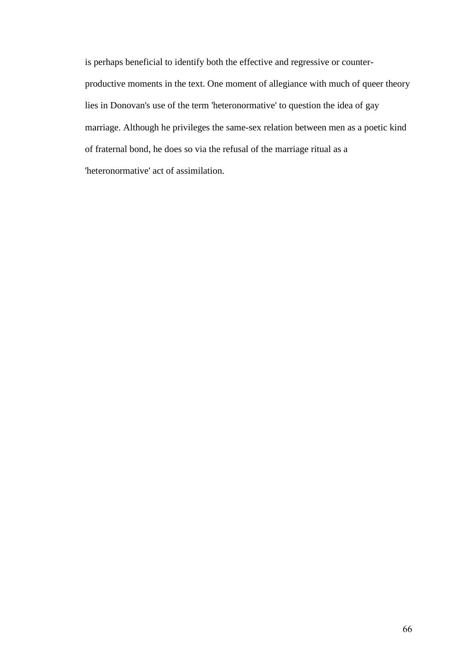is perhaps beneficial to identify both the effective and regressive or counterproductive moments in the text. One moment of allegiance with much of queer theory lies in Donovan's use of the term 'heteronormative' to question the idea of gay marriage. Although he privileges the same-sex relation between men as a poetic kind of fraternal bond, he does so via the refusal of the marriage ritual as a 'heteronormative' act of assimilation.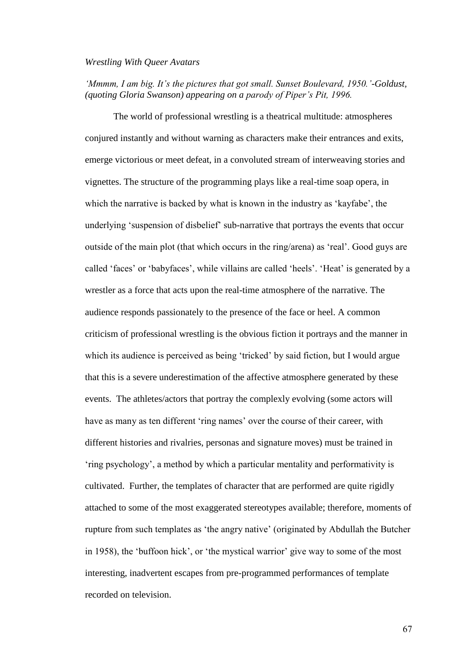## *Wrestling With Queer Avatars*

*'Mmmm, I am big. It's the pictures that got small. Sunset Boulevard, 1950.'-Goldust, (quoting Gloria Swanson) appearing on a parody of Piper's Pit, 1996.*

The world of professional wrestling is a theatrical multitude: atmospheres conjured instantly and without warning as characters make their entrances and exits, emerge victorious or meet defeat, in a convoluted stream of interweaving stories and vignettes. The structure of the programming plays like a real-time soap opera, in which the narrative is backed by what is known in the industry as 'kayfabe', the underlying 'suspension of disbelief' sub-narrative that portrays the events that occur outside of the main plot (that which occurs in the ring/arena) as 'real'. Good guys are called 'faces' or 'babyfaces', while villains are called 'heels'. 'Heat' is generated by a wrestler as a force that acts upon the real-time atmosphere of the narrative. The audience responds passionately to the presence of the face or heel. A common criticism of professional wrestling is the obvious fiction it portrays and the manner in which its audience is perceived as being 'tricked' by said fiction, but I would argue that this is a severe underestimation of the affective atmosphere generated by these events. The athletes/actors that portray the complexly evolving (some actors will have as many as ten different 'ring names' over the course of their career, with different histories and rivalries, personas and signature moves) must be trained in 'ring psychology', a method by which a particular mentality and performativity is cultivated. Further, the templates of character that are performed are quite rigidly attached to some of the most exaggerated stereotypes available; therefore, moments of rupture from such templates as 'the angry native' (originated by Abdullah the Butcher in 1958), the 'buffoon hick', or 'the mystical warrior' give way to some of the most interesting, inadvertent escapes from pre-programmed performances of template recorded on television.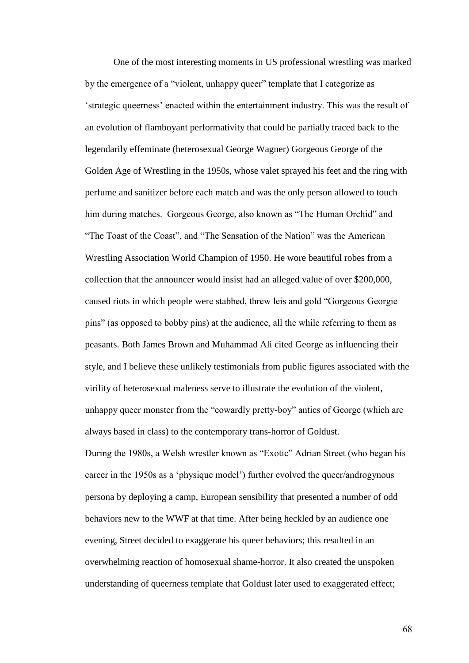One of the most interesting moments in US professional wrestling was marked by the emergence of a "violent, unhappy queer" template that I categorize as 'strategic queerness' enacted within the entertainment industry. This was the result of an evolution of flamboyant performativity that could be partially traced back to the legendarily effeminate (heterosexual George Wagner) Gorgeous George of the Golden Age of Wrestling in the 1950s, whose valet sprayed his feet and the ring with perfume and sanitizer before each match and was the only person allowed to touch him during matches. Gorgeous George, also known as "The Human Orchid" and "The Toast of the Coast", and "The Sensation of the Nation" was the American Wrestling Association World Champion of 1950. He wore beautiful robes from a collection that the announcer would insist had an alleged value of over \$200,000, caused riots in which people were stabbed, threw leis and gold "Gorgeous Georgie pins" (as opposed to bobby pins) at the audience, all the while referring to them as peasants. Both James Brown and Muhammad Ali cited George as influencing their style, and I believe these unlikely testimonials from public figures associated with the virility of heterosexual maleness serve to illustrate the evolution of the violent, unhappy queer monster from the "cowardly pretty-boy" antics of George (which are always based in class) to the contemporary trans-horror of Goldust.

During the 1980s, a Welsh wrestler known as "Exotic" Adrian Street (who began his career in the 1950s as a 'physique model') further evolved the queer/androgynous persona by deploying a camp, European sensibility that presented a number of odd behaviors new to the WWF at that time. After being heckled by an audience one evening, Street decided to exaggerate his queer behaviors; this resulted in an overwhelming reaction of homosexual shame-horror. It also created the unspoken understanding of queerness template that Goldust later used to exaggerated effect;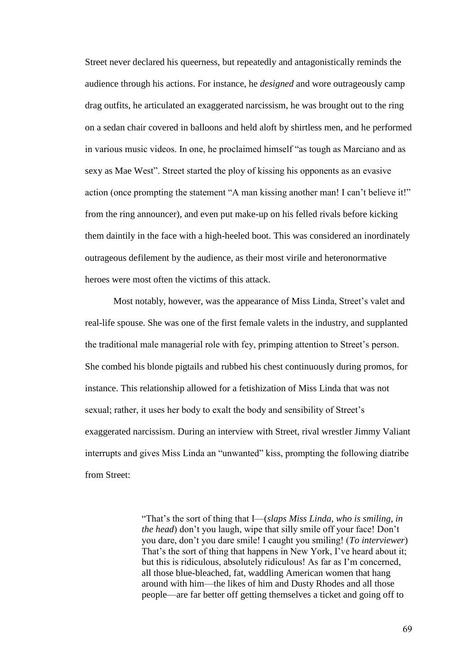Street never declared his queerness, but repeatedly and antagonistically reminds the audience through his actions. For instance, he *designed* and wore outrageously camp drag outfits, he articulated an exaggerated narcissism, he was brought out to the ring on a sedan chair covered in balloons and held aloft by shirtless men, and he performed in various music videos. In one, he proclaimed himself "as tough as Marciano and as sexy as Mae West". Street started the ploy of kissing his opponents as an evasive action (once prompting the statement "A man kissing another man! I can't believe it!" from the ring announcer), and even put make-up on his felled rivals before kicking them daintily in the face with a high-heeled boot. This was considered an inordinately outrageous defilement by the audience, as their most virile and heteronormative heroes were most often the victims of this attack.

Most notably, however, was the appearance of Miss Linda, Street's valet and real-life spouse. She was one of the first female valets in the industry, and supplanted the traditional male managerial role with fey, primping attention to Street's person. She combed his blonde pigtails and rubbed his chest continuously during promos, for instance. This relationship allowed for a fetishization of Miss Linda that was not sexual; rather, it uses her body to exalt the body and sensibility of Street's exaggerated narcissism. During an interview with Street, rival wrestler Jimmy Valiant interrupts and gives Miss Linda an "unwanted" kiss, prompting the following diatribe from Street:

> "That's the sort of thing that I—(*slaps Miss Linda, who is smiling, in the head*) don't you laugh, wipe that silly smile off your face! Don't you dare, don't you dare smile! I caught you smiling! (*To interviewer*) That's the sort of thing that happens in New York, I've heard about it; but this is ridiculous, absolutely ridiculous! As far as I'm concerned, all those blue-bleached, fat, waddling American women that hang around with him—the likes of him and Dusty Rhodes and all those people—are far better off getting themselves a ticket and going off to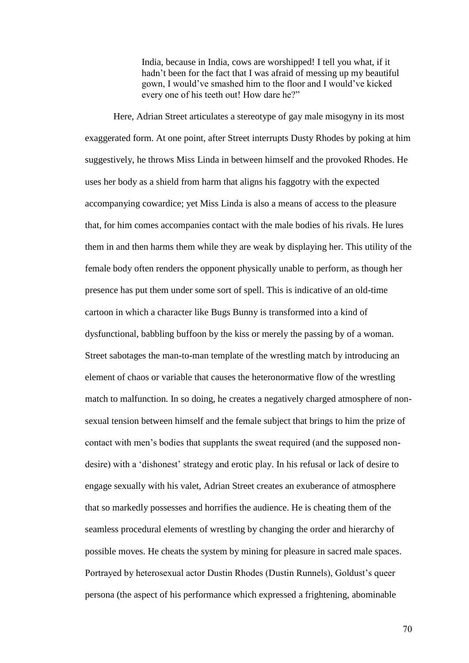India, because in India, cows are worshipped! I tell you what, if it hadn't been for the fact that I was afraid of messing up my beautiful gown, I would've smashed him to the floor and I would've kicked every one of his teeth out! How dare he?"

Here, Adrian Street articulates a stereotype of gay male misogyny in its most exaggerated form. At one point, after Street interrupts Dusty Rhodes by poking at him suggestively, he throws Miss Linda in between himself and the provoked Rhodes. He uses her body as a shield from harm that aligns his faggotry with the expected accompanying cowardice; yet Miss Linda is also a means of access to the pleasure that, for him comes accompanies contact with the male bodies of his rivals. He lures them in and then harms them while they are weak by displaying her. This utility of the female body often renders the opponent physically unable to perform, as though her presence has put them under some sort of spell. This is indicative of an old-time cartoon in which a character like Bugs Bunny is transformed into a kind of dysfunctional, babbling buffoon by the kiss or merely the passing by of a woman. Street sabotages the man-to-man template of the wrestling match by introducing an element of chaos or variable that causes the heteronormative flow of the wrestling match to malfunction. In so doing, he creates a negatively charged atmosphere of nonsexual tension between himself and the female subject that brings to him the prize of contact with men's bodies that supplants the sweat required (and the supposed nondesire) with a 'dishonest' strategy and erotic play. In his refusal or lack of desire to engage sexually with his valet, Adrian Street creates an exuberance of atmosphere that so markedly possesses and horrifies the audience. He is cheating them of the seamless procedural elements of wrestling by changing the order and hierarchy of possible moves. He cheats the system by mining for pleasure in sacred male spaces. Portrayed by heterosexual actor Dustin Rhodes (Dustin Runnels), Goldust's queer persona (the aspect of his performance which expressed a frightening, abominable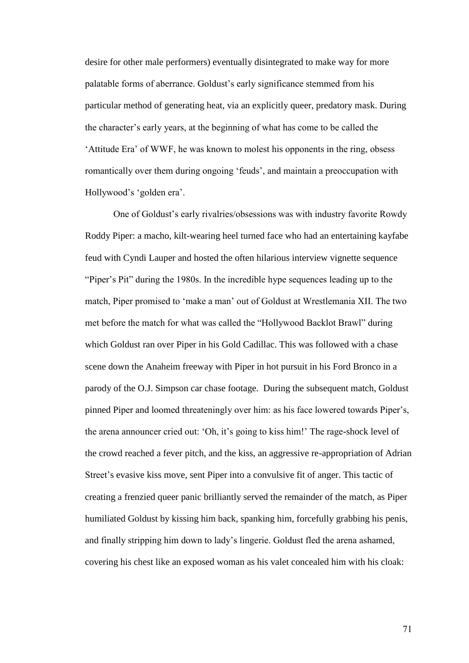desire for other male performers) eventually disintegrated to make way for more palatable forms of aberrance. Goldust's early significance stemmed from his particular method of generating heat, via an explicitly queer, predatory mask. During the character's early years, at the beginning of what has come to be called the 'Attitude Era' of WWF, he was known to molest his opponents in the ring, obsess romantically over them during ongoing 'feuds', and maintain a preoccupation with Hollywood's 'golden era'.

One of Goldust's early rivalries/obsessions was with industry favorite Rowdy Roddy Piper: a macho, kilt-wearing heel turned face who had an entertaining kayfabe feud with Cyndi Lauper and hosted the often hilarious interview vignette sequence "Piper's Pit" during the 1980s. In the incredible hype sequences leading up to the match, Piper promised to 'make a man' out of Goldust at Wrestlemania XII. The two met before the match for what was called the "Hollywood Backlot Brawl" during which Goldust ran over Piper in his Gold Cadillac. This was followed with a chase scene down the Anaheim freeway with Piper in hot pursuit in his Ford Bronco in a parody of the O.J. Simpson car chase footage. During the subsequent match, Goldust pinned Piper and loomed threateningly over him: as his face lowered towards Piper's, the arena announcer cried out: 'Oh, it's going to kiss him!' The rage-shock level of the crowd reached a fever pitch, and the kiss, an aggressive re-appropriation of Adrian Street's evasive kiss move, sent Piper into a convulsive fit of anger. This tactic of creating a frenzied queer panic brilliantly served the remainder of the match, as Piper humiliated Goldust by kissing him back, spanking him, forcefully grabbing his penis, and finally stripping him down to lady's lingerie. Goldust fled the arena ashamed, covering his chest like an exposed woman as his valet concealed him with his cloak: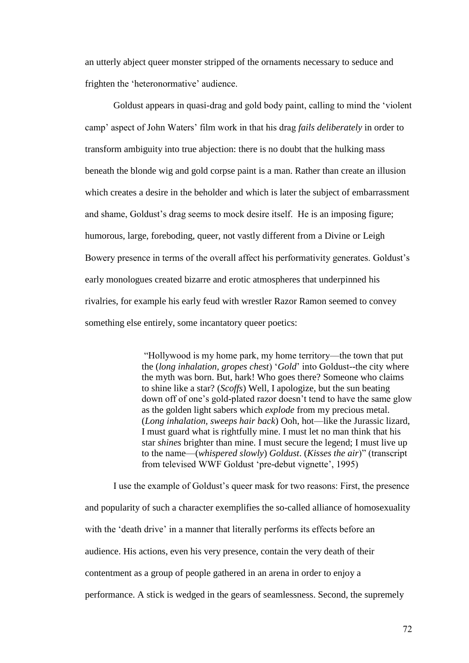an utterly abject queer monster stripped of the ornaments necessary to seduce and frighten the 'heteronormative' audience.

Goldust appears in quasi-drag and gold body paint, calling to mind the 'violent camp' aspect of John Waters' film work in that his drag *fails deliberately* in order to transform ambiguity into true abjection: there is no doubt that the hulking mass beneath the blonde wig and gold corpse paint is a man. Rather than create an illusion which creates a desire in the beholder and which is later the subject of embarrassment and shame, Goldust's drag seems to mock desire itself. He is an imposing figure; humorous, large, foreboding, queer, not vastly different from a Divine or Leigh Bowery presence in terms of the overall affect his performativity generates. Goldust's early monologues created bizarre and erotic atmospheres that underpinned his rivalries, for example his early feud with wrestler Razor Ramon seemed to convey something else entirely, some incantatory queer poetics:

> "Hollywood is my home park, my home territory—the town that put the (*long inhalation, gropes chest*) '*Gold*' into Goldust--the city where the myth was born. But, hark! Who goes there? Someone who claims to shine like a star? (*Scoffs*) Well, I apologize, but the sun beating down off of one's gold-plated razor doesn't tend to have the same glow as the golden light sabers which *explode* from my precious metal. (*Long inhalation, sweeps hair back*) Ooh, hot—like the Jurassic lizard, I must guard what is rightfully mine. I must let no man think that his star *shines* brighter than mine. I must secure the legend; I must live up to the name—(*whispered slowly*) *Goldust*. (*Kisses the air*)" (transcript from televised WWF Goldust 'pre-debut vignette', 1995)

I use the example of Goldust's queer mask for two reasons: First, the presence and popularity of such a character exemplifies the so-called alliance of homosexuality with the 'death drive' in a manner that literally performs its effects before an audience. His actions, even his very presence, contain the very death of their contentment as a group of people gathered in an arena in order to enjoy a performance. A stick is wedged in the gears of seamlessness. Second, the supremely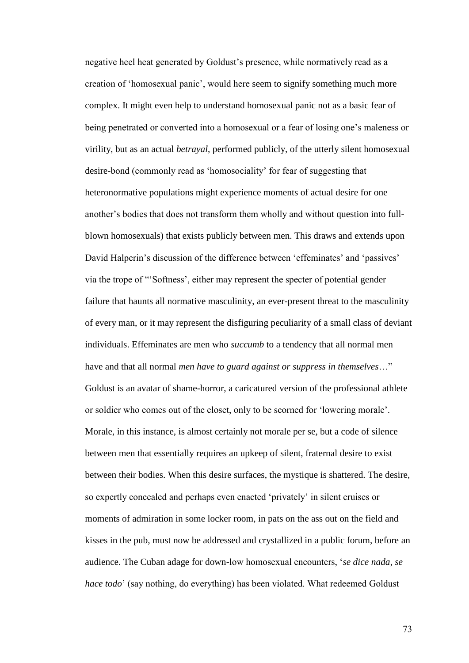negative heel heat generated by Goldust's presence, while normatively read as a creation of 'homosexual panic', would here seem to signify something much more complex. It might even help to understand homosexual panic not as a basic fear of being penetrated or converted into a homosexual or a fear of losing one's maleness or virility, but as an actual *betrayal*, performed publicly, of the utterly silent homosexual desire-bond (commonly read as 'homosociality' for fear of suggesting that heteronormative populations might experience moments of actual desire for one another's bodies that does not transform them wholly and without question into fullblown homosexuals) that exists publicly between men. This draws and extends upon David Halperin's discussion of the difference between 'effeminates' and 'passives' via the trope of "'Softness', either may represent the specter of potential gender failure that haunts all normative masculinity, an ever-present threat to the masculinity of every man, or it may represent the disfiguring peculiarity of a small class of deviant individuals. Effeminates are men who *succumb* to a tendency that all normal men have and that all normal *men have to guard against or suppress in themselves*…" Goldust is an avatar of shame-horror, a caricatured version of the professional athlete or soldier who comes out of the closet, only to be scorned for 'lowering morale'. Morale, in this instance, is almost certainly not morale per se, but a code of silence between men that essentially requires an upkeep of silent, fraternal desire to exist between their bodies. When this desire surfaces, the mystique is shattered. The desire, so expertly concealed and perhaps even enacted 'privately' in silent cruises or moments of admiration in some locker room, in pats on the ass out on the field and kisses in the pub, must now be addressed and crystallized in a public forum, before an audience. The Cuban adage for down-low homosexual encounters, '*se dice nada, se hace todo*' (say nothing, do everything) has been violated. What redeemed Goldust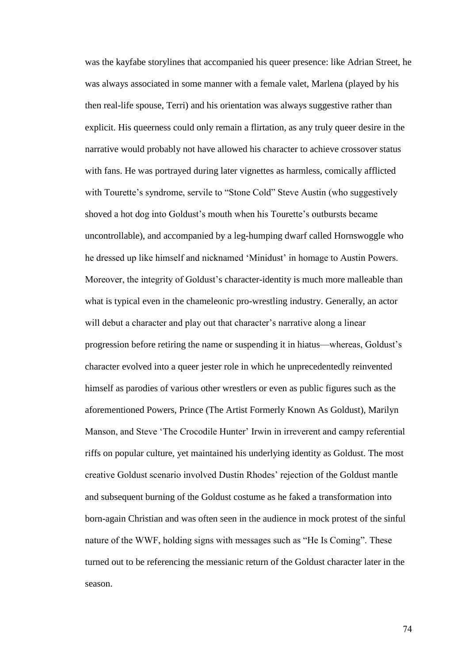was the kayfabe storylines that accompanied his queer presence: like Adrian Street, he was always associated in some manner with a female valet, Marlena (played by his then real-life spouse, Terri) and his orientation was always suggestive rather than explicit. His queerness could only remain a flirtation, as any truly queer desire in the narrative would probably not have allowed his character to achieve crossover status with fans. He was portrayed during later vignettes as harmless, comically afflicted with Tourette's syndrome, servile to "Stone Cold" Steve Austin (who suggestively shoved a hot dog into Goldust's mouth when his Tourette's outbursts became uncontrollable), and accompanied by a leg-humping dwarf called Hornswoggle who he dressed up like himself and nicknamed 'Minidust' in homage to Austin Powers. Moreover, the integrity of Goldust's character-identity is much more malleable than what is typical even in the chameleonic pro-wrestling industry. Generally, an actor will debut a character and play out that character's narrative along a linear progression before retiring the name or suspending it in hiatus—whereas, Goldust's character evolved into a queer jester role in which he unprecedentedly reinvented himself as parodies of various other wrestlers or even as public figures such as the aforementioned Powers, Prince (The Artist Formerly Known As Goldust), Marilyn Manson, and Steve 'The Crocodile Hunter' Irwin in irreverent and campy referential riffs on popular culture, yet maintained his underlying identity as Goldust. The most creative Goldust scenario involved Dustin Rhodes' rejection of the Goldust mantle and subsequent burning of the Goldust costume as he faked a transformation into born-again Christian and was often seen in the audience in mock protest of the sinful nature of the WWF, holding signs with messages such as "He Is Coming". These turned out to be referencing the messianic return of the Goldust character later in the season.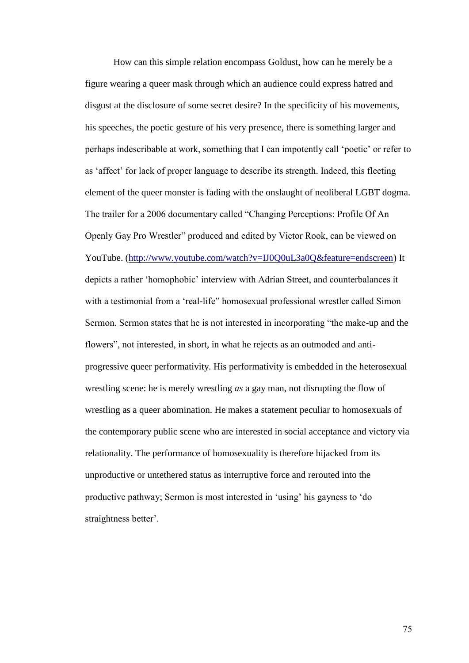How can this simple relation encompass Goldust, how can he merely be a figure wearing a queer mask through which an audience could express hatred and disgust at the disclosure of some secret desire? In the specificity of his movements, his speeches, the poetic gesture of his very presence, there is something larger and perhaps indescribable at work, something that I can impotently call 'poetic' or refer to as 'affect' for lack of proper language to describe its strength. Indeed, this fleeting element of the queer monster is fading with the onslaught of neoliberal LGBT dogma. The trailer for a 2006 documentary called "Changing Perceptions: Profile Of An Openly Gay Pro Wrestler" produced and edited by Victor Rook, can be viewed on YouTube. [\(http://www.youtube.com/watch?v=IJ0Q0uL3a0Q&feature=endscreen\)](http://www.youtube.com/watch?v=IJ0Q0uL3a0Q&feature=endscreen) It depicts a rather 'homophobic' interview with Adrian Street, and counterbalances it with a testimonial from a 'real-life" homosexual professional wrestler called Simon Sermon. Sermon states that he is not interested in incorporating "the make-up and the flowers", not interested, in short, in what he rejects as an outmoded and antiprogressive queer performativity. His performativity is embedded in the heterosexual wrestling scene: he is merely wrestling *as* a gay man, not disrupting the flow of wrestling as a queer abomination. He makes a statement peculiar to homosexuals of the contemporary public scene who are interested in social acceptance and victory via relationality. The performance of homosexuality is therefore hijacked from its unproductive or untethered status as interruptive force and rerouted into the productive pathway; Sermon is most interested in 'using' his gayness to 'do straightness better'.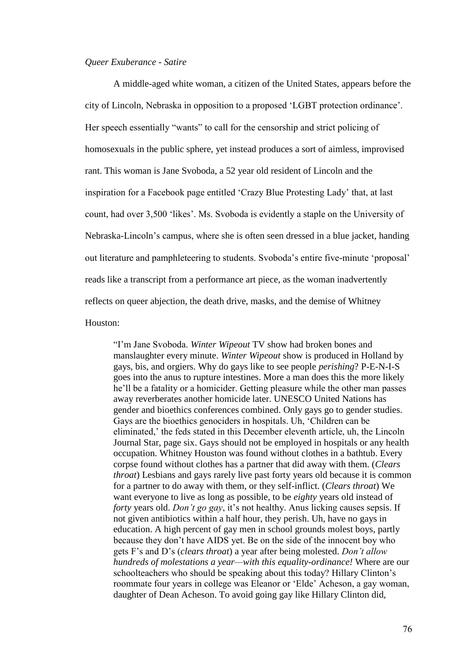## *Queer Exuberance - Satire*

A middle-aged white woman, a citizen of the United States, appears before the city of Lincoln, Nebraska in opposition to a proposed 'LGBT protection ordinance'. Her speech essentially "wants" to call for the censorship and strict policing of homosexuals in the public sphere, yet instead produces a sort of aimless, improvised rant. This woman is Jane Svoboda, a 52 year old resident of Lincoln and the inspiration for a Facebook page entitled 'Crazy Blue Protesting Lady' that, at last count, had over 3,500 'likes'. Ms. Svoboda is evidently a staple on the University of Nebraska-Lincoln's campus, where she is often seen dressed in a blue jacket, handing out literature and pamphleteering to students. Svoboda's entire five-minute 'proposal' reads like a transcript from a performance art piece, as the woman inadvertently reflects on queer abjection, the death drive, masks, and the demise of Whitney Houston:

"I'm Jane Svoboda. *Winter Wipeout* TV show had broken bones and manslaughter every minute. *Winter Wipeout* show is produced in Holland by gays, bis, and orgiers. Why do gays like to see people *perishing*? P-E-N-I-S goes into the anus to rupture intestines. More a man does this the more likely he'll be a fatality or a homicider. Getting pleasure while the other man passes away reverberates another homicide later. UNESCO United Nations has gender and bioethics conferences combined. Only gays go to gender studies. Gays are the bioethics genociders in hospitals. Uh, 'Children can be eliminated,' the feds stated in this December eleventh article, uh, the Lincoln Journal Star, page six. Gays should not be employed in hospitals or any health occupation. Whitney Houston was found without clothes in a bathtub. Every corpse found without clothes has a partner that did away with them. (*Clears throat*) Lesbians and gays rarely live past forty years old because it is common for a partner to do away with them, or they self-inflict. (*Clears throat*) We want everyone to live as long as possible, to be *eighty* years old instead of *forty* years old. *Don't go gay*, it's not healthy. Anus licking causes sepsis. If not given antibiotics within a half hour, they perish. Uh, have no gays in education. A high percent of gay men in school grounds molest boys, partly because they don't have AIDS yet. Be on the side of the innocent boy who gets F's and D's (*clears throat*) a year after being molested. *Don't allow hundreds of molestations a year—with this equality-ordinance!* Where are our schoolteachers who should be speaking about this today? Hillary Clinton's roommate four years in college was Eleanor or 'Elde' Acheson, a gay woman, daughter of Dean Acheson. To avoid going gay like Hillary Clinton did,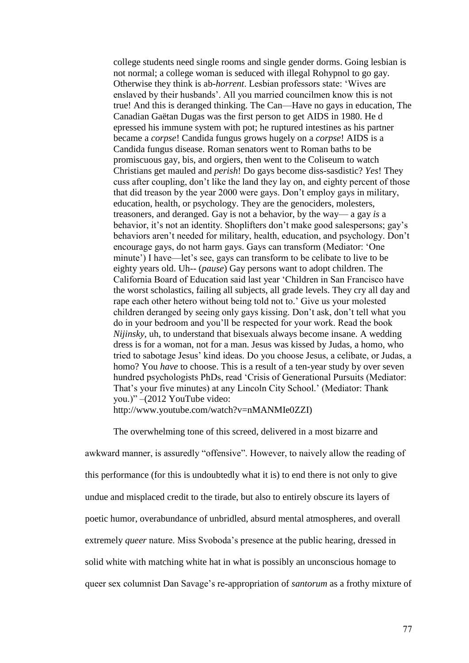college students need single rooms and single gender dorms. Going lesbian is not normal; a college woman is seduced with illegal Rohypnol to go gay. Otherwise they think is ab-*horrent*. Lesbian professors state: 'Wives are enslaved by their husbands'. All you married councilmen know this is not true! And this is deranged thinking. The Can—Have no gays in education, The Canadian Gaëtan Dugas was the first person to get AIDS in 1980. He d epressed his immune system with pot; he ruptured intestines as his partner became a *corpse*! Candida fungus grows hugely on a *corpse*! AIDS is a Candida fungus disease. Roman senators went to Roman baths to be promiscuous gay, bis, and orgiers, then went to the Coliseum to watch Christians get mauled and *perish*! Do gays become diss-sasdistic? *Yes*! They cuss after coupling, don't like the land they lay on, and eighty percent of those that did treason by the year 2000 were gays. Don't employ gays in military, education, health, or psychology. They are the genociders, molesters, treasoners, and deranged. Gay is not a behavior, by the way— a gay *is* a behavior, it's not an identity. Shoplifters don't make good salespersons; gay's behaviors aren't needed for military, health, education, and psychology. Don't encourage gays, do not harm gays. Gays can transform (Mediator: 'One minute') I have—let's see, gays can transform to be celibate to live to be eighty years old. Uh-- (*pause*) Gay persons want to adopt children. The California Board of Education said last year 'Children in San Francisco have the worst scholastics, failing all subjects, all grade levels. They cry all day and rape each other hetero without being told not to.' Give us your molested children deranged by seeing only gays kissing. Don't ask, don't tell what you do in your bedroom and you'll be respected for your work. Read the book *Nijinsky*, uh, to understand that bisexuals always become insane. A wedding dress is for a woman, not for a man. Jesus was kissed by Judas, a homo, who tried to sabotage Jesus' kind ideas. Do you choose Jesus, a celibate, or Judas, a homo? You *have* to choose. This is a result of a ten-year study by over seven hundred psychologists PhDs, read 'Crisis of Generational Pursuits (Mediator: That's your five minutes) at any Lincoln City School.' (Mediator: Thank you.)" –(2012 YouTube video:

http://www.youtube.com/watch?v=nMANMIe0ZZI)

awkward manner, is assuredly "offensive". However, to naively allow the reading of this performance (for this is undoubtedly what it is) to end there is not only to give undue and misplaced credit to the tirade, but also to entirely obscure its layers of poetic humor, overabundance of unbridled, absurd mental atmospheres, and overall extremely *queer* nature. Miss Svoboda's presence at the public hearing, dressed in solid white with matching white hat in what is possibly an unconscious homage to queer sex columnist Dan Savage's re-appropriation of *santorum* as a frothy mixture of

The overwhelming tone of this screed, delivered in a most bizarre and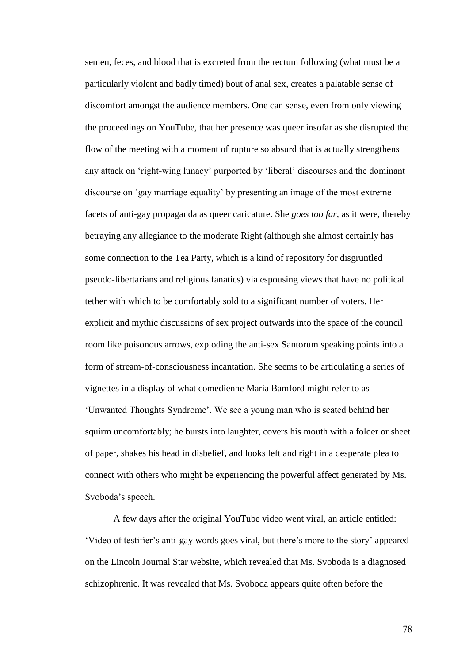semen, feces, and blood that is excreted from the rectum following (what must be a particularly violent and badly timed) bout of anal sex, creates a palatable sense of discomfort amongst the audience members. One can sense, even from only viewing the proceedings on YouTube, that her presence was queer insofar as she disrupted the flow of the meeting with a moment of rupture so absurd that is actually strengthens any attack on 'right-wing lunacy' purported by 'liberal' discourses and the dominant discourse on 'gay marriage equality' by presenting an image of the most extreme facets of anti-gay propaganda as queer caricature. She *goes too far*, as it were, thereby betraying any allegiance to the moderate Right (although she almost certainly has some connection to the Tea Party, which is a kind of repository for disgruntled pseudo-libertarians and religious fanatics) via espousing views that have no political tether with which to be comfortably sold to a significant number of voters. Her explicit and mythic discussions of sex project outwards into the space of the council room like poisonous arrows, exploding the anti-sex Santorum speaking points into a form of stream-of-consciousness incantation. She seems to be articulating a series of vignettes in a display of what comedienne Maria Bamford might refer to as 'Unwanted Thoughts Syndrome'. We see a young man who is seated behind her squirm uncomfortably; he bursts into laughter, covers his mouth with a folder or sheet of paper, shakes his head in disbelief, and looks left and right in a desperate plea to connect with others who might be experiencing the powerful affect generated by Ms. Svoboda's speech.

A few days after the original YouTube video went viral, an article entitled: 'Video of testifier's anti-gay words goes viral, but there's more to the story' appeared on the Lincoln Journal Star website, which revealed that Ms. Svoboda is a diagnosed schizophrenic. It was revealed that Ms. Svoboda appears quite often before the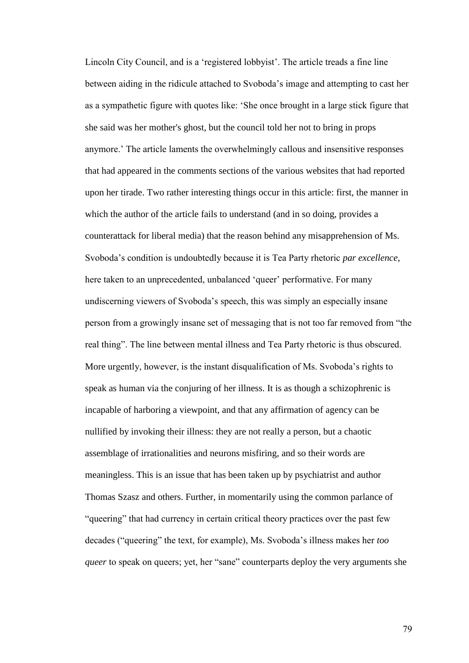Lincoln City Council, and is a 'registered lobbyist'. The article treads a fine line between aiding in the ridicule attached to Svoboda's image and attempting to cast her as a sympathetic figure with quotes like: 'She once brought in a large stick figure that she said was her mother's ghost, but the council told her not to bring in props anymore.' The article laments the overwhelmingly callous and insensitive responses that had appeared in the comments sections of the various websites that had reported upon her tirade. Two rather interesting things occur in this article: first, the manner in which the author of the article fails to understand (and in so doing, provides a counterattack for liberal media) that the reason behind any misapprehension of Ms. Svoboda's condition is undoubtedly because it is Tea Party rhetoric *par excellence*, here taken to an unprecedented, unbalanced 'queer' performative. For many undiscerning viewers of Svoboda's speech, this was simply an especially insane person from a growingly insane set of messaging that is not too far removed from "the real thing". The line between mental illness and Tea Party rhetoric is thus obscured. More urgently, however, is the instant disqualification of Ms. Svoboda's rights to speak as human via the conjuring of her illness. It is as though a schizophrenic is incapable of harboring a viewpoint, and that any affirmation of agency can be nullified by invoking their illness: they are not really a person, but a chaotic assemblage of irrationalities and neurons misfiring, and so their words are meaningless. This is an issue that has been taken up by psychiatrist and author Thomas Szasz and others. Further, in momentarily using the common parlance of "queering" that had currency in certain critical theory practices over the past few decades ("queering" the text, for example), Ms. Svoboda's illness makes her *too queer* to speak on queers; yet, her "sane" counterparts deploy the very arguments she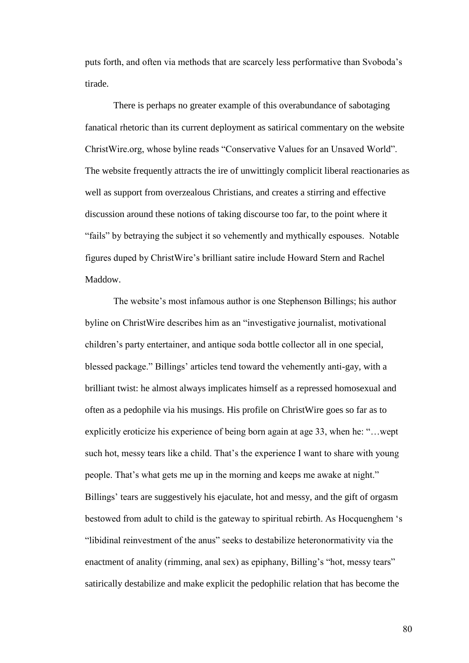puts forth, and often via methods that are scarcely less performative than Svoboda's tirade.

There is perhaps no greater example of this overabundance of sabotaging fanatical rhetoric than its current deployment as satirical commentary on the website ChristWire.org, whose byline reads "Conservative Values for an Unsaved World". The website frequently attracts the ire of unwittingly complicit liberal reactionaries as well as support from overzealous Christians, and creates a stirring and effective discussion around these notions of taking discourse too far, to the point where it "fails" by betraying the subject it so vehemently and mythically espouses. Notable figures duped by ChristWire's brilliant satire include Howard Stern and Rachel Maddow.

The website's most infamous author is one Stephenson Billings; his author byline on ChristWire describes him as an "investigative journalist, motivational children's party entertainer, and antique soda bottle collector all in one special, blessed package." Billings' articles tend toward the vehemently anti-gay, with a brilliant twist: he almost always implicates himself as a repressed homosexual and often as a pedophile via his musings. His profile on ChristWire goes so far as to explicitly eroticize his experience of being born again at age 33, when he: "…wept such hot, messy tears like a child. That's the experience I want to share with young people. That's what gets me up in the morning and keeps me awake at night." Billings' tears are suggestively his ejaculate, hot and messy, and the gift of orgasm bestowed from adult to child is the gateway to spiritual rebirth. As Hocquenghem 's "libidinal reinvestment of the anus" seeks to destabilize heteronormativity via the enactment of anality (rimming, anal sex) as epiphany, Billing's "hot, messy tears" satirically destabilize and make explicit the pedophilic relation that has become the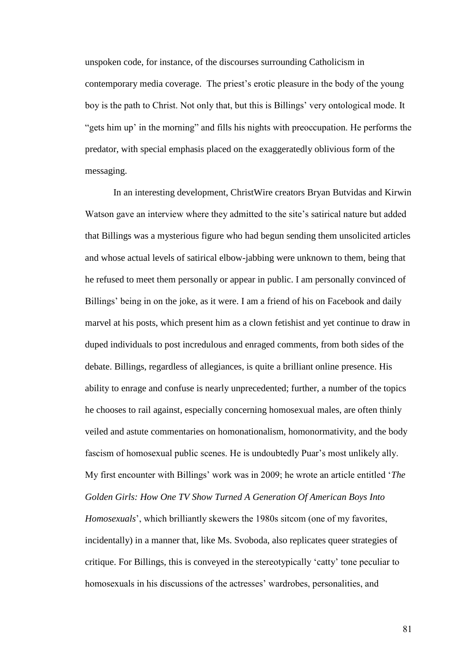unspoken code, for instance, of the discourses surrounding Catholicism in contemporary media coverage. The priest's erotic pleasure in the body of the young boy is the path to Christ. Not only that, but this is Billings' very ontological mode. It "gets him up' in the morning" and fills his nights with preoccupation. He performs the predator, with special emphasis placed on the exaggeratedly oblivious form of the messaging.

In an interesting development, ChristWire creators Bryan Butvidas and Kirwin Watson gave an interview where they admitted to the site's satirical nature but added that Billings was a mysterious figure who had begun sending them unsolicited articles and whose actual levels of satirical elbow-jabbing were unknown to them, being that he refused to meet them personally or appear in public. I am personally convinced of Billings' being in on the joke, as it were. I am a friend of his on Facebook and daily marvel at his posts, which present him as a clown fetishist and yet continue to draw in duped individuals to post incredulous and enraged comments, from both sides of the debate. Billings, regardless of allegiances, is quite a brilliant online presence. His ability to enrage and confuse is nearly unprecedented; further, a number of the topics he chooses to rail against, especially concerning homosexual males, are often thinly veiled and astute commentaries on homonationalism, homonormativity, and the body fascism of homosexual public scenes. He is undoubtedly Puar's most unlikely ally. My first encounter with Billings' work was in 2009; he wrote an article entitled '*The Golden Girls: How One TV Show Turned A Generation Of American Boys Into Homosexuals*', which brilliantly skewers the 1980s sitcom (one of my favorites, incidentally) in a manner that, like Ms. Svoboda, also replicates queer strategies of critique. For Billings, this is conveyed in the stereotypically 'catty' tone peculiar to homosexuals in his discussions of the actresses' wardrobes, personalities, and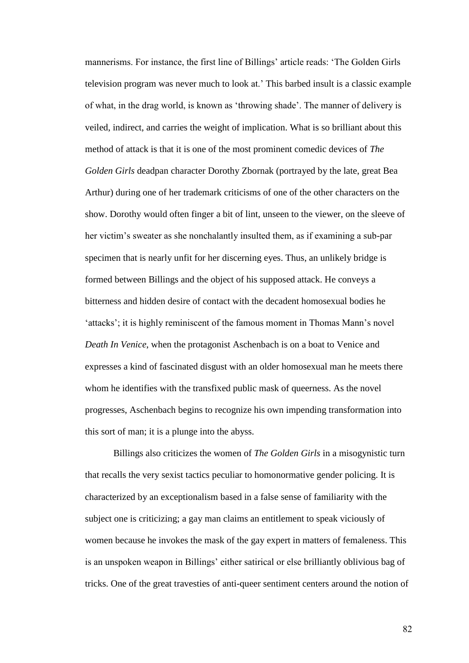mannerisms. For instance, the first line of Billings' article reads: 'The Golden Girls television program was never much to look at.' This barbed insult is a classic example of what, in the drag world, is known as 'throwing shade'. The manner of delivery is veiled, indirect, and carries the weight of implication. What is so brilliant about this method of attack is that it is one of the most prominent comedic devices of *The Golden Girls* deadpan character Dorothy Zbornak (portrayed by the late, great Bea Arthur) during one of her trademark criticisms of one of the other characters on the show. Dorothy would often finger a bit of lint, unseen to the viewer, on the sleeve of her victim's sweater as she nonchalantly insulted them, as if examining a sub-par specimen that is nearly unfit for her discerning eyes. Thus, an unlikely bridge is formed between Billings and the object of his supposed attack. He conveys a bitterness and hidden desire of contact with the decadent homosexual bodies he 'attacks'; it is highly reminiscent of the famous moment in Thomas Mann's novel *Death In Venice*, when the protagonist Aschenbach is on a boat to Venice and expresses a kind of fascinated disgust with an older homosexual man he meets there whom he identifies with the transfixed public mask of queerness. As the novel progresses, Aschenbach begins to recognize his own impending transformation into this sort of man; it is a plunge into the abyss.

Billings also criticizes the women of *The Golden Girls* in a misogynistic turn that recalls the very sexist tactics peculiar to homonormative gender policing. It is characterized by an exceptionalism based in a false sense of familiarity with the subject one is criticizing; a gay man claims an entitlement to speak viciously of women because he invokes the mask of the gay expert in matters of femaleness. This is an unspoken weapon in Billings' either satirical or else brilliantly oblivious bag of tricks. One of the great travesties of anti-queer sentiment centers around the notion of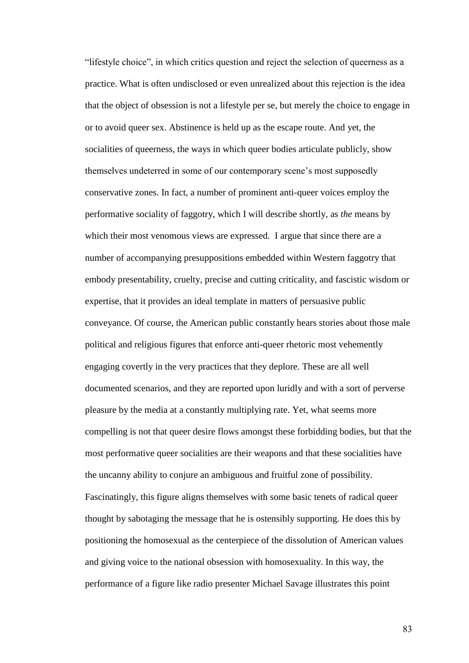"lifestyle choice", in which critics question and reject the selection of queerness as a practice. What is often undisclosed or even unrealized about this rejection is the idea that the object of obsession is not a lifestyle per se, but merely the choice to engage in or to avoid queer sex. Abstinence is held up as the escape route. And yet, the socialities of queerness, the ways in which queer bodies articulate publicly, show themselves undeterred in some of our contemporary scene's most supposedly conservative zones. In fact, a number of prominent anti-queer voices employ the performative sociality of faggotry, which I will describe shortly, as *the* means by which their most venomous views are expressed. I argue that since there are a number of accompanying presuppositions embedded within Western faggotry that embody presentability, cruelty, precise and cutting criticality, and fascistic wisdom or expertise, that it provides an ideal template in matters of persuasive public conveyance. Of course, the American public constantly hears stories about those male political and religious figures that enforce anti-queer rhetoric most vehemently engaging covertly in the very practices that they deplore. These are all well documented scenarios, and they are reported upon luridly and with a sort of perverse pleasure by the media at a constantly multiplying rate. Yet, what seems more compelling is not that queer desire flows amongst these forbidding bodies, but that the most performative queer socialities are their weapons and that these socialities have the uncanny ability to conjure an ambiguous and fruitful zone of possibility. Fascinatingly, this figure aligns themselves with some basic tenets of radical queer thought by sabotaging the message that he is ostensibly supporting. He does this by positioning the homosexual as the centerpiece of the dissolution of American values and giving voice to the national obsession with homosexuality. In this way, the performance of a figure like radio presenter Michael Savage illustrates this point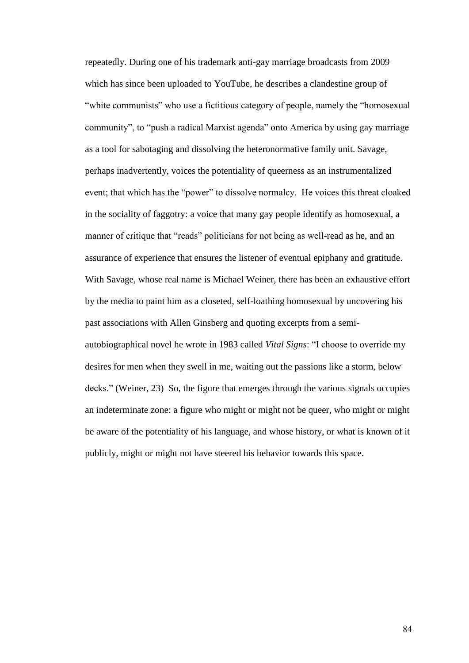repeatedly. During one of his trademark anti-gay marriage broadcasts from 2009 which has since been uploaded to YouTube, he describes a clandestine group of "white communists" who use a fictitious category of people, namely the "homosexual community", to "push a radical Marxist agenda" onto America by using gay marriage as a tool for sabotaging and dissolving the heteronormative family unit. Savage, perhaps inadvertently, voices the potentiality of queerness as an instrumentalized event; that which has the "power" to dissolve normalcy. He voices this threat cloaked in the sociality of faggotry: a voice that many gay people identify as homosexual, a manner of critique that "reads" politicians for not being as well-read as he, and an assurance of experience that ensures the listener of eventual epiphany and gratitude. With Savage, whose real name is Michael Weiner, there has been an exhaustive effort by the media to paint him as a closeted, self-loathing homosexual by uncovering his past associations with Allen Ginsberg and quoting excerpts from a semiautobiographical novel he wrote in 1983 called *Vital Signs*: "I choose to override my desires for men when they swell in me, waiting out the passions like a storm, below decks." (Weiner, 23) So, the figure that emerges through the various signals occupies an indeterminate zone: a figure who might or might not be queer, who might or might be aware of the potentiality of his language, and whose history, or what is known of it publicly, might or might not have steered his behavior towards this space.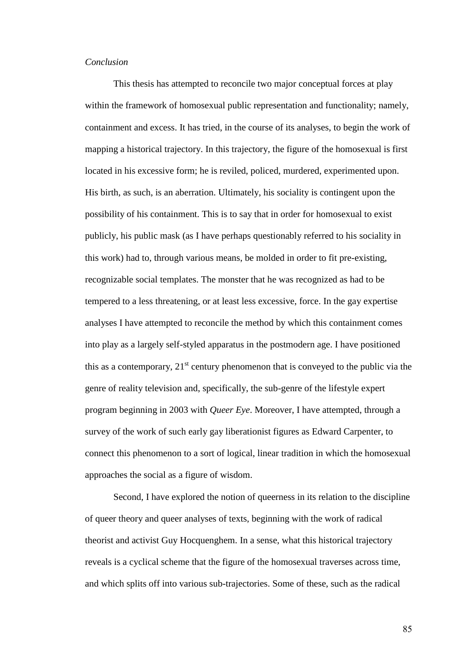## *Conclusion*

This thesis has attempted to reconcile two major conceptual forces at play within the framework of homosexual public representation and functionality; namely, containment and excess. It has tried, in the course of its analyses, to begin the work of mapping a historical trajectory. In this trajectory, the figure of the homosexual is first located in his excessive form; he is reviled, policed, murdered, experimented upon. His birth, as such, is an aberration. Ultimately, his sociality is contingent upon the possibility of his containment. This is to say that in order for homosexual to exist publicly, his public mask (as I have perhaps questionably referred to his sociality in this work) had to, through various means, be molded in order to fit pre-existing, recognizable social templates. The monster that he was recognized as had to be tempered to a less threatening, or at least less excessive, force. In the gay expertise analyses I have attempted to reconcile the method by which this containment comes into play as a largely self-styled apparatus in the postmodern age. I have positioned this as a contemporary,  $21<sup>st</sup>$  century phenomenon that is conveyed to the public via the genre of reality television and, specifically, the sub-genre of the lifestyle expert program beginning in 2003 with *Queer Eye*. Moreover, I have attempted, through a survey of the work of such early gay liberationist figures as Edward Carpenter, to connect this phenomenon to a sort of logical, linear tradition in which the homosexual approaches the social as a figure of wisdom.

Second, I have explored the notion of queerness in its relation to the discipline of queer theory and queer analyses of texts, beginning with the work of radical theorist and activist Guy Hocquenghem. In a sense, what this historical trajectory reveals is a cyclical scheme that the figure of the homosexual traverses across time, and which splits off into various sub-trajectories. Some of these, such as the radical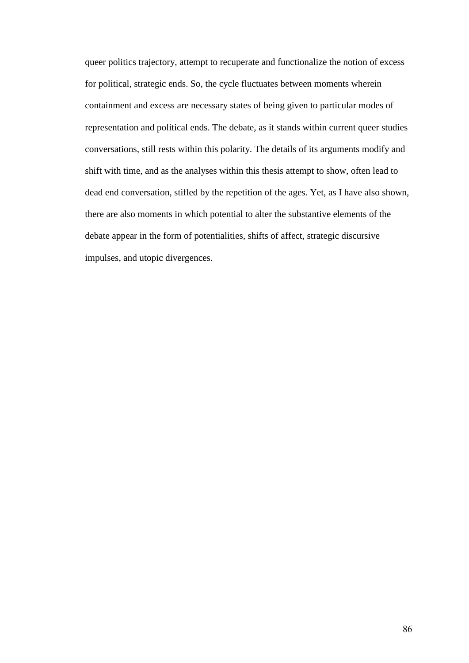queer politics trajectory, attempt to recuperate and functionalize the notion of excess for political, strategic ends. So, the cycle fluctuates between moments wherein containment and excess are necessary states of being given to particular modes of representation and political ends. The debate, as it stands within current queer studies conversations, still rests within this polarity. The details of its arguments modify and shift with time, and as the analyses within this thesis attempt to show, often lead to dead end conversation, stifled by the repetition of the ages. Yet, as I have also shown, there are also moments in which potential to alter the substantive elements of the debate appear in the form of potentialities, shifts of affect, strategic discursive impulses, and utopic divergences.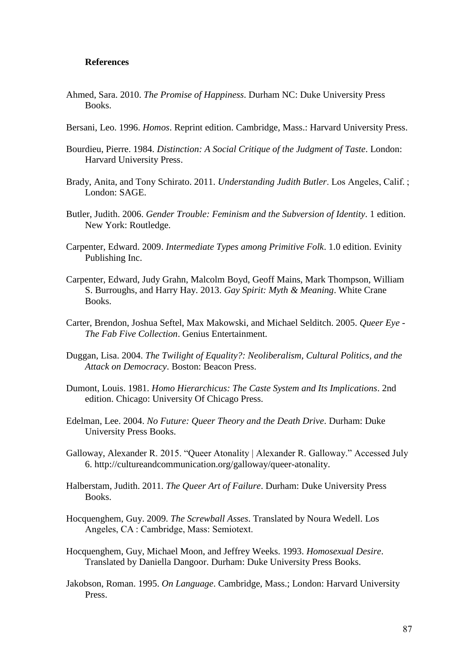## **References**

- Ahmed, Sara. 2010. *The Promise of Happiness*. Durham NC: Duke University Press Books.
- Bersani, Leo. 1996. *Homos*. Reprint edition. Cambridge, Mass.: Harvard University Press.
- Bourdieu, Pierre. 1984. *Distinction: A Social Critique of the Judgment of Taste*. London: Harvard University Press.
- Brady, Anita, and Tony Schirato. 2011. *Understanding Judith Butler*. Los Angeles, Calif. ; London: SAGE.
- Butler, Judith. 2006. *Gender Trouble: Feminism and the Subversion of Identity*. 1 edition. New York: Routledge.
- Carpenter, Edward. 2009. *Intermediate Types among Primitive Folk*. 1.0 edition. Evinity Publishing Inc.
- Carpenter, Edward, Judy Grahn, Malcolm Boyd, Geoff Mains, Mark Thompson, William S. Burroughs, and Harry Hay. 2013. *Gay Spirit: Myth & Meaning*. White Crane Books.
- Carter, Brendon, Joshua Seftel, Max Makowski, and Michael Selditch. 2005. *Queer Eye - The Fab Five Collection*. Genius Entertainment.
- Duggan, Lisa. 2004. *The Twilight of Equality?: Neoliberalism, Cultural Politics, and the Attack on Democracy*. Boston: Beacon Press.
- Dumont, Louis. 1981. *Homo Hierarchicus: The Caste System and Its Implications*. 2nd edition. Chicago: University Of Chicago Press.
- Edelman, Lee. 2004. *No Future: Queer Theory and the Death Drive*. Durham: Duke University Press Books.
- Galloway, Alexander R. 2015. "Queer Atonality | Alexander R. Galloway." Accessed July 6. http://cultureandcommunication.org/galloway/queer-atonality.
- Halberstam, Judith. 2011. *The Queer Art of Failure*. Durham: Duke University Press Books.
- Hocquenghem, Guy. 2009. *The Screwball Asses*. Translated by Noura Wedell. Los Angeles, CA : Cambridge, Mass: Semiotext.
- Hocquenghem, Guy, Michael Moon, and Jeffrey Weeks. 1993. *Homosexual Desire*. Translated by Daniella Dangoor. Durham: Duke University Press Books.
- Jakobson, Roman. 1995. *On Language*. Cambridge, Mass.; London: Harvard University Press.